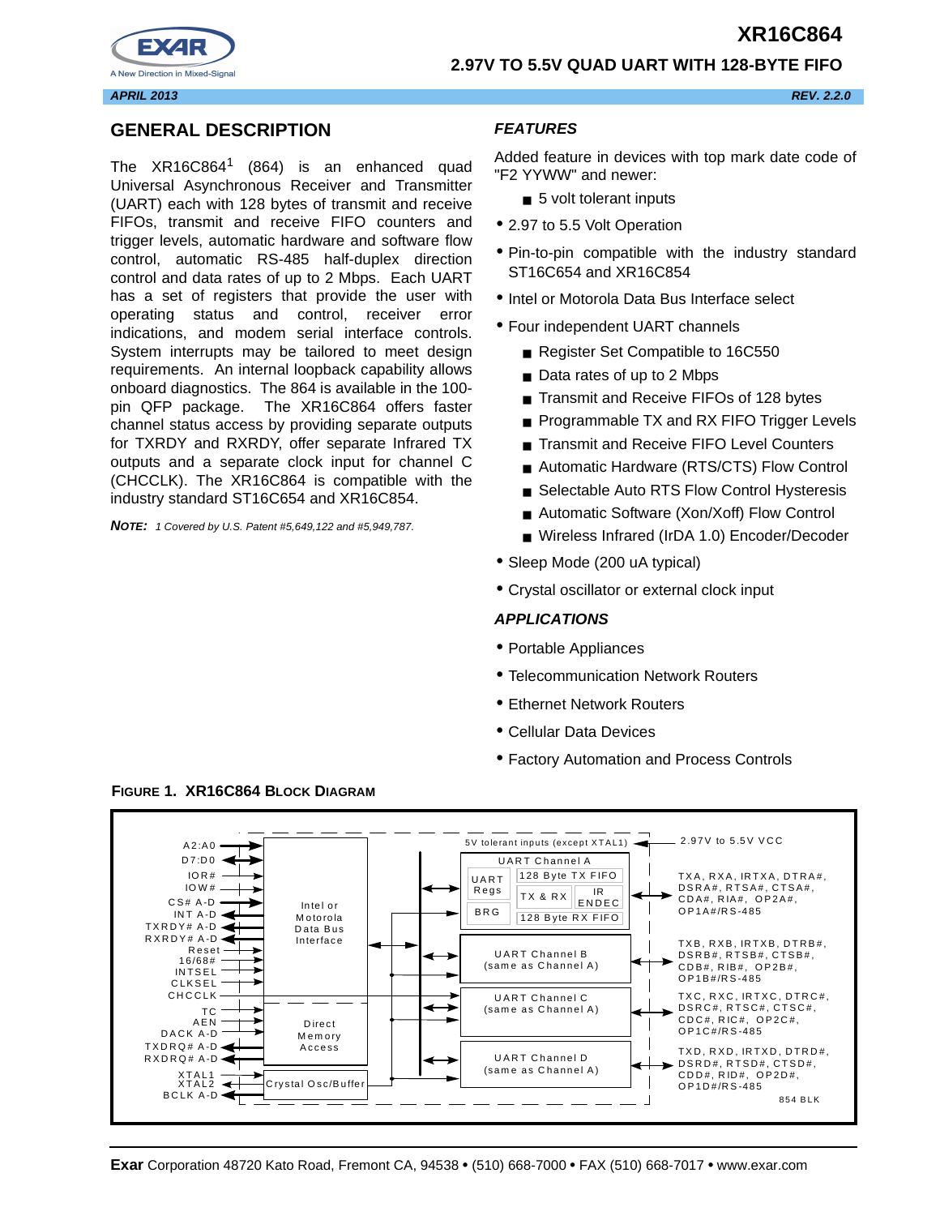

#### **2.97V TO 5.5V QUAD UART WITH 128-BYTE FIFO**

**APRIL 2013 REV. 2.2.0**

## **GENERAL DESCRIPTION**

The  $XR16C864$ <sup>1</sup> (864) is an enhanced quad Universal Asynchronous Receiver and Transmitter (UART) each with 128 bytes of transmit and receive FIFOs, transmit and receive FIFO counters and trigger levels, automatic hardware and software flow control, automatic RS-485 half-duplex direction control and data rates of up to 2 Mbps. Each UART has a set of registers that provide the user with operating status and control, receiver error indications, and modem serial interface controls. System interrupts may be tailored to meet design requirements. An internal loopback capability allows onboard diagnostics. The 864 is available in the 100 pin QFP package. The XR16C864 offers faster channel status access by providing separate outputs for TXRDY and RXRDY, offer separate Infrared TX outputs and a separate clock input for channel C (CHCCLK). The XR16C864 is compatible with the industry standard ST16C654 and XR16C854.

**NOTE:** 1 Covered by U.S. Patent #5,649,122 and #5,949,787.

## **FEATURES**

Added feature in devices with top mark date code of "F2 YYWW" and newer:

- 5 volt tolerant inputs
- 2.97 to 5.5 Volt Operation
- Pin-to-pin compatible with the industry standard ST16C654 and XR16C854
- Intel or Motorola Data Bus Interface select
- Four independent UART channels
	- Register Set Compatible to 16C550
	- Data rates of up to 2 Mbps
	- Transmit and Receive FIFOs of 128 bytes
	- Programmable TX and RX FIFO Trigger Levels
	- Transmit and Receive FIFO Level Counters
	- Automatic Hardware (RTS/CTS) Flow Control
	- Selectable Auto RTS Flow Control Hysteresis
	- Automatic Software (Xon/Xoff) Flow Control
	- Wireless Infrared (IrDA 1.0) Encoder/Decoder
- Sleep Mode (200 uA typical)
- Crystal oscillator or external clock input

#### **APPLICATIONS**

- Portable Appliances
- Telecommunication Network Routers
- Ethernet Network Routers
- Cellular Data Devices
- Factory Automation and Process Controls



**FIGURE 1. XR16C864 BLOCK DIAGRAM**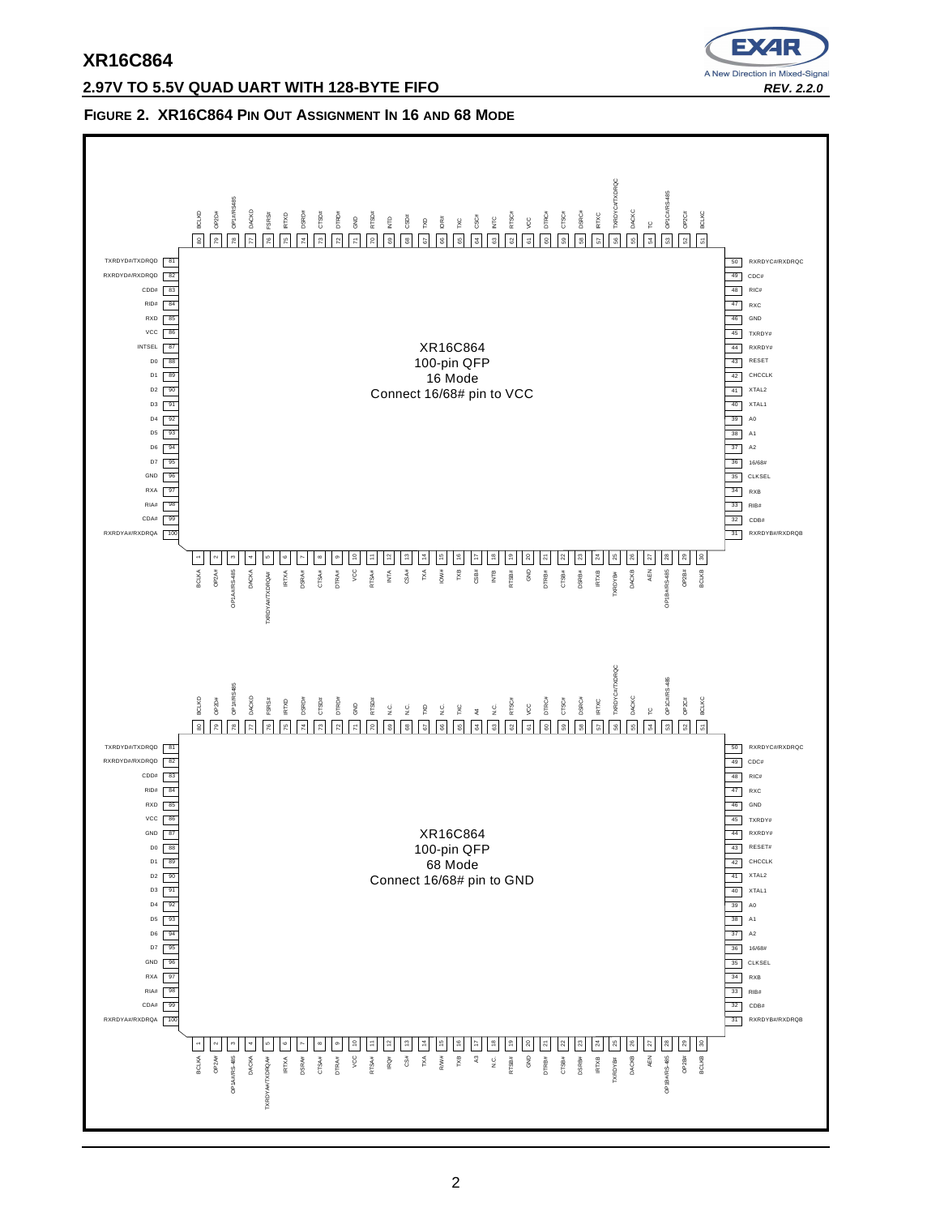# **2.97V TO 5.5V QUAD UART WITH 128-BYTE FIFO REV. 2.2.0**



#### **FIGURE 2. XR16C864 PIN OUT ASSIGNMENT IN 16 AND 68 MODE**

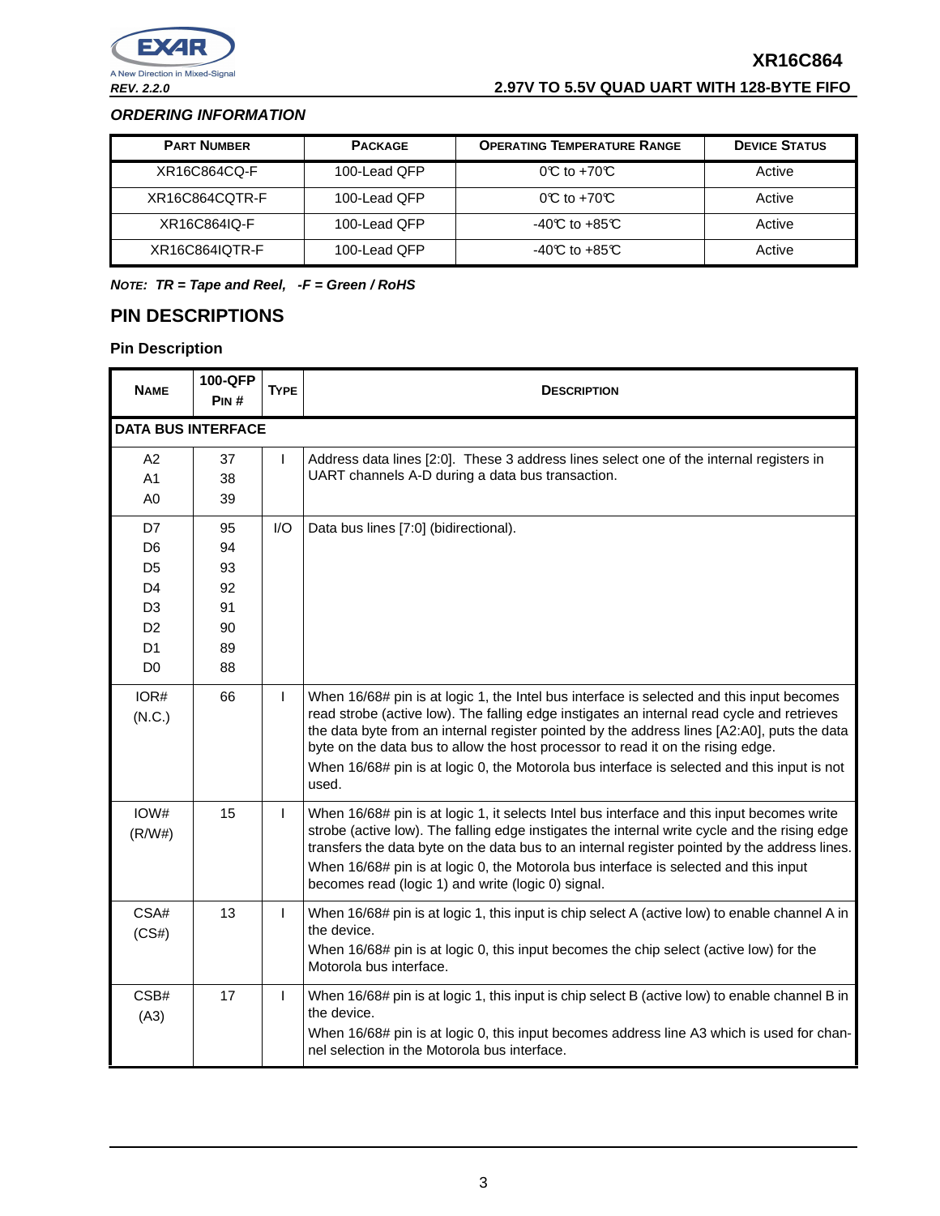**REV. 2.2.0 2.97V TO 5.5V QUAD UART WITH 128-BYTE FIFO**

## **ORDERING INFORMATION**

| <b>PART NUMBER</b> | <b>PACKAGE</b> | <b>OPERATING TEMPERATURE RANGE</b> | <b>DEVICE STATUS</b> |
|--------------------|----------------|------------------------------------|----------------------|
| XR16C864CQ-F       | 100-Lead QFP   | $OC$ to +70 $C$                    | Active               |
| XR16C864CQTR-F     | 100-Lead QFP   | $0^\circ \text{C}$ to +70 $\circ$  | Active               |
| XR16C864IQ-F       | 100-Lead QFP   | $-40C$ to $+85C$                   | Active               |
| XR16C864IQTR-F     | 100-Lead OFP   | $-40C$ to $+85C$                   | Active               |

**NOTE: TR = Tape and Reel, -F = Green / RoHS**

# **PIN DESCRIPTIONS**

| <b>NAME</b>               | <b>100-QFP</b><br>PIN# | <b>TYPE</b>  | <b>DESCRIPTION</b>                                                                                                                                                                                                                                                                                                                                                                                                                                                                |
|---------------------------|------------------------|--------------|-----------------------------------------------------------------------------------------------------------------------------------------------------------------------------------------------------------------------------------------------------------------------------------------------------------------------------------------------------------------------------------------------------------------------------------------------------------------------------------|
| <b>DATA BUS INTERFACE</b> |                        |              |                                                                                                                                                                                                                                                                                                                                                                                                                                                                                   |
| A2                        | 37                     | L            | Address data lines [2:0]. These 3 address lines select one of the internal registers in                                                                                                                                                                                                                                                                                                                                                                                           |
| A1                        | 38                     |              | UART channels A-D during a data bus transaction.                                                                                                                                                                                                                                                                                                                                                                                                                                  |
| A <sub>0</sub>            | 39                     |              |                                                                                                                                                                                                                                                                                                                                                                                                                                                                                   |
| D7                        | 95                     | I/O          | Data bus lines [7:0] (bidirectional).                                                                                                                                                                                                                                                                                                                                                                                                                                             |
| D <sub>6</sub>            | 94                     |              |                                                                                                                                                                                                                                                                                                                                                                                                                                                                                   |
| D5                        | 93                     |              |                                                                                                                                                                                                                                                                                                                                                                                                                                                                                   |
| D4                        | 92                     |              |                                                                                                                                                                                                                                                                                                                                                                                                                                                                                   |
| D <sub>3</sub>            | 91                     |              |                                                                                                                                                                                                                                                                                                                                                                                                                                                                                   |
| D <sub>2</sub>            | 90                     |              |                                                                                                                                                                                                                                                                                                                                                                                                                                                                                   |
| D1                        | 89                     |              |                                                                                                                                                                                                                                                                                                                                                                                                                                                                                   |
| D <sub>0</sub>            | 88                     |              |                                                                                                                                                                                                                                                                                                                                                                                                                                                                                   |
| IOR#<br>(N.C.)            | 66                     | $\mathbf{I}$ | When 16/68# pin is at logic 1, the Intel bus interface is selected and this input becomes<br>read strobe (active low). The falling edge instigates an internal read cycle and retrieves<br>the data byte from an internal register pointed by the address lines [A2:A0], puts the data<br>byte on the data bus to allow the host processor to read it on the rising edge.<br>When 16/68# pin is at logic 0, the Motorola bus interface is selected and this input is not<br>used. |
| IOW#<br>(R/W#)            | 15                     | $\mathbf{I}$ | When 16/68# pin is at logic 1, it selects Intel bus interface and this input becomes write<br>strobe (active low). The falling edge instigates the internal write cycle and the rising edge<br>transfers the data byte on the data bus to an internal register pointed by the address lines.<br>When 16/68# pin is at logic 0, the Motorola bus interface is selected and this input<br>becomes read (logic 1) and write (logic 0) signal.                                        |
| CSA#<br>(CS#)             | 13                     | $\mathbf{I}$ | When 16/68# pin is at logic 1, this input is chip select A (active low) to enable channel A in<br>the device.<br>When 16/68# pin is at logic 0, this input becomes the chip select (active low) for the<br>Motorola bus interface.                                                                                                                                                                                                                                                |
| CSB#<br>(A3)              | 17                     | $\mathbf{I}$ | When 16/68# pin is at logic 1, this input is chip select B (active low) to enable channel B in<br>the device.<br>When 16/68# pin is at logic 0, this input becomes address line A3 which is used for chan-<br>nel selection in the Motorola bus interface.                                                                                                                                                                                                                        |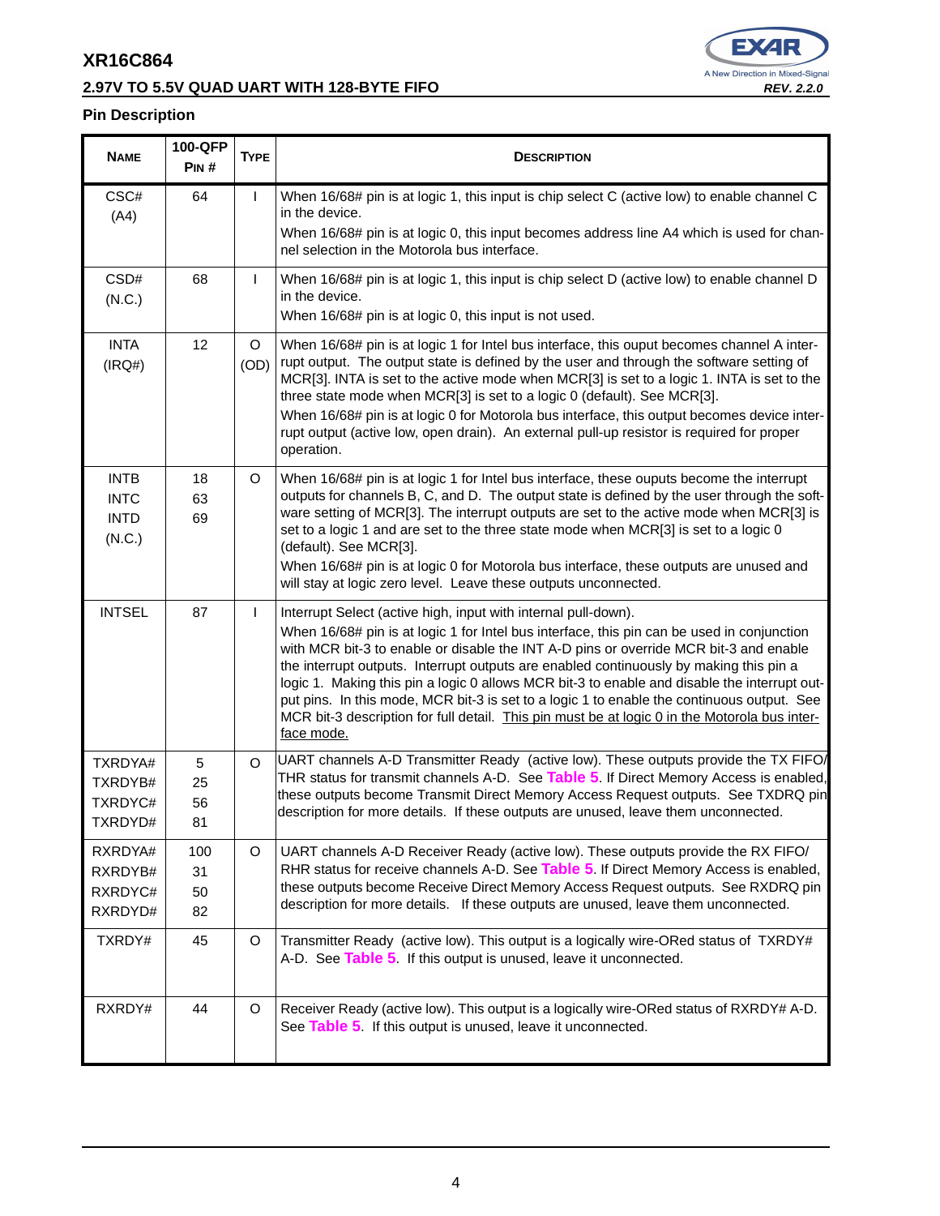г

# **2.97V TO 5.5V QUAD UART WITH 128-BYTE FIFO REV. 2.2.0**



T

| <b>NAME</b>                                         | 100-QFP<br>PIN#       | <b>TYPE</b>     | <b>DESCRIPTION</b>                                                                                                                                                                                                                                                                                                                                                                                                                                                                                                                                                                                                                                           |
|-----------------------------------------------------|-----------------------|-----------------|--------------------------------------------------------------------------------------------------------------------------------------------------------------------------------------------------------------------------------------------------------------------------------------------------------------------------------------------------------------------------------------------------------------------------------------------------------------------------------------------------------------------------------------------------------------------------------------------------------------------------------------------------------------|
| CSC#<br>(A4)                                        | 64                    | I               | When 16/68# pin is at logic 1, this input is chip select C (active low) to enable channel C<br>in the device.<br>When 16/68# pin is at logic 0, this input becomes address line A4 which is used for chan-<br>nel selection in the Motorola bus interface.                                                                                                                                                                                                                                                                                                                                                                                                   |
| CSD#<br>(N.C.)                                      | 68                    | T               | When 16/68# pin is at logic 1, this input is chip select D (active low) to enable channel D<br>in the device.<br>When 16/68# pin is at logic 0, this input is not used.                                                                                                                                                                                                                                                                                                                                                                                                                                                                                      |
| <b>INTA</b><br>(IRQ#)                               | 12                    | $\circ$<br>(OD) | When 16/68# pin is at logic 1 for Intel bus interface, this ouput becomes channel A inter-<br>rupt output. The output state is defined by the user and through the software setting of<br>MCR[3]. INTA is set to the active mode when MCR[3] is set to a logic 1. INTA is set to the<br>three state mode when MCR[3] is set to a logic 0 (default). See MCR[3].<br>When 16/68# pin is at logic 0 for Motorola bus interface, this output becomes device inter-<br>rupt output (active low, open drain). An external pull-up resistor is required for proper<br>operation.                                                                                    |
| <b>INTB</b><br><b>INTC</b><br><b>INTD</b><br>(N.C.) | 18<br>63<br>69        | $\circ$         | When 16/68# pin is at logic 1 for Intel bus interface, these ouputs become the interrupt<br>outputs for channels B, C, and D. The output state is defined by the user through the soft-<br>ware setting of MCR[3]. The interrupt outputs are set to the active mode when MCR[3] is<br>set to a logic 1 and are set to the three state mode when MCR[3] is set to a logic 0<br>(default). See MCR[3].<br>When 16/68# pin is at logic 0 for Motorola bus interface, these outputs are unused and<br>will stay at logic zero level. Leave these outputs unconnected.                                                                                            |
| <b>INTSEL</b>                                       | 87                    | L               | Interrupt Select (active high, input with internal pull-down).<br>When 16/68# pin is at logic 1 for Intel bus interface, this pin can be used in conjunction<br>with MCR bit-3 to enable or disable the INT A-D pins or override MCR bit-3 and enable<br>the interrupt outputs. Interrupt outputs are enabled continuously by making this pin a<br>logic 1. Making this pin a logic 0 allows MCR bit-3 to enable and disable the interrupt out-<br>put pins. In this mode, MCR bit-3 is set to a logic 1 to enable the continuous output. See<br>MCR bit-3 description for full detail. This pin must be at logic 0 in the Motorola bus inter-<br>face mode. |
| TXRDYA#<br>TXRDYB#<br>TXRDYC#<br>TXRDYD#            | 5<br>25<br>56<br>81   | $\circ$         | UART channels A-D Transmitter Ready (active low). These outputs provide the TX FIFO/<br>THR status for transmit channels A-D. See Table 5. If Direct Memory Access is enabled,<br>these outputs become Transmit Direct Memory Access Request outputs. See TXDRQ pin<br>description for more details. If these outputs are unused, leave them unconnected.                                                                                                                                                                                                                                                                                                    |
| RXRDYA#<br>RXRDYB#<br>RXRDYC#<br>RXRDYD#            | 100<br>31<br>50<br>82 | $\circ$         | UART channels A-D Receiver Ready (active low). These outputs provide the RX FIFO/<br>RHR status for receive channels A-D. See Table 5. If Direct Memory Access is enabled,<br>these outputs become Receive Direct Memory Access Request outputs. See RXDRQ pin<br>description for more details. If these outputs are unused, leave them unconnected.                                                                                                                                                                                                                                                                                                         |
| TXRDY#                                              | 45                    | $\circ$         | Transmitter Ready (active low). This output is a logically wire-ORed status of TXRDY#<br>A-D. See Table 5. If this output is unused, leave it unconnected.                                                                                                                                                                                                                                                                                                                                                                                                                                                                                                   |
| RXRDY#                                              | 44                    | $\circ$         | Receiver Ready (active low). This output is a logically wire-ORed status of RXRDY# A-D.<br>See Table 5 If this output is unused, leave it unconnected.                                                                                                                                                                                                                                                                                                                                                                                                                                                                                                       |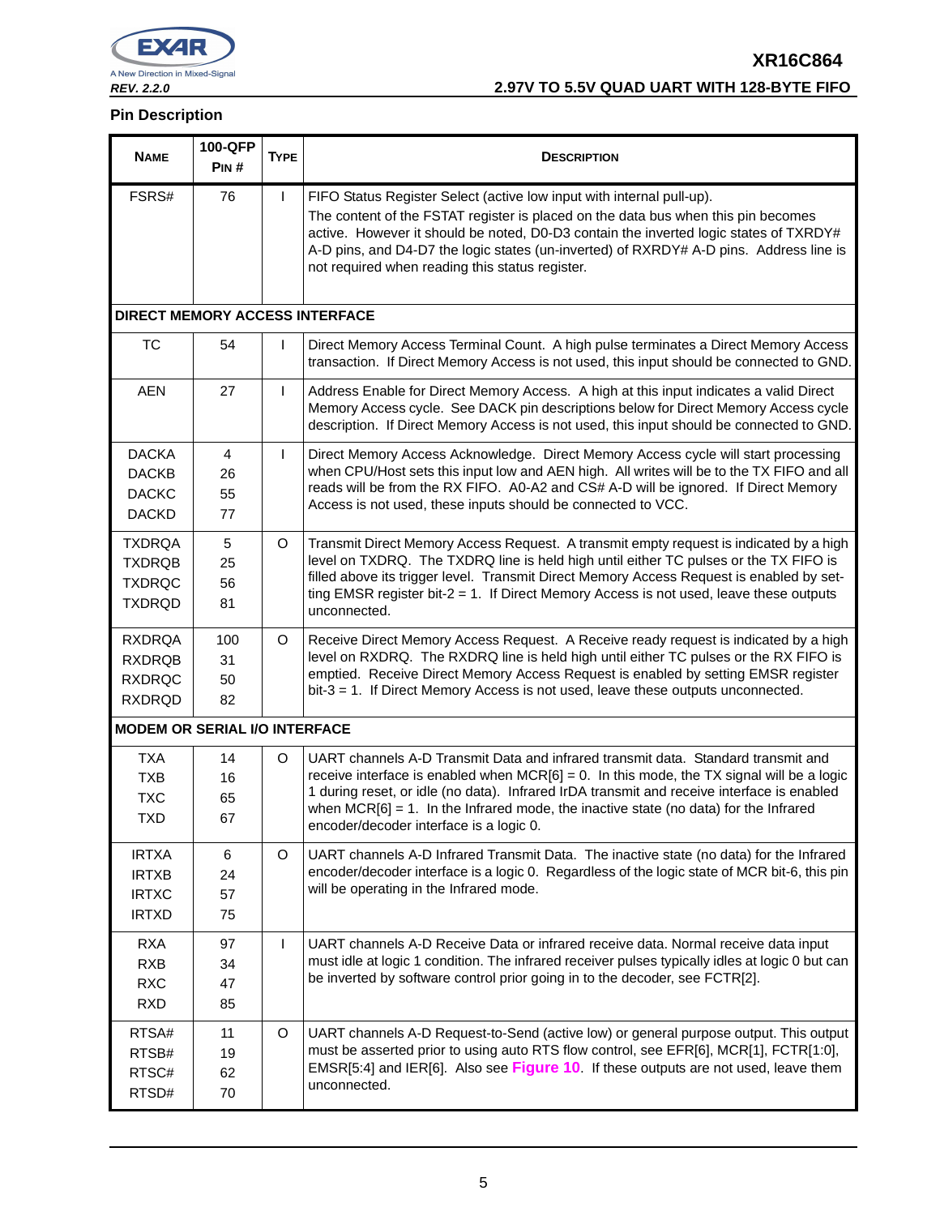

# **XR16C864 REV. 2.2.0 2.97V TO 5.5V QUAD UART WITH 128-BYTE FIFO**

| <b>NAME</b>                                                      | 100-QFP<br>PIN#       | <b>TYPE</b> | <b>DESCRIPTION</b>                                                                                                                                                                                                                                                                                                                                                                                                    |
|------------------------------------------------------------------|-----------------------|-------------|-----------------------------------------------------------------------------------------------------------------------------------------------------------------------------------------------------------------------------------------------------------------------------------------------------------------------------------------------------------------------------------------------------------------------|
| FSRS#                                                            | 76                    | L           | FIFO Status Register Select (active low input with internal pull-up).<br>The content of the FSTAT register is placed on the data bus when this pin becomes<br>active. However it should be noted, D0-D3 contain the inverted logic states of TXRDY#<br>A-D pins, and D4-D7 the logic states (un-inverted) of RXRDY# A-D pins. Address line is<br>not required when reading this status register.                      |
| <b>DIRECT MEMORY ACCESS INTERFACE</b>                            |                       |             |                                                                                                                                                                                                                                                                                                                                                                                                                       |
| TC                                                               | 54                    | ı           | Direct Memory Access Terminal Count. A high pulse terminates a Direct Memory Access<br>transaction. If Direct Memory Access is not used, this input should be connected to GND.                                                                                                                                                                                                                                       |
| <b>AEN</b>                                                       | 27                    | I.          | Address Enable for Direct Memory Access. A high at this input indicates a valid Direct<br>Memory Access cycle. See DACK pin descriptions below for Direct Memory Access cycle<br>description. If Direct Memory Access is not used, this input should be connected to GND.                                                                                                                                             |
| <b>DACKA</b><br><b>DACKB</b><br><b>DACKC</b><br><b>DACKD</b>     | 4<br>26<br>55<br>77   | L           | Direct Memory Access Acknowledge. Direct Memory Access cycle will start processing<br>when CPU/Host sets this input low and AEN high. All writes will be to the TX FIFO and all<br>reads will be from the RX FIFO. A0-A2 and CS# A-D will be ignored. If Direct Memory<br>Access is not used, these inputs should be connected to VCC.                                                                                |
| <b>TXDRQA</b><br><b>TXDRQB</b><br><b>TXDRQC</b><br><b>TXDRQD</b> | 5<br>25<br>56<br>81   | O           | Transmit Direct Memory Access Request. A transmit empty request is indicated by a high<br>level on TXDRQ. The TXDRQ line is held high until either TC pulses or the TX FIFO is<br>filled above its trigger level. Transmit Direct Memory Access Request is enabled by set-<br>ting EMSR register bit- $2 = 1$ . If Direct Memory Access is not used, leave these outputs<br>unconnected.                              |
| <b>RXDRQA</b><br><b>RXDRQB</b><br><b>RXDRQC</b><br><b>RXDRQD</b> | 100<br>31<br>50<br>82 | O           | Receive Direct Memory Access Request. A Receive ready request is indicated by a high<br>level on RXDRQ. The RXDRQ line is held high until either TC pulses or the RX FIFO is<br>emptied. Receive Direct Memory Access Request is enabled by setting EMSR register<br>$bit-3 = 1$ . If Direct Memory Access is not used, leave these outputs unconnected.                                                              |
| <b>MODEM OR SERIAL I/O INTERFACE</b>                             |                       |             |                                                                                                                                                                                                                                                                                                                                                                                                                       |
| <b>TXA</b><br><b>TXB</b><br><b>TXC</b><br><b>TXD</b>             | 14<br>16<br>65<br>67  | O           | UART channels A-D Transmit Data and infrared transmit data. Standard transmit and<br>receive interface is enabled when $MCR[6] = 0$ . In this mode, the TX signal will be a logic<br>1 during reset, or idle (no data). Infrared IrDA transmit and receive interface is enabled<br>when $MCR[6] = 1$ . In the Infrared mode, the inactive state (no data) for the Infrared<br>encoder/decoder interface is a logic 0. |
| <b>IRTXA</b><br><b>IRTXB</b><br><b>IRTXC</b><br><b>IRTXD</b>     | 6<br>24<br>57<br>75   | O           | UART channels A-D Infrared Transmit Data. The inactive state (no data) for the Infrared<br>encoder/decoder interface is a logic 0. Regardless of the logic state of MCR bit-6, this pin<br>will be operating in the Infrared mode.                                                                                                                                                                                    |
| <b>RXA</b><br><b>RXB</b><br><b>RXC</b><br><b>RXD</b>             | 97<br>34<br>47<br>85  | L           | UART channels A-D Receive Data or infrared receive data. Normal receive data input<br>must idle at logic 1 condition. The infrared receiver pulses typically idles at logic 0 but can<br>be inverted by software control prior going in to the decoder, see FCTR[2].                                                                                                                                                  |
| RTSA#<br>RTSB#<br>RTSC#<br>RTSD#                                 | 11<br>19<br>62<br>70  | O           | UART channels A-D Request-to-Send (active low) or general purpose output. This output<br>must be asserted prior to using auto RTS flow control, see EFR[6], MCR[1], FCTR[1:0],<br>EMSR[5:4] and IER[6]. Also see Figure 10. If these outputs are not used, leave them<br>unconnected.                                                                                                                                 |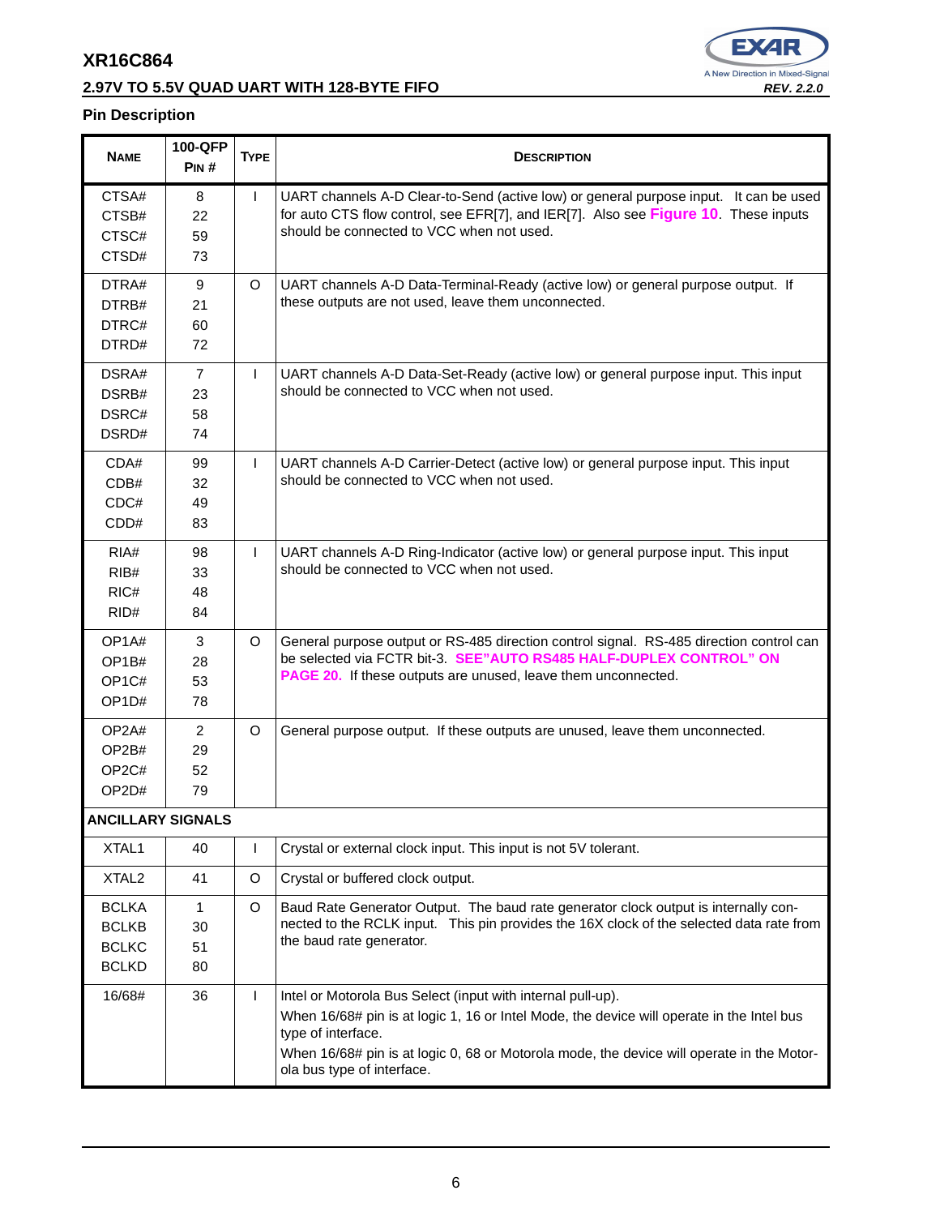# **2.97V TO 5.5V QUAD UART WITH 128-BYTE FIFO REV. 2.2.0**



| <b>NAME</b>              | 100-QFP<br>PIN# | <b>TYPE</b> | <b>DESCRIPTION</b>                                                                                                                                                                                                                                                                                        |
|--------------------------|-----------------|-------------|-----------------------------------------------------------------------------------------------------------------------------------------------------------------------------------------------------------------------------------------------------------------------------------------------------------|
| CTSA#                    | 8               | L           | UART channels A-D Clear-to-Send (active low) or general purpose input. It can be used                                                                                                                                                                                                                     |
| CTSB#                    | 22              |             | for auto CTS flow control, see EFR[7], and IER[7]. Also see Figure 10. These inputs                                                                                                                                                                                                                       |
| CTSC#                    | 59              |             | should be connected to VCC when not used.                                                                                                                                                                                                                                                                 |
| CTSD#                    | 73              |             |                                                                                                                                                                                                                                                                                                           |
| DTRA#                    | 9               | $\circ$     | UART channels A-D Data-Terminal-Ready (active low) or general purpose output. If                                                                                                                                                                                                                          |
| DTRB#                    | 21              |             | these outputs are not used, leave them unconnected.                                                                                                                                                                                                                                                       |
| DTRC#                    | 60              |             |                                                                                                                                                                                                                                                                                                           |
| DTRD#                    | 72              |             |                                                                                                                                                                                                                                                                                                           |
| DSRA#                    | $\overline{7}$  | L           | UART channels A-D Data-Set-Ready (active low) or general purpose input. This input                                                                                                                                                                                                                        |
| DSRB#                    | 23              |             | should be connected to VCC when not used.                                                                                                                                                                                                                                                                 |
| DSRC#                    | 58              |             |                                                                                                                                                                                                                                                                                                           |
| DSRD#                    | 74              |             |                                                                                                                                                                                                                                                                                                           |
| CDA#                     | 99              | L           | UART channels A-D Carrier-Detect (active low) or general purpose input. This input                                                                                                                                                                                                                        |
| CDB#                     | 32              |             | should be connected to VCC when not used.                                                                                                                                                                                                                                                                 |
| CDC#                     | 49              |             |                                                                                                                                                                                                                                                                                                           |
| CDD#                     | 83              |             |                                                                                                                                                                                                                                                                                                           |
| RIA#                     | 98              | T           | UART channels A-D Ring-Indicator (active low) or general purpose input. This input                                                                                                                                                                                                                        |
| RIB#                     | 33              |             | should be connected to VCC when not used.                                                                                                                                                                                                                                                                 |
| RIC#                     | 48              |             |                                                                                                                                                                                                                                                                                                           |
| RID#                     | 84              |             |                                                                                                                                                                                                                                                                                                           |
| OP <sub>1</sub> A#       | 3               | O           | General purpose output or RS-485 direction control signal. RS-485 direction control can                                                                                                                                                                                                                   |
| OP1B#                    | 28              |             | be selected via FCTR bit-3. SEE"AUTO RS485 HALF-DUPLEX CONTROL" ON                                                                                                                                                                                                                                        |
| OP <sub>1</sub> C#       | 53              |             | PAGE 20. If these outputs are unused, leave them unconnected.                                                                                                                                                                                                                                             |
| OP <sub>1</sub> D#       | 78              |             |                                                                                                                                                                                                                                                                                                           |
| OP2A#                    | $\overline{2}$  | $\circ$     | General purpose output. If these outputs are unused, leave them unconnected.                                                                                                                                                                                                                              |
| OP2B#                    | 29              |             |                                                                                                                                                                                                                                                                                                           |
| OP <sub>2</sub> C#       | 52              |             |                                                                                                                                                                                                                                                                                                           |
| OP2D#                    | 79              |             |                                                                                                                                                                                                                                                                                                           |
| <b>ANCILLARY SIGNALS</b> |                 |             |                                                                                                                                                                                                                                                                                                           |
| XTAL1                    | 40              | L           | Crystal or external clock input. This input is not 5V tolerant.                                                                                                                                                                                                                                           |
| XTAL <sub>2</sub>        | 41              | $\circ$     | Crystal or buffered clock output.                                                                                                                                                                                                                                                                         |
| <b>BCLKA</b>             | 1               | $\circ$     | Baud Rate Generator Output. The baud rate generator clock output is internally con-                                                                                                                                                                                                                       |
| <b>BCLKB</b>             | 30              |             | nected to the RCLK input. This pin provides the 16X clock of the selected data rate from                                                                                                                                                                                                                  |
| <b>BCLKC</b>             | 51              |             | the baud rate generator.                                                                                                                                                                                                                                                                                  |
| <b>BCLKD</b>             | 80              |             |                                                                                                                                                                                                                                                                                                           |
| 16/68#                   | 36              | L           | Intel or Motorola Bus Select (input with internal pull-up).<br>When 16/68# pin is at logic 1, 16 or Intel Mode, the device will operate in the Intel bus<br>type of interface.<br>When 16/68# pin is at logic 0, 68 or Motorola mode, the device will operate in the Motor-<br>ola bus type of interface. |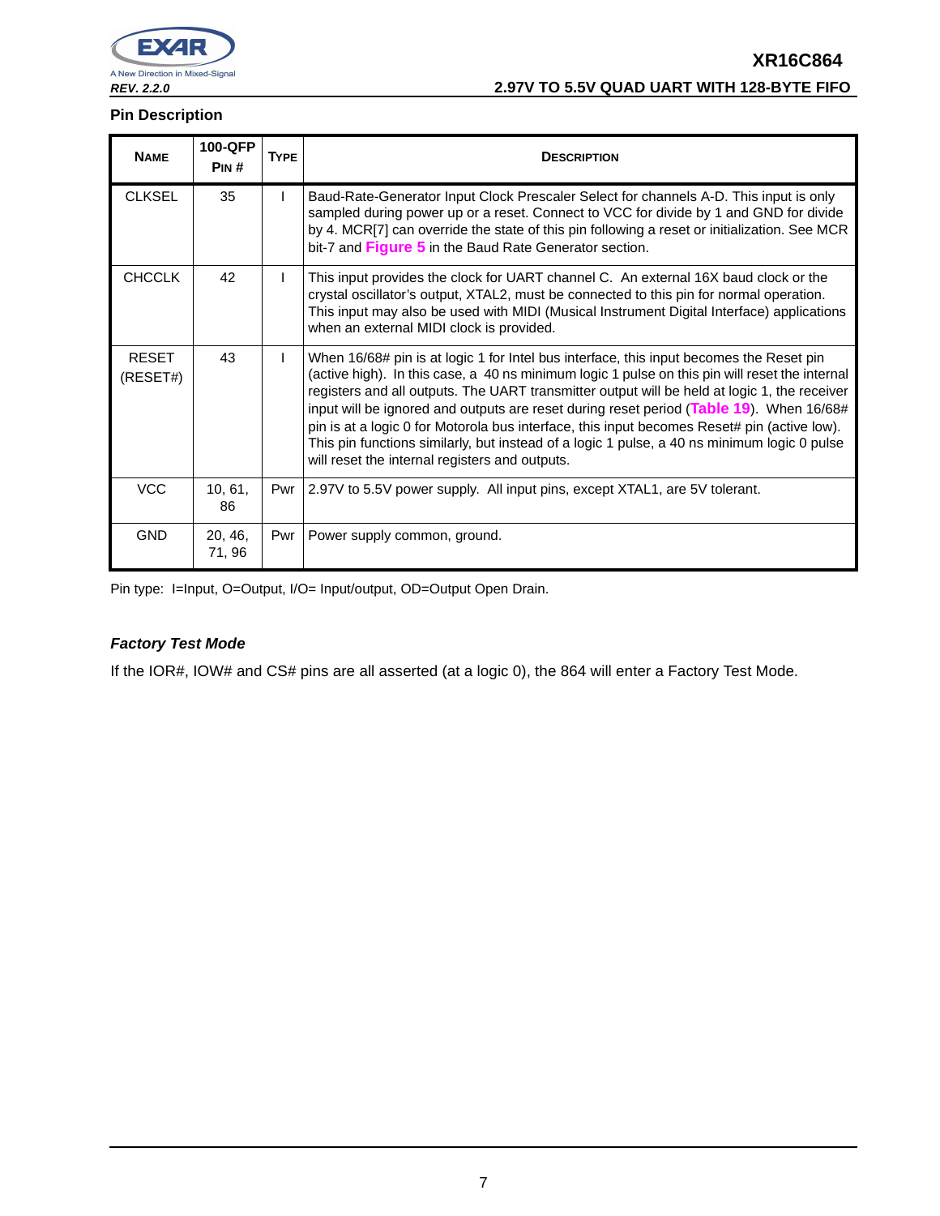

# **XR16C864 REV. 2.2.0 2.97V TO 5.5V QUAD UART WITH 128-BYTE FIFO**

## **Pin Description**

| <b>NAME</b>              | 100-QFP<br>PIN#   | <b>TYPE</b> | <b>DESCRIPTION</b>                                                                                                                                                                                                                                                                                                                                                                                                                                                                                                                                                                                                                   |
|--------------------------|-------------------|-------------|--------------------------------------------------------------------------------------------------------------------------------------------------------------------------------------------------------------------------------------------------------------------------------------------------------------------------------------------------------------------------------------------------------------------------------------------------------------------------------------------------------------------------------------------------------------------------------------------------------------------------------------|
| <b>CLKSEL</b>            | 35                |             | Baud-Rate-Generator Input Clock Prescaler Select for channels A-D. This input is only<br>sampled during power up or a reset. Connect to VCC for divide by 1 and GND for divide<br>by 4. MCR[7] can override the state of this pin following a reset or initialization. See MCR<br>bit-7 and Figure 5 in the Baud Rate Generator section.                                                                                                                                                                                                                                                                                             |
| <b>CHCCLK</b>            | 42                |             | This input provides the clock for UART channel C. An external 16X baud clock or the<br>crystal oscillator's output, XTAL2, must be connected to this pin for normal operation.<br>This input may also be used with MIDI (Musical Instrument Digital Interface) applications<br>when an external MIDI clock is provided.                                                                                                                                                                                                                                                                                                              |
| <b>RESET</b><br>(RESET#) | 43                |             | When 16/68# pin is at logic 1 for Intel bus interface, this input becomes the Reset pin<br>(active high). In this case, a 40 ns minimum logic 1 pulse on this pin will reset the internal<br>registers and all outputs. The UART transmitter output will be held at logic 1, the receiver<br>input will be ignored and outputs are reset during reset period (Table 19). When 16/68#<br>pin is at a logic 0 for Motorola bus interface, this input becomes Reset# pin (active low).<br>This pin functions similarly, but instead of a logic 1 pulse, a 40 ns minimum logic 0 pulse<br>will reset the internal registers and outputs. |
| <b>VCC</b>               | 10, 61,<br>86     |             | Pwr   2.97V to 5.5V power supply. All input pins, except XTAL1, are 5V tolerant.                                                                                                                                                                                                                                                                                                                                                                                                                                                                                                                                                     |
| <b>GND</b>               | 20, 46,<br>71, 96 | Pwr         | Power supply common, ground.                                                                                                                                                                                                                                                                                                                                                                                                                                                                                                                                                                                                         |

Pin type: I=Input, O=Output, I/O= Input/output, OD=Output Open Drain.

## **Factory Test Mode**

If the IOR#, IOW# and CS# pins are all asserted (at a logic 0), the 864 will enter a Factory Test Mode.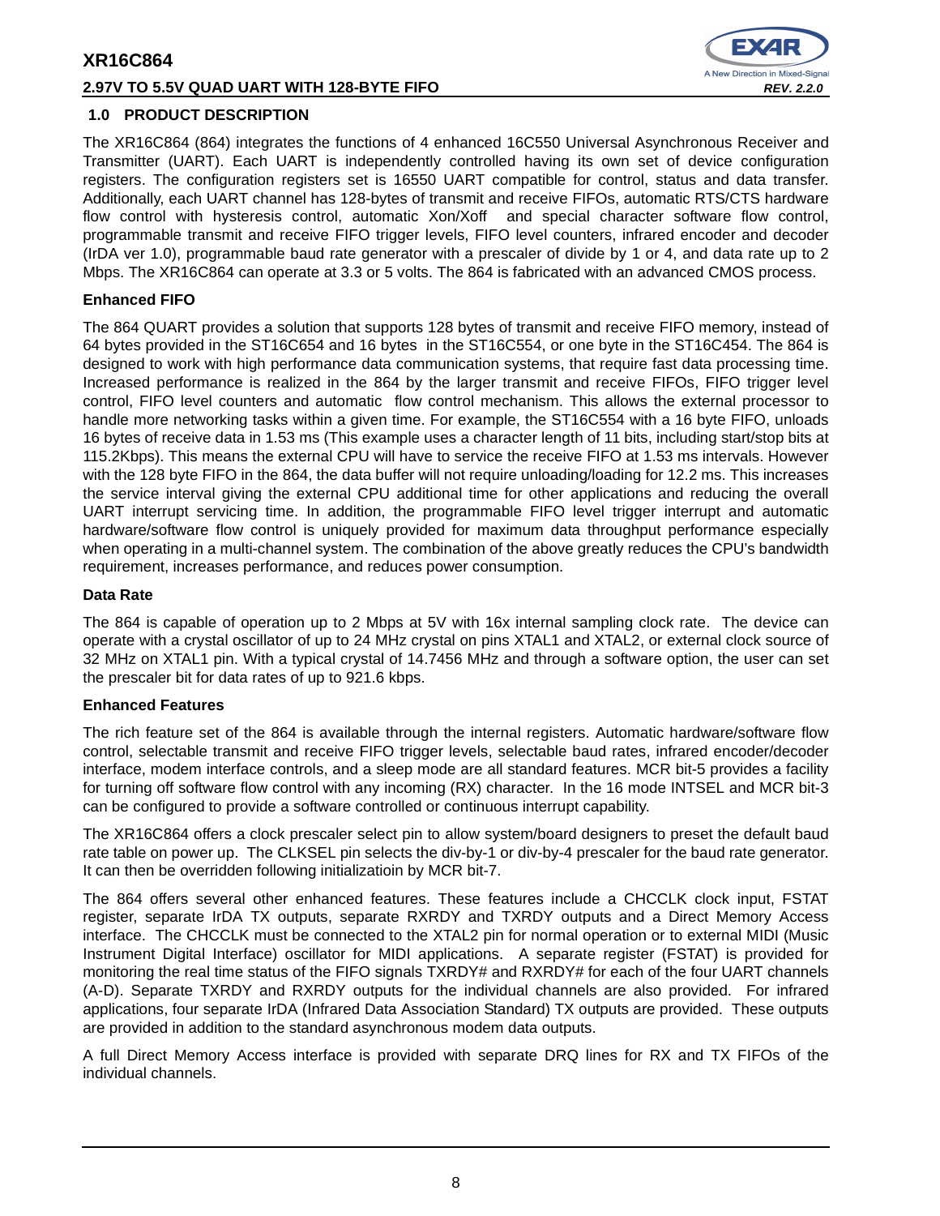## **2.97V TO 5.5V QUAD UART WITH 128-BYTE FIFO REV. 2.2.0**



## **1.0 PRODUCT DESCRIPTION**

The XR16C864 (864) integrates the functions of 4 enhanced 16C550 Universal Asynchronous Receiver and Transmitter (UART). Each UART is independently controlled having its own set of device configuration registers. The configuration registers set is 16550 UART compatible for control, status and data transfer. Additionally, each UART channel has 128-bytes of transmit and receive FIFOs, automatic RTS/CTS hardware flow control with hysteresis control, automatic Xon/Xoff and special character software flow control, programmable transmit and receive FIFO trigger levels, FIFO level counters, infrared encoder and decoder (IrDA ver 1.0), programmable baud rate generator with a prescaler of divide by 1 or 4, and data rate up to 2 Mbps. The XR16C864 can operate at 3.3 or 5 volts. The 864 is fabricated with an advanced CMOS process.

## **Enhanced FIFO**

The 864 QUART provides a solution that supports 128 bytes of transmit and receive FIFO memory, instead of 64 bytes provided in the ST16C654 and 16 bytes in the ST16C554, or one byte in the ST16C454. The 864 is designed to work with high performance data communication systems, that require fast data processing time. Increased performance is realized in the 864 by the larger transmit and receive FIFOs, FIFO trigger level control, FIFO level counters and automatic flow control mechanism. This allows the external processor to handle more networking tasks within a given time. For example, the ST16C554 with a 16 byte FIFO, unloads 16 bytes of receive data in 1.53 ms (This example uses a character length of 11 bits, including start/stop bits at 115.2Kbps). This means the external CPU will have to service the receive FIFO at 1.53 ms intervals. However with the 128 byte FIFO in the 864, the data buffer will not require unloading/loading for 12.2 ms. This increases the service interval giving the external CPU additional time for other applications and reducing the overall UART interrupt servicing time. In addition, the programmable FIFO level trigger interrupt and automatic hardware/software flow control is uniquely provided for maximum data throughput performance especially when operating in a multi-channel system. The combination of the above greatly reduces the CPU's bandwidth requirement, increases performance, and reduces power consumption.

## **Data Rate**

The 864 is capable of operation up to 2 Mbps at 5V with 16x internal sampling clock rate. The device can operate with a crystal oscillator of up to 24 MHz crystal on pins XTAL1 and XTAL2, or external clock source of 32 MHz on XTAL1 pin. With a typical crystal of 14.7456 MHz and through a software option, the user can set the prescaler bit for data rates of up to 921.6 kbps.

## **Enhanced Features**

The rich feature set of the 864 is available through the internal registers. Automatic hardware/software flow control, selectable transmit and receive FIFO trigger levels, selectable baud rates, infrared encoder/decoder interface, modem interface controls, and a sleep mode are all standard features. MCR bit-5 provides a facility for turning off software flow control with any incoming (RX) character. In the 16 mode INTSEL and MCR bit-3 can be configured to provide a software controlled or continuous interrupt capability.

The XR16C864 offers a clock prescaler select pin to allow system/board designers to preset the default baud rate table on power up. The CLKSEL pin selects the div-by-1 or div-by-4 prescaler for the baud rate generator. It can then be overridden following initializatioin by MCR bit-7.

The 864 offers several other enhanced features. These features include a CHCCLK clock input, FSTAT register, separate IrDA TX outputs, separate RXRDY and TXRDY outputs and a Direct Memory Access interface. The CHCCLK must be connected to the XTAL2 pin for normal operation or to external MIDI (Music Instrument Digital Interface) oscillator for MIDI applications. A separate register (FSTAT) is provided for monitoring the real time status of the FIFO signals TXRDY# and RXRDY# for each of the four UART channels (A-D). Separate TXRDY and RXRDY outputs for the individual channels are also provided. For infrared applications, four separate IrDA (Infrared Data Association Standard) TX outputs are provided. These outputs are provided in addition to the standard asynchronous modem data outputs.

A full Direct Memory Access interface is provided with separate DRQ lines for RX and TX FIFOs of the individual channels.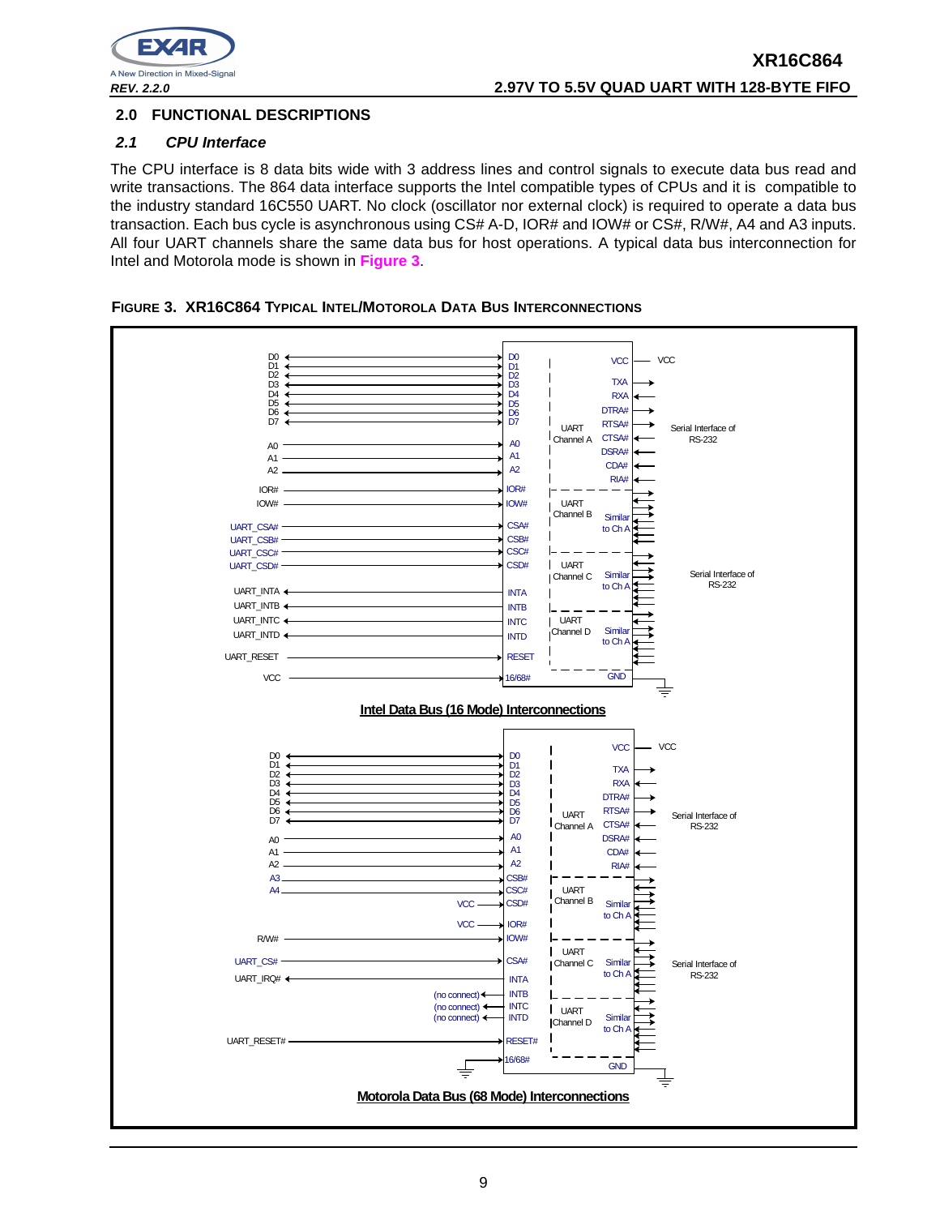

## **2.0 FUNCTIONAL DESCRIPTIONS**

## **2.1 CPU Interface**

The CPU interface is 8 data bits wide with 3 address lines and control signals to execute data bus read and write transactions. The 864 data interface supports the Intel compatible types of CPUs and it is compatible to the industry standard 16C550 UART. No clock (oscillator nor external clock) is required to operate a data bus transaction. Each bus cycle is asynchronous using CS# A-D, IOR# and IOW# or CS#, R/W#, A4 and A3 inputs. All four UART channels share the same data bus for host operations. A typical data bus interconnection for Intel and Motorola mode is shown in **Figure 3**.



**FIGURE 3. XR16C864 TYPICAL INTEL/MOTOROLA DATA BUS INTERCONNECTIONS**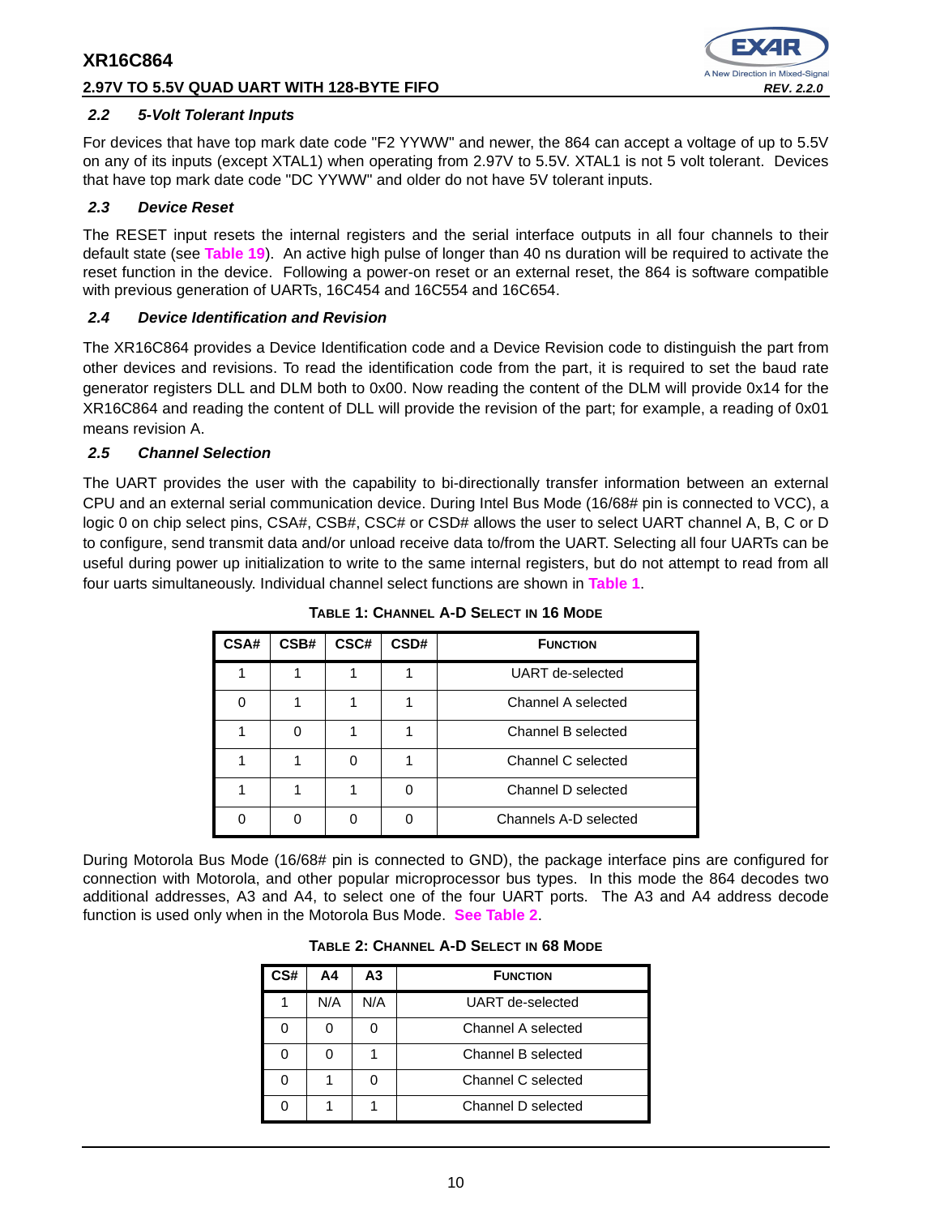## **2.97V TO 5.5V QUAD UART WITH 128-BYTE FIFO REV. 2.2.0**



## **2.2 5-Volt Tolerant Inputs**

For devices that have top mark date code "F2 YYWW" and newer, the 864 can accept a voltage of up to 5.5V on any of its inputs (except XTAL1) when operating from 2.97V to 5.5V. XTAL1 is not 5 volt tolerant. Devices that have top mark date code "DC YYWW" and older do not have 5V tolerant inputs.

## **2.3 Device Reset**

The RESET input resets the internal registers and the serial interface outputs in all four channels to their default state (see **Table 19**). An active high pulse of longer than 40 ns duration will be required to activate the reset function in the device. Following a power-on reset or an external reset, the 864 is software compatible with previous generation of UARTs, 16C454 and 16C554 and 16C654.

## **2.4 Device Identification and Revision**

The XR16C864 provides a Device Identification code and a Device Revision code to distinguish the part from other devices and revisions. To read the identification code from the part, it is required to set the baud rate generator registers DLL and DLM both to 0x00. Now reading the content of the DLM will provide 0x14 for the XR16C864 and reading the content of DLL will provide the revision of the part; for example, a reading of 0x01 means revision A.

## **2.5 Channel Selection**

The UART provides the user with the capability to bi-directionally transfer information between an external CPU and an external serial communication device. During Intel Bus Mode (16/68# pin is connected to VCC), a logic 0 on chip select pins, CSA#, CSB#, CSC# or CSD# allows the user to select UART channel A, B, C or D to configure, send transmit data and/or unload receive data to/from the UART. Selecting all four UARTs can be useful during power up initialization to write to the same internal registers, but do not attempt to read from all four uarts simultaneously. Individual channel select functions are shown in **Table 1**.

| <b>CSA#</b> | CSB# | CSC# | CSD# | <b>FUNCTION</b>       |
|-------------|------|------|------|-----------------------|
|             |      |      |      | UART de-selected      |
| ი           |      |      |      | Channel A selected    |
|             |      |      |      | Channel B selected    |
|             |      |      |      | Channel C selected    |
|             |      |      |      | Channel D selected    |
|             |      |      |      | Channels A-D selected |

**TABLE 1: CHANNEL A-D SELECT IN 16 MODE**

During Motorola Bus Mode (16/68# pin is connected to GND), the package interface pins are configured for connection with Motorola, and other popular microprocessor bus types. In this mode the 864 decodes two additional addresses, A3 and A4, to select one of the four UART ports. The A3 and A4 address decode function is used only when in the Motorola Bus Mode. **See Table 2**.

| TABLE 2: CHANNEL A-D SELECT IN 68 MODE |  |  |  |
|----------------------------------------|--|--|--|
|----------------------------------------|--|--|--|

| CS# | Α4  | А3  | <b>FUNCTION</b>    |
|-----|-----|-----|--------------------|
|     | N/A | N/A | UART de-selected   |
| ი   |     |     | Channel A selected |
|     |     |     | Channel B selected |
|     |     |     | Channel C selected |
|     |     |     | Channel D selected |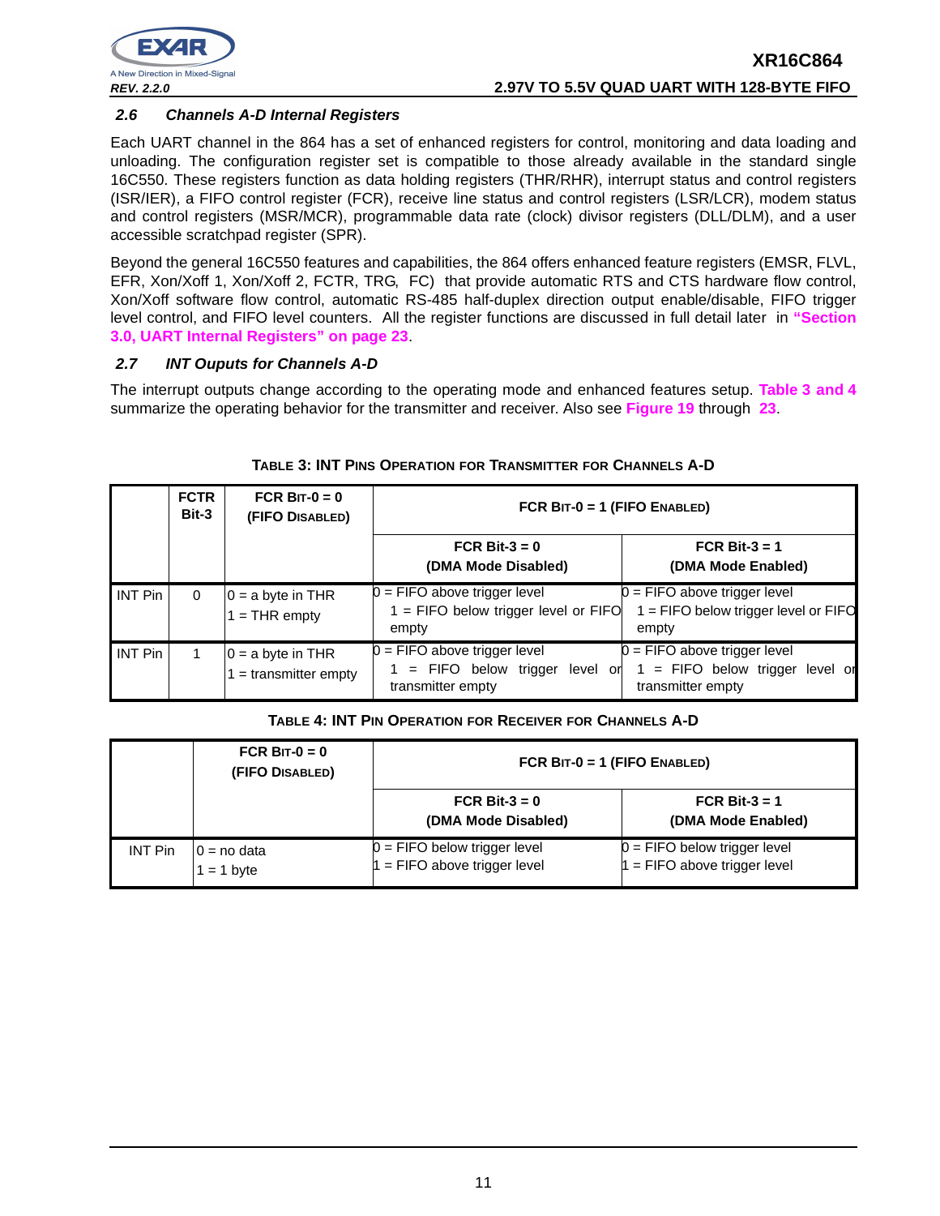

## **2.6 Channels A-D Internal Registers**

Each UART channel in the 864 has a set of enhanced registers for control, monitoring and data loading and unloading. The configuration register set is compatible to those already available in the standard single 16C550. These registers function as data holding registers (THR/RHR), interrupt status and control registers (ISR/IER), a FIFO control register (FCR), receive line status and control registers (LSR/LCR), modem status and control registers (MSR/MCR), programmable data rate (clock) divisor registers (DLL/DLM), and a user accessible scratchpad register (SPR).

Beyond the general 16C550 features and capabilities, the 864 offers enhanced feature registers (EMSR, FLVL, EFR, Xon/Xoff 1, Xon/Xoff 2, FCTR, TRG, FC) that provide automatic RTS and CTS hardware flow control, Xon/Xoff software flow control, automatic RS-485 half-duplex direction output enable/disable, FIFO trigger level control, and FIFO level counters. All the register functions are discussed in full detail later in **"Section 3.0, UART Internal Registers" on page 23**.

## **2.7 INT Ouputs for Channels A-D**

The interrupt outputs change according to the operating mode and enhanced features setup. **Table 3 and 4** summarize the operating behavior for the transmitter and receiver. Also see **Figure 19** through **23**.

|                | <b>FCTR</b><br>Bit-3 | FCR BIT- $0 = 0$<br>(FIFO DISABLED)          | FCR BIT-0 = 1 (FIFO ENABLED)                                                            |                                                                                        |  |  |
|----------------|----------------------|----------------------------------------------|-----------------------------------------------------------------------------------------|----------------------------------------------------------------------------------------|--|--|
|                |                      |                                              | FCR Bit-3 = $0$<br>(DMA Mode Disabled)                                                  | FCR Bit-3 = $1$<br>(DMA Mode Enabled)                                                  |  |  |
| <b>INT Pin</b> | 0                    | $0 = a$ byte in THR<br>$1 =$ THR empty       | $0 =$ FIFO above trigger level<br>$1 =$ FIFO below trigger level or FIFO<br>empty       | $0 =$ FIFO above trigger level<br>$1 =$ FIFO below trigger level or FIFO<br>empty      |  |  |
| INT Pin        |                      | $0 = a$ byte in THR<br>$=$ transmitter empty | $0 =$ FIFO above trigger level<br>= FIFO below trigger<br>level or<br>transmitter empty | $0 =$ FIFO above trigger level<br>$=$ FIFO below trigger level or<br>transmitter empty |  |  |

## **TABLE 3: INT PINS OPERATION FOR TRANSMITTER FOR CHANNELS A-D**

## **TABLE 4: INT PIN OPERATION FOR RECEIVER FOR CHANNELS A-D**

|                | FCR BIT- $0 = 0$<br>(FIFO DISABLED) | FCR $BIT-0 = 1$ (FIFO ENABLED)                                 |                                                                |  |
|----------------|-------------------------------------|----------------------------------------------------------------|----------------------------------------------------------------|--|
|                |                                     | FCR Bit- $3 = 0$<br>(DMA Mode Disabled)                        | FCR Bit- $3 = 1$<br>(DMA Mode Enabled)                         |  |
| <b>INT Pin</b> | $0 = no$ data<br>$= 1$ byte         | $0 =$ FIFO below trigger level<br>1 = FIFO above trigger level | $0 =$ FIFO below trigger level<br>$=$ FIFO above trigger level |  |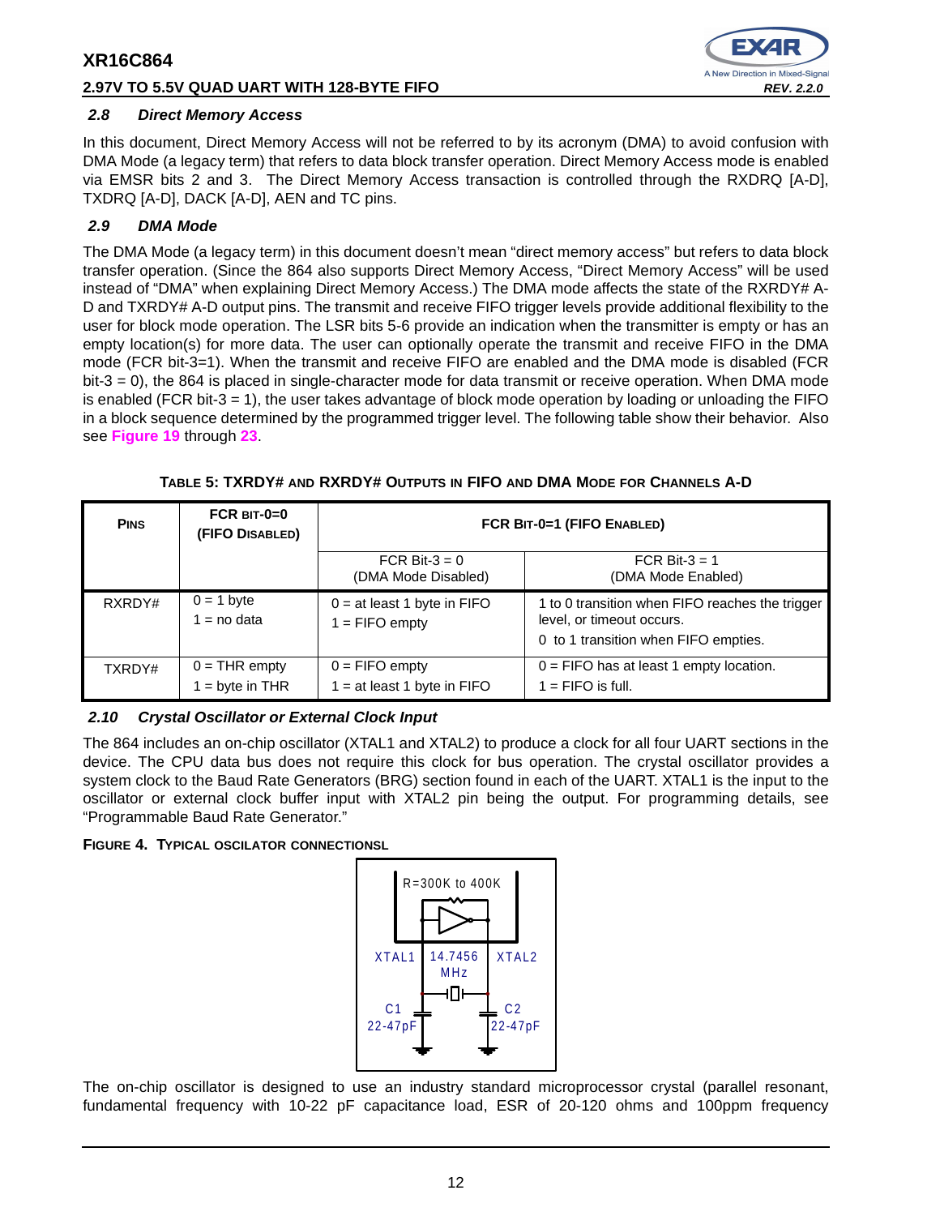## **2.97V TO 5.5V QUAD UART WITH 128-BYTE FIFO REV. 2.2.0**



## **2.8 Direct Memory Access**

In this document, Direct Memory Access will not be referred to by its acronym (DMA) to avoid confusion with DMA Mode (a legacy term) that refers to data block transfer operation. Direct Memory Access mode is enabled via EMSR bits 2 and 3. The Direct Memory Access transaction is controlled through the RXDRQ [A-D], TXDRQ [A-D], DACK [A-D], AEN and TC pins.

## **2.9 DMA Mode**

The DMA Mode (a legacy term) in this document doesn't mean "direct memory access" but refers to data block transfer operation. (Since the 864 also supports Direct Memory Access, "Direct Memory Access" will be used instead of "DMA" when explaining Direct Memory Access.) The DMA mode affects the state of the RXRDY# A-D and TXRDY# A-D output pins. The transmit and receive FIFO trigger levels provide additional flexibility to the user for block mode operation. The LSR bits 5-6 provide an indication when the transmitter is empty or has an empty location(s) for more data. The user can optionally operate the transmit and receive FIFO in the DMA mode (FCR bit-3=1). When the transmit and receive FIFO are enabled and the DMA mode is disabled (FCR bit-3 = 0), the 864 is placed in single-character mode for data transmit or receive operation. When DMA mode is enabled (FCR bit-3 = 1), the user takes advantage of block mode operation by loading or unloading the FIFO in a block sequence determined by the programmed trigger level. The following table show their behavior. Also see **Figure 19** through **23**.

| <b>PINS</b> | FCR $BIT-0=0$<br>(FIFO DISABLED)   | FCR BIT-0=1 (FIFO ENABLED)                        |                                                                                                                      |  |
|-------------|------------------------------------|---------------------------------------------------|----------------------------------------------------------------------------------------------------------------------|--|
|             |                                    | FCR Bit- $3 = 0$<br>(DMA Mode Disabled)           | FCR Bit- $3 = 1$<br>(DMA Mode Enabled)                                                                               |  |
| RXRDY#      | $0 = 1$ byte<br>$1 = no$ data      | $0 = at least 1 byte in FIFO$<br>$1 =$ FIFO empty | 1 to 0 transition when FIFO reaches the trigger<br>level, or timeout occurs.<br>0 to 1 transition when FIFO empties. |  |
| TXRDY#      | $0 = THR$ empty<br>$=$ byte in THR | $0 =$ FIFO empty<br>$1 = at least 1 byte in FIFO$ | $0 =$ FIFO has at least 1 empty location.<br>$1 =$ FIFO is full.                                                     |  |

**TABLE 5: TXRDY# AND RXRDY# OUTPUTS IN FIFO AND DMA MODE FOR CHANNELS A-D**

## **2.10 Crystal Oscillator or External Clock Input**

The 864 includes an on-chip oscillator (XTAL1 and XTAL2) to produce a clock for all four UART sections in the device. The CPU data bus does not require this clock for bus operation. The crystal oscillator provides a system clock to the Baud Rate Generators (BRG) section found in each of the UART. XTAL1 is the input to the oscillator or external clock buffer input with XTAL2 pin being the output. For programming details, see "Programmable Baud Rate Generator."

**FIGURE 4. TYPICAL OSCILATOR CONNECTIONSL**



The on-chip oscillator is designed to use an industry standard microprocessor crystal (parallel resonant, fundamental frequency with 10-22 pF capacitance load, ESR of 20-120 ohms and 100ppm frequency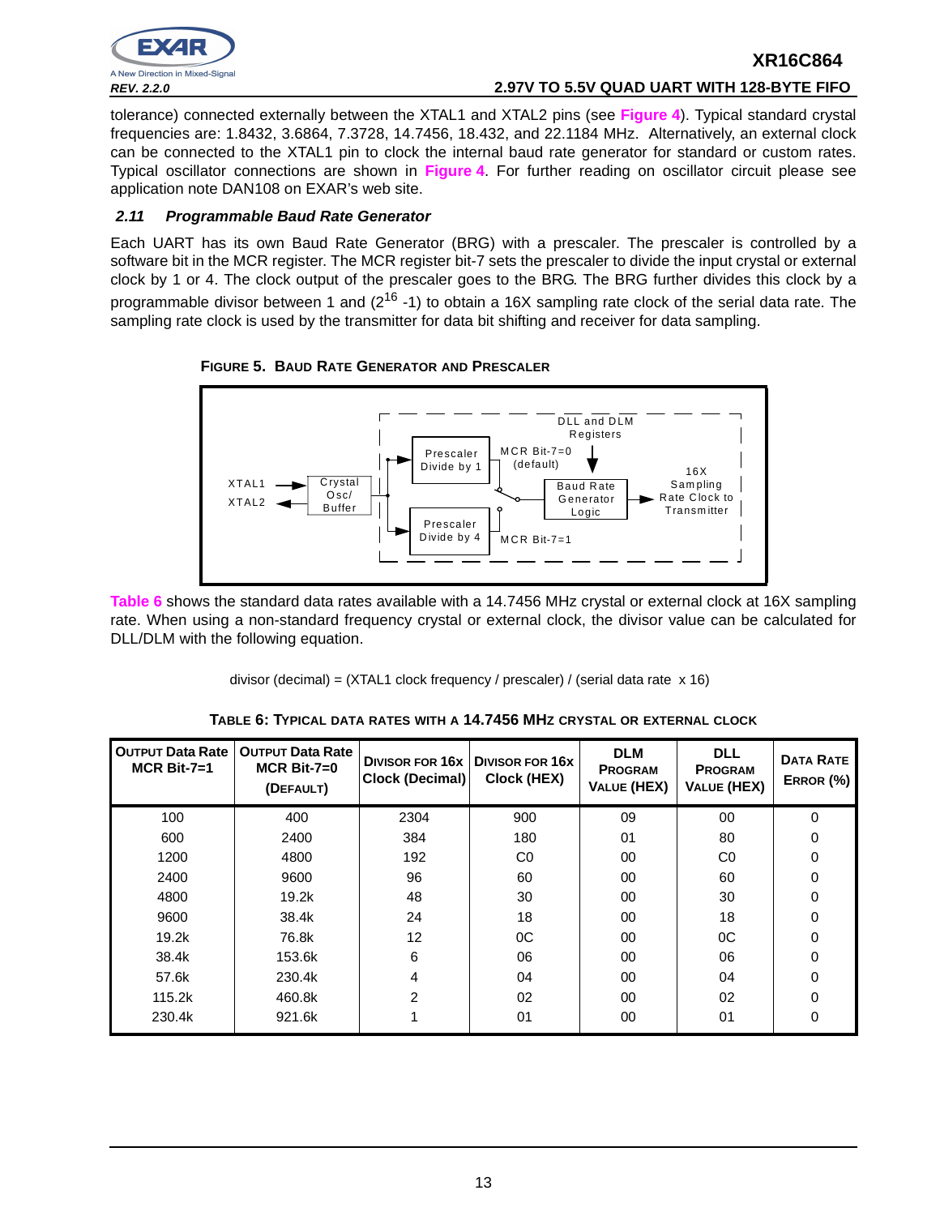

# **REV. 2.2.0 2.97V TO 5.5V QUAD UART WITH 128-BYTE FIFO**

**XR16C864**

tolerance) connected externally between the XTAL1 and XTAL2 pins (see **Figure 4**). Typical standard crystal frequencies are: 1.8432, 3.6864, 7.3728, 14.7456, 18.432, and 22.1184 MHz. Alternatively, an external clock can be connected to the XTAL1 pin to clock the internal baud rate generator for standard or custom rates. Typical oscillator connections are shown in **Figure 4**. For further reading on oscillator circuit please see application note DAN108 on EXAR's web site.

## **2.11 Programmable Baud Rate Generator**

Each UART has its own Baud Rate Generator (BRG) with a prescaler. The prescaler is controlled by a software bit in the MCR register. The MCR register bit-7 sets the prescaler to divide the input crystal or external clock by 1 or 4. The clock output of the prescaler goes to the BRG. The BRG further divides this clock by a programmable divisor between 1 and  $(2^{16} - 1)$  to obtain a 16X sampling rate clock of the serial data rate. The sampling rate clock is used by the transmitter for data bit shifting and receiver for data sampling.





**Table 6** shows the standard data rates available with a 14.7456 MHz crystal or external clock at 16X sampling rate. When using a non-standard frequency crystal or external clock, the divisor value can be calculated for DLL/DLM with the following equation.

divisor (decimal) = (XTAL1 clock frequency / prescaler) / (serial data rate x 16)

| <b>OUTPUT Data Rate</b><br>$MCR$ Bit-7=1 | <b>OUTPUT Data Rate</b><br>$MCR$ Bit-7=0<br>(DEFAULT) | <b>DIVISOR FOR 16x   DIVISOR FOR 16X</b><br>Clock (Decimal) | Clock (HEX)    | <b>DLM</b><br><b>PROGRAM</b><br>VALUE (HEX) | <b>DLL</b><br><b>PROGRAM</b><br><b>VALUE (HEX)</b> | <b>DATA RATE</b><br>ERROR (%) |
|------------------------------------------|-------------------------------------------------------|-------------------------------------------------------------|----------------|---------------------------------------------|----------------------------------------------------|-------------------------------|
| 100                                      | 400                                                   | 2304                                                        | 900            | 09                                          | 00                                                 | 0                             |
| 600                                      | 2400                                                  | 384                                                         | 180            | 01                                          | 80                                                 | 0                             |
| 1200                                     | 4800                                                  | 192                                                         | C <sub>0</sub> | 00                                          | C0                                                 | 0                             |
| 2400                                     | 9600                                                  | 96                                                          | 60             | 00                                          | 60                                                 | 0                             |
| 4800                                     | 19.2k                                                 | 48                                                          | 30             | 00                                          | 30                                                 | 0                             |
| 9600                                     | 38.4k                                                 | 24                                                          | 18             | 00                                          | 18                                                 | 0                             |
| 19.2k                                    | 76.8k                                                 | 12                                                          | $_{0C}$        | 00                                          | 0C                                                 | 0                             |
| 38.4k                                    | 153.6k                                                | 6                                                           | 06             | 00                                          | 06                                                 | 0                             |
| 57.6k                                    | 230.4k                                                | 4                                                           | 04             | 00                                          | 04                                                 | 0                             |
| 115.2k                                   | 460.8k                                                | 2                                                           | 02             | 00                                          | 02                                                 | 0                             |
| 230.4k                                   | 921.6k                                                |                                                             | 01             | 00                                          | 01                                                 | 0                             |

**TABLE 6: TYPICAL DATA RATES WITH A 14.7456 MHZ CRYSTAL OR EXTERNAL CLOCK**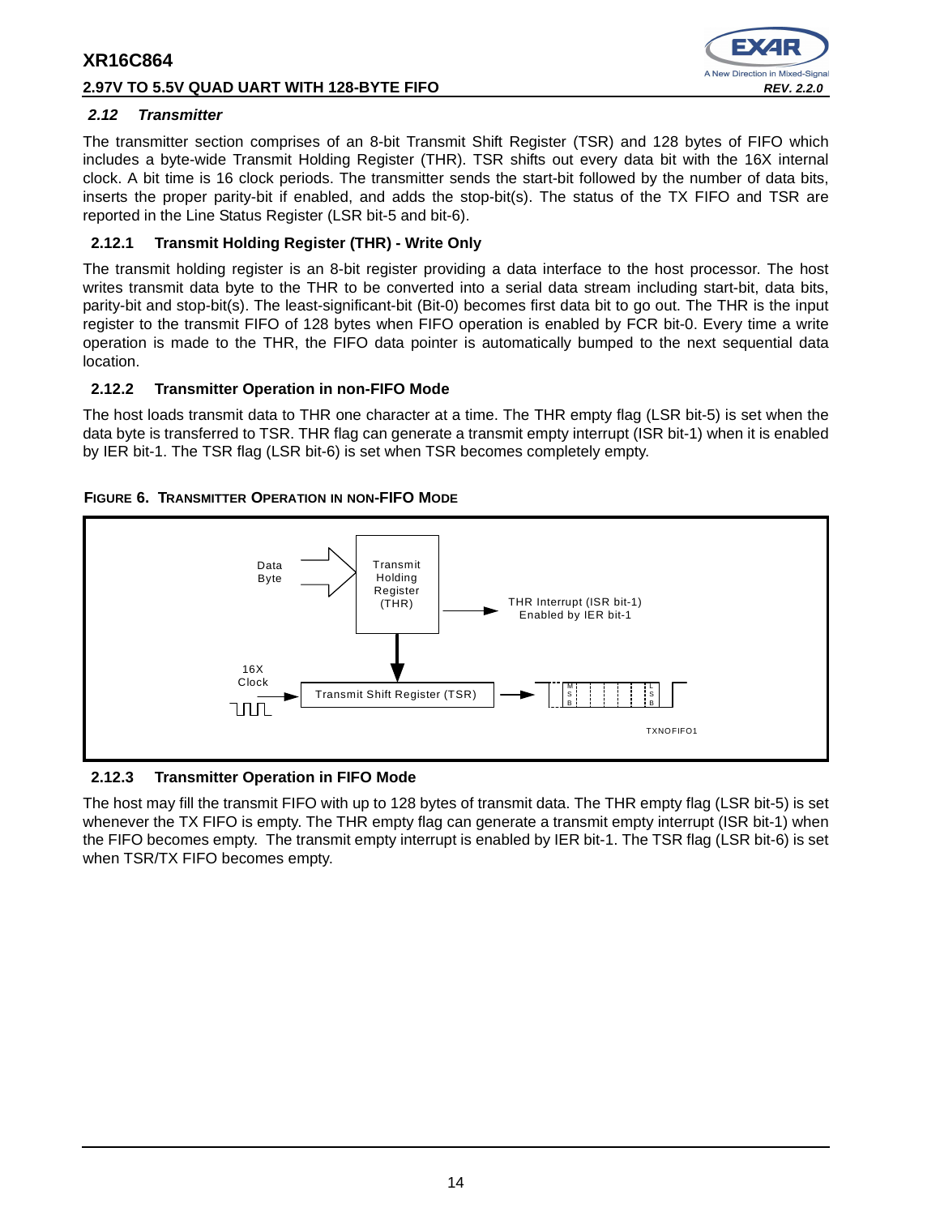## **2.97V TO 5.5V QUAD UART WITH 128-BYTE FIFO REV. 2.2.0**



## **2.12 Transmitter**

The transmitter section comprises of an 8-bit Transmit Shift Register (TSR) and 128 bytes of FIFO which includes a byte-wide Transmit Holding Register (THR). TSR shifts out every data bit with the 16X internal clock. A bit time is 16 clock periods. The transmitter sends the start-bit followed by the number of data bits, inserts the proper parity-bit if enabled, and adds the stop-bit(s). The status of the TX FIFO and TSR are reported in the Line Status Register (LSR bit-5 and bit-6).

## **2.12.1 Transmit Holding Register (THR) - Write Only**

The transmit holding register is an 8-bit register providing a data interface to the host processor. The host writes transmit data byte to the THR to be converted into a serial data stream including start-bit, data bits, parity-bit and stop-bit(s). The least-significant-bit (Bit-0) becomes first data bit to go out. The THR is the input register to the transmit FIFO of 128 bytes when FIFO operation is enabled by FCR bit-0. Every time a write operation is made to the THR, the FIFO data pointer is automatically bumped to the next sequential data location.

## **2.12.2 Transmitter Operation in non-FIFO Mode**

The host loads transmit data to THR one character at a time. The THR empty flag (LSR bit-5) is set when the data byte is transferred to TSR. THR flag can generate a transmit empty interrupt (ISR bit-1) when it is enabled by IER bit-1. The TSR flag (LSR bit-6) is set when TSR becomes completely empty.

## **FIGURE 6. TRANSMITTER OPERATION IN NON-FIFO MODE**



## **2.12.3 Transmitter Operation in FIFO Mode**

The host may fill the transmit FIFO with up to 128 bytes of transmit data. The THR empty flag (LSR bit-5) is set whenever the TX FIFO is empty. The THR empty flag can generate a transmit empty interrupt (ISR bit-1) when the FIFO becomes empty. The transmit empty interrupt is enabled by IER bit-1. The TSR flag (LSR bit-6) is set when TSR/TX FIFO becomes empty.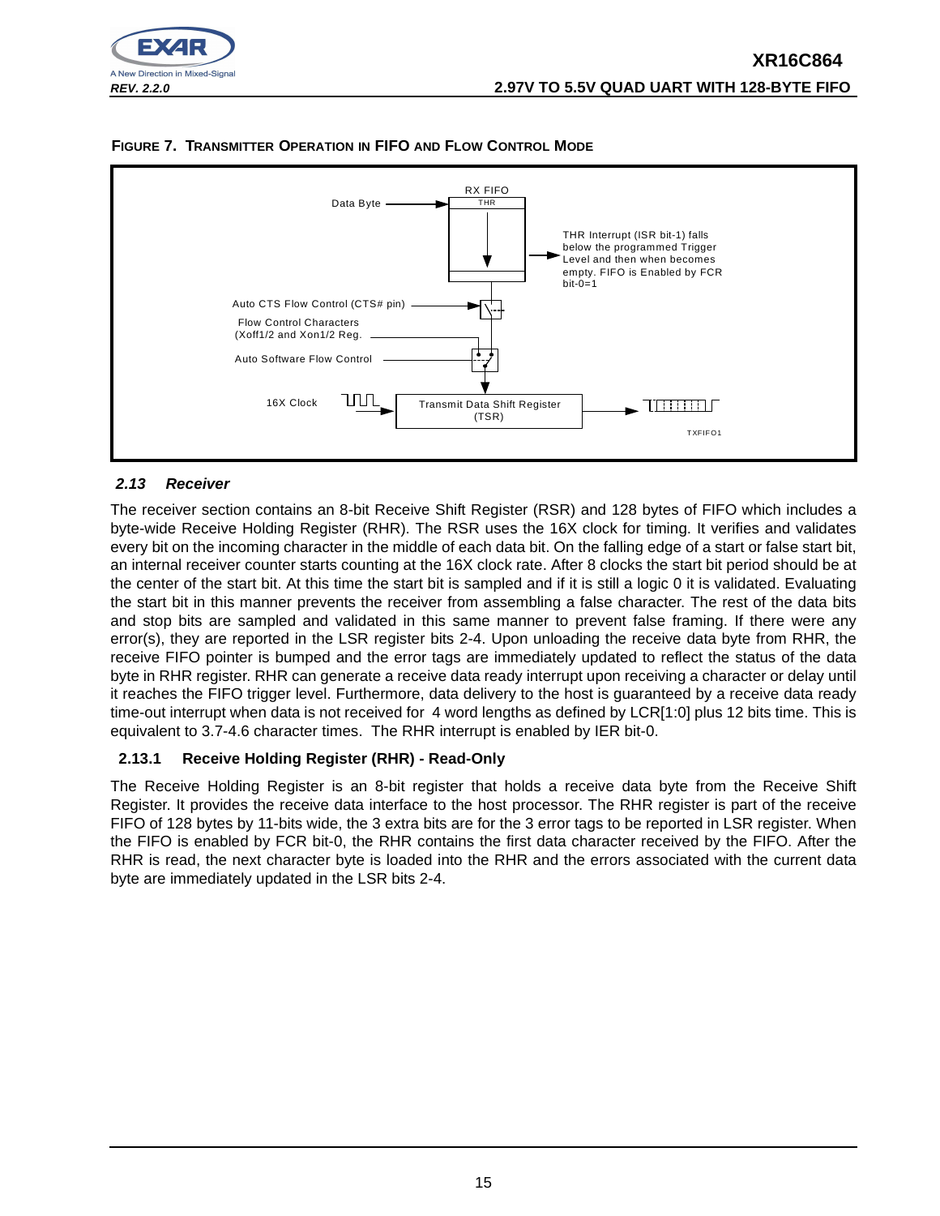





## **2.13 Receiver**

The receiver section contains an 8-bit Receive Shift Register (RSR) and 128 bytes of FIFO which includes a byte-wide Receive Holding Register (RHR). The RSR uses the 16X clock for timing. It verifies and validates every bit on the incoming character in the middle of each data bit. On the falling edge of a start or false start bit, an internal receiver counter starts counting at the 16X clock rate. After 8 clocks the start bit period should be at the center of the start bit. At this time the start bit is sampled and if it is still a logic 0 it is validated. Evaluating the start bit in this manner prevents the receiver from assembling a false character. The rest of the data bits and stop bits are sampled and validated in this same manner to prevent false framing. If there were any error(s), they are reported in the LSR register bits 2-4. Upon unloading the receive data byte from RHR, the receive FIFO pointer is bumped and the error tags are immediately updated to reflect the status of the data byte in RHR register. RHR can generate a receive data ready interrupt upon receiving a character or delay until it reaches the FIFO trigger level. Furthermore, data delivery to the host is guaranteed by a receive data ready time-out interrupt when data is not received for 4 word lengths as defined by LCR[1:0] plus 12 bits time. This is equivalent to 3.7-4.6 character times. The RHR interrupt is enabled by IER bit-0.

## **2.13.1 Receive Holding Register (RHR) - Read-Only**

The Receive Holding Register is an 8-bit register that holds a receive data byte from the Receive Shift Register. It provides the receive data interface to the host processor. The RHR register is part of the receive FIFO of 128 bytes by 11-bits wide, the 3 extra bits are for the 3 error tags to be reported in LSR register. When the FIFO is enabled by FCR bit-0, the RHR contains the first data character received by the FIFO. After the RHR is read, the next character byte is loaded into the RHR and the errors associated with the current data byte are immediately updated in the LSR bits 2-4.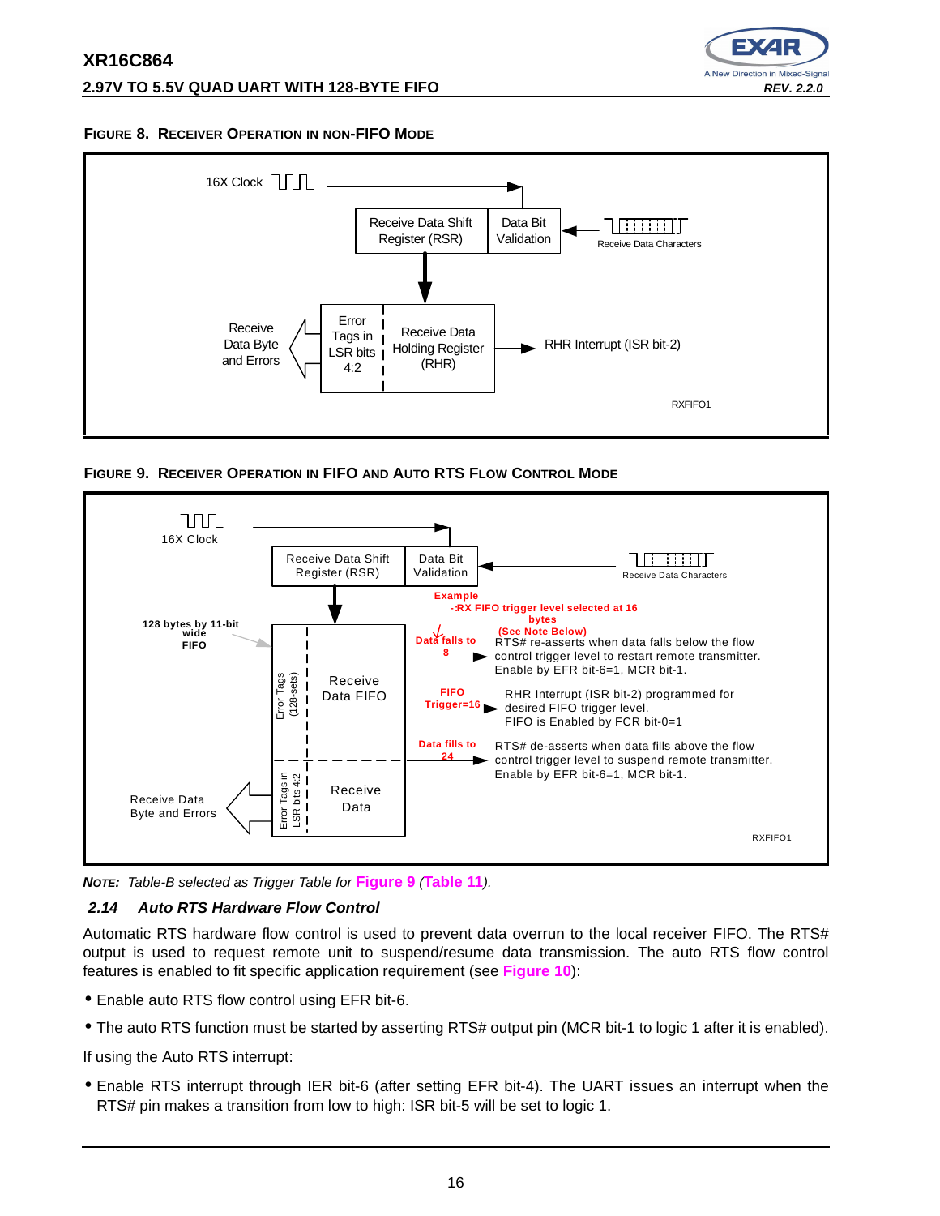## **2.97V TO 5.5V QUAD UART WITH 128-BYTE FIFO REV. 2.2.0**



## **FIGURE 8. RECEIVER OPERATION IN NON-FIFO MODE**



**FIGURE 9. RECEIVER OPERATION IN FIFO AND AUTO RTS FLOW CONTROL MODE**



**NOTE:** Table-B selected as Trigger Table for **Figure 9** (**Table 11**).

## **2.14 Auto RTS Hardware Flow Control**

Automatic RTS hardware flow control is used to prevent data overrun to the local receiver FIFO. The RTS# output is used to request remote unit to suspend/resume data transmission. The auto RTS flow control features is enabled to fit specific application requirement (see **Figure 10**):

- Enable auto RTS flow control using EFR bit-6.
- The auto RTS function must be started by asserting RTS# output pin (MCR bit-1 to logic 1 after it is enabled).

If using the Auto RTS interrupt:

• Enable RTS interrupt through IER bit-6 (after setting EFR bit-4). The UART issues an interrupt when the RTS# pin makes a transition from low to high: ISR bit-5 will be set to logic 1.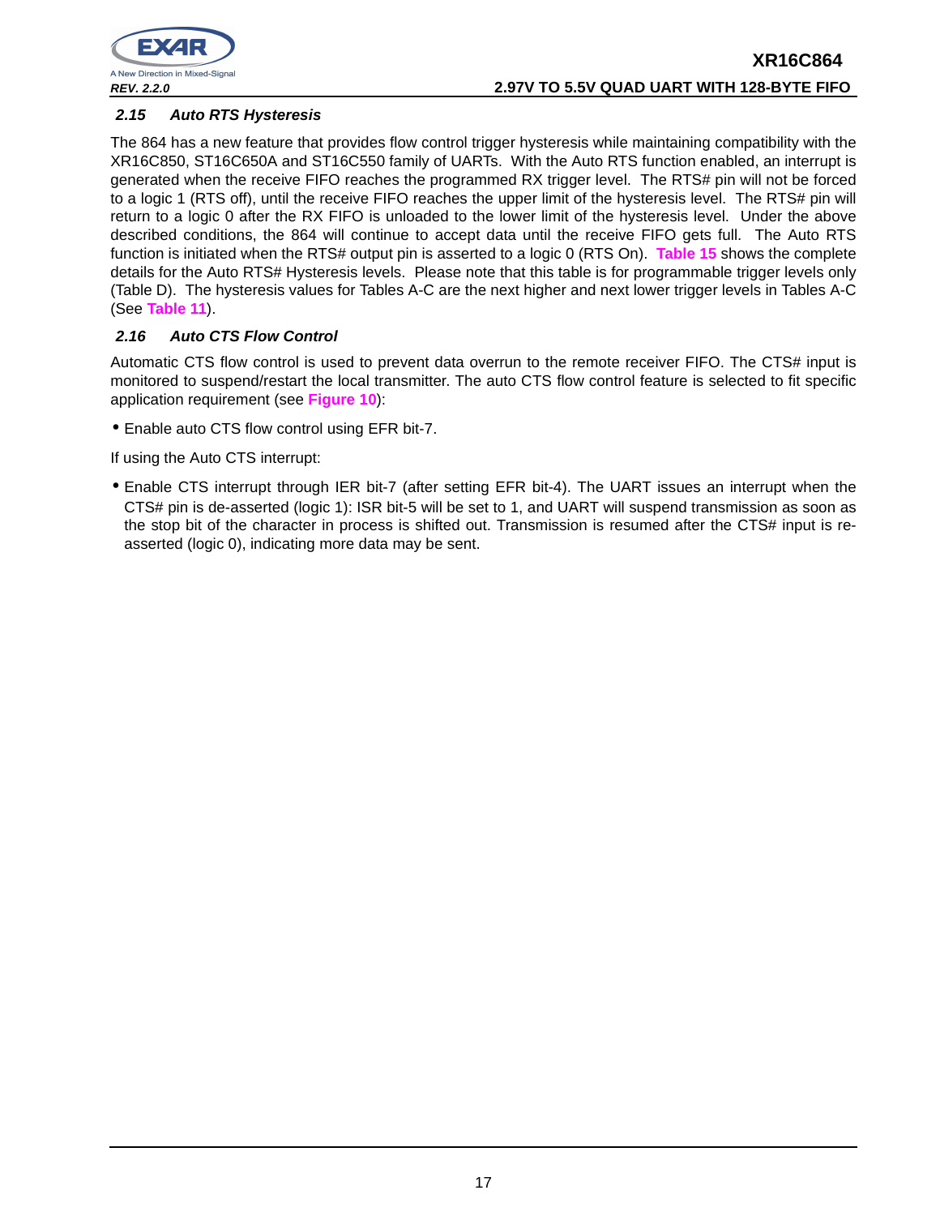

## **2.15 Auto RTS Hysteresis**

The 864 has a new feature that provides flow control trigger hysteresis while maintaining compatibility with the XR16C850, ST16C650A and ST16C550 family of UARTs. With the Auto RTS function enabled, an interrupt is generated when the receive FIFO reaches the programmed RX trigger level. The RTS# pin will not be forced to a logic 1 (RTS off), until the receive FIFO reaches the upper limit of the hysteresis level. The RTS# pin will return to a logic 0 after the RX FIFO is unloaded to the lower limit of the hysteresis level. Under the above described conditions, the 864 will continue to accept data until the receive FIFO gets full. The Auto RTS function is initiated when the RTS# output pin is asserted to a logic 0 (RTS On). **Table 15** shows the complete details for the Auto RTS# Hysteresis levels. Please note that this table is for programmable trigger levels only (Table D). The hysteresis values for Tables A-C are the next higher and next lower trigger levels in Tables A-C (See **Table 11**).

## **2.16 Auto CTS Flow Control**

Automatic CTS flow control is used to prevent data overrun to the remote receiver FIFO. The CTS# input is monitored to suspend/restart the local transmitter. The auto CTS flow control feature is selected to fit specific application requirement (see **Figure 10**):

• Enable auto CTS flow control using EFR bit-7.

If using the Auto CTS interrupt:

• Enable CTS interrupt through IER bit-7 (after setting EFR bit-4). The UART issues an interrupt when the CTS# pin is de-asserted (logic 1): ISR bit-5 will be set to 1, and UART will suspend transmission as soon as the stop bit of the character in process is shifted out. Transmission is resumed after the CTS# input is reasserted (logic 0), indicating more data may be sent.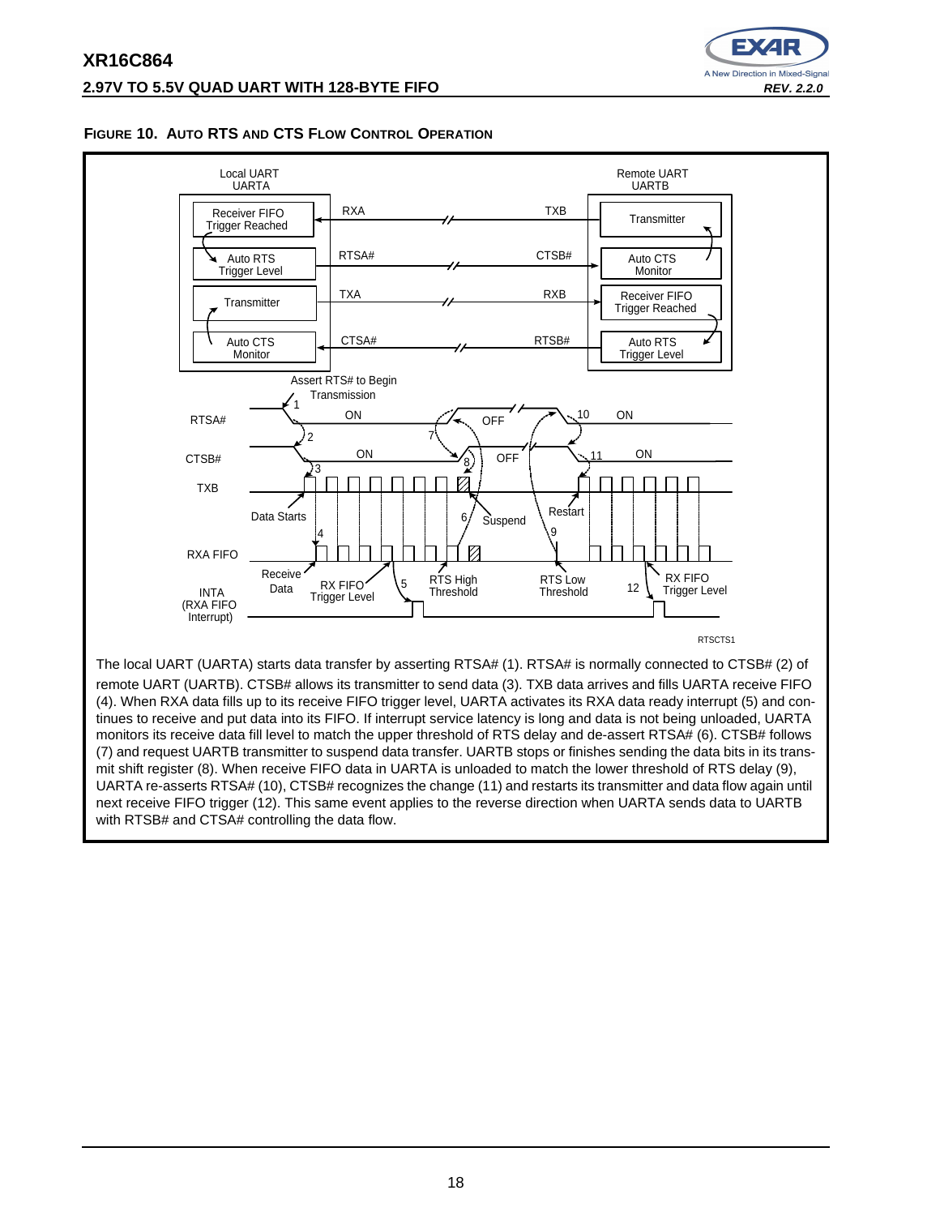

## **FIGURE 10. AUTO RTS AND CTS FLOW CONTROL OPERATION**



monitors its receive data fill level to match the upper threshold of RTS delay and de-assert RTSA# (6). CTSB# follows (7) and request UARTB transmitter to suspend data transfer. UARTB stops or finishes sending the data bits in its transmit shift register (8). When receive FIFO data in UARTA is unloaded to match the lower threshold of RTS delay (9), UARTA re-asserts RTSA# (10), CTSB# recognizes the change (11) and restarts its transmitter and data flow again until next receive FIFO trigger (12). This same event applies to the reverse direction when UARTA sends data to UARTB with RTSB# and CTSA# controlling the data flow.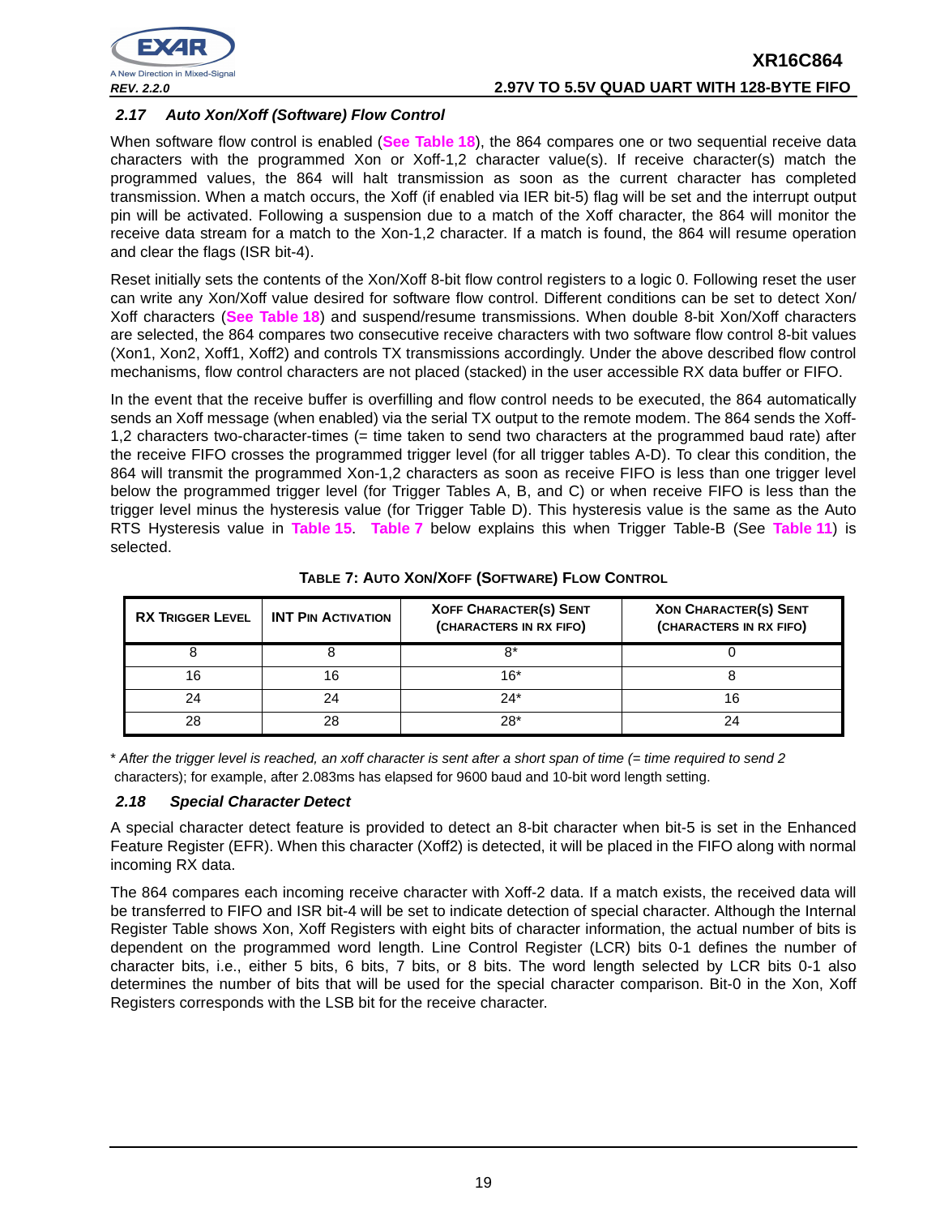

## **2.17 Auto Xon/Xoff (Software) Flow Control**

When software flow control is enabled (**See Table 18**), the 864 compares one or two sequential receive data characters with the programmed Xon or Xoff-1,2 character value(s). If receive character(s) match the programmed values, the 864 will halt transmission as soon as the current character has completed transmission. When a match occurs, the Xoff (if enabled via IER bit-5) flag will be set and the interrupt output pin will be activated. Following a suspension due to a match of the Xoff character, the 864 will monitor the receive data stream for a match to the Xon-1,2 character. If a match is found, the 864 will resume operation and clear the flags (ISR bit-4).

Reset initially sets the contents of the Xon/Xoff 8-bit flow control registers to a logic 0. Following reset the user can write any Xon/Xoff value desired for software flow control. Different conditions can be set to detect Xon/ Xoff characters (**See Table 18**) and suspend/resume transmissions. When double 8-bit Xon/Xoff characters are selected, the 864 compares two consecutive receive characters with two software flow control 8-bit values (Xon1, Xon2, Xoff1, Xoff2) and controls TX transmissions accordingly. Under the above described flow control mechanisms, flow control characters are not placed (stacked) in the user accessible RX data buffer or FIFO.

In the event that the receive buffer is overfilling and flow control needs to be executed, the 864 automatically sends an Xoff message (when enabled) via the serial TX output to the remote modem. The 864 sends the Xoff-1,2 characters two-character-times (= time taken to send two characters at the programmed baud rate) after the receive FIFO crosses the programmed trigger level (for all trigger tables A-D). To clear this condition, the 864 will transmit the programmed Xon-1,2 characters as soon as receive FIFO is less than one trigger level below the programmed trigger level (for Trigger Tables A, B, and C) or when receive FIFO is less than the trigger level minus the hysteresis value (for Trigger Table D). This hysteresis value is the same as the Auto RTS Hysteresis value in **Table 15**. **Table 7** below explains this when Trigger Table-B (See **Table 11**) is selected.

| <b>RX TRIGGER LEVEL</b> | <b>INT PIN ACTIVATION</b> | <b>XOFF CHARACTER(S) SENT</b><br>(CHARACTERS IN RX FIFO) | <b>XON CHARACTER(S) SENT</b><br>(CHARACTERS IN RX FIFO) |
|-------------------------|---------------------------|----------------------------------------------------------|---------------------------------------------------------|
|                         |                           | 8*                                                       |                                                         |
| 16                      |                           | $16*$                                                    |                                                         |
| 24                      | 24                        | $24*$                                                    |                                                         |
| 28                      | 28                        | $28*$                                                    |                                                         |

**TABLE 7: AUTO XON/XOFF (SOFTWARE) FLOW CONTROL**

\* After the trigger level is reached, an xoff character is sent after a short span of time (= time required to send 2 characters); for example, after 2.083ms has elapsed for 9600 baud and 10-bit word length setting.

## **2.18 Special Character Detect**

A special character detect feature is provided to detect an 8-bit character when bit-5 is set in the Enhanced Feature Register (EFR). When this character (Xoff2) is detected, it will be placed in the FIFO along with normal incoming RX data.

The 864 compares each incoming receive character with Xoff-2 data. If a match exists, the received data will be transferred to FIFO and ISR bit-4 will be set to indicate detection of special character. Although the Internal Register Table shows Xon, Xoff Registers with eight bits of character information, the actual number of bits is dependent on the programmed word length. Line Control Register (LCR) bits 0-1 defines the number of character bits, i.e., either 5 bits, 6 bits, 7 bits, or 8 bits. The word length selected by LCR bits 0-1 also determines the number of bits that will be used for the special character comparison. Bit-0 in the Xon, Xoff Registers corresponds with the LSB bit for the receive character.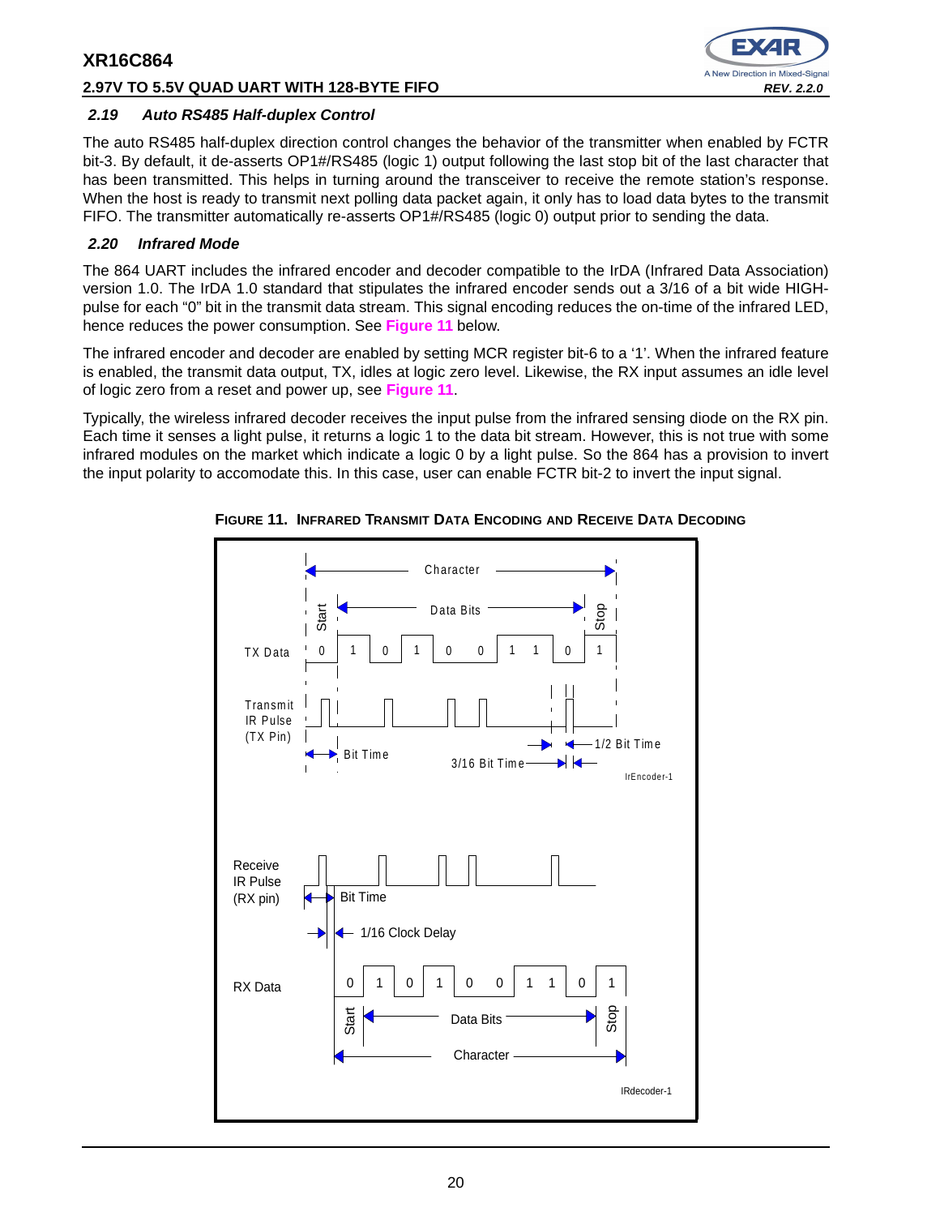## **2.97V TO 5.5V QUAD UART WITH 128-BYTE FIFO REV. 2.2.0**



## **2.19 Auto RS485 Half-duplex Control**

The auto RS485 half-duplex direction control changes the behavior of the transmitter when enabled by FCTR bit-3. By default, it de-asserts OP1#/RS485 (logic 1) output following the last stop bit of the last character that has been transmitted. This helps in turning around the transceiver to receive the remote station's response. When the host is ready to transmit next polling data packet again, it only has to load data bytes to the transmit FIFO. The transmitter automatically re-asserts OP1#/RS485 (logic 0) output prior to sending the data.

## **2.20 Infrared Mode**

The 864 UART includes the infrared encoder and decoder compatible to the IrDA (Infrared Data Association) version 1.0. The IrDA 1.0 standard that stipulates the infrared encoder sends out a 3/16 of a bit wide HIGHpulse for each "0" bit in the transmit data stream. This signal encoding reduces the on-time of the infrared LED, hence reduces the power consumption. See **Figure 11** below.

The infrared encoder and decoder are enabled by setting MCR register bit-6 to a '1'. When the infrared feature is enabled, the transmit data output, TX, idles at logic zero level. Likewise, the RX input assumes an idle level of logic zero from a reset and power up, see **Figure 11**.

Typically, the wireless infrared decoder receives the input pulse from the infrared sensing diode on the RX pin. Each time it senses a light pulse, it returns a logic 1 to the data bit stream. However, this is not true with some infrared modules on the market which indicate a logic 0 by a light pulse. So the 864 has a provision to invert the input polarity to accomodate this. In this case, user can enable FCTR bit-2 to invert the input signal.



**FIGURE 11. INFRARED TRANSMIT DATA ENCODING AND RECEIVE DATA DECODING**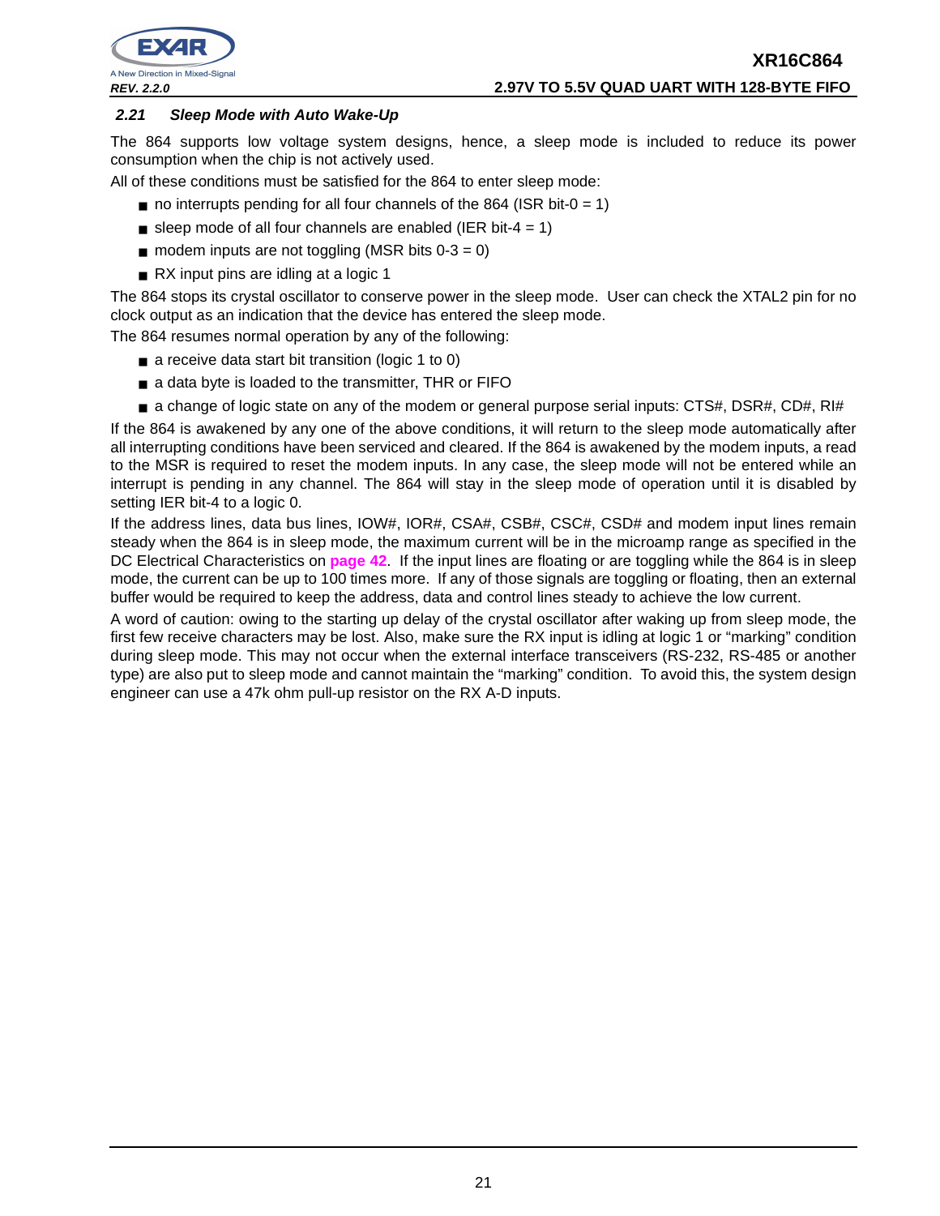



## **2.21 Sleep Mode with Auto Wake-Up**

The 864 supports low voltage system designs, hence, a sleep mode is included to reduce its power consumption when the chip is not actively used.

All of these conditions must be satisfied for the 864 to enter sleep mode:

- $\blacksquare$  no interrupts pending for all four channels of the 864 (ISR bit-0 = 1)
- sleep mode of all four channels are enabled (IER bit-4 = 1)
- $\blacksquare$  modem inputs are not toggling (MSR bits 0-3 = 0)
- RX input pins are idling at a logic 1

The 864 stops its crystal oscillator to conserve power in the sleep mode. User can check the XTAL2 pin for no clock output as an indication that the device has entered the sleep mode.

The 864 resumes normal operation by any of the following:

- a receive data start bit transition (logic 1 to 0)
- a data byte is loaded to the transmitter, THR or FIFO
- a change of logic state on any of the modem or general purpose serial inputs: CTS#, DSR#, CD#, RI#

If the 864 is awakened by any one of the above conditions, it will return to the sleep mode automatically after all interrupting conditions have been serviced and cleared. If the 864 is awakened by the modem inputs, a read to the MSR is required to reset the modem inputs. In any case, the sleep mode will not be entered while an interrupt is pending in any channel. The 864 will stay in the sleep mode of operation until it is disabled by setting IER bit-4 to a logic 0.

If the address lines, data bus lines, IOW#, IOR#, CSA#, CSB#, CSC#, CSD# and modem input lines remain steady when the 864 is in sleep mode, the maximum current will be in the microamp range as specified in the DC Electrical Characteristics on **page 42**. If the input lines are floating or are toggling while the 864 is in sleep mode, the current can be up to 100 times more. If any of those signals are toggling or floating, then an external buffer would be required to keep the address, data and control lines steady to achieve the low current.

A word of caution: owing to the starting up delay of the crystal oscillator after waking up from sleep mode, the first few receive characters may be lost. Also, make sure the RX input is idling at logic 1 or "marking" condition during sleep mode. This may not occur when the external interface transceivers (RS-232, RS-485 or another type) are also put to sleep mode and cannot maintain the "marking" condition. To avoid this, the system design engineer can use a 47k ohm pull-up resistor on the RX A-D inputs.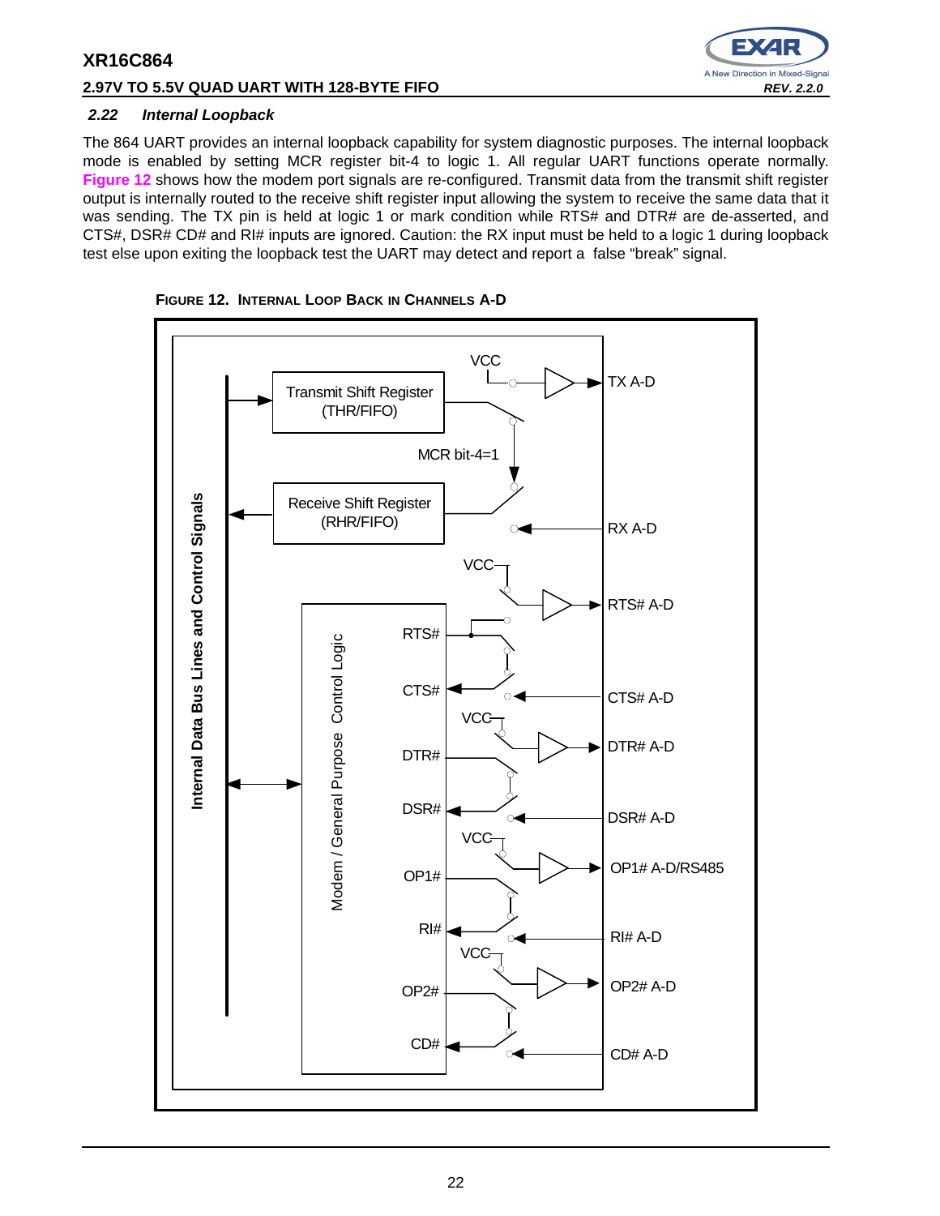## **2.97V TO 5.5V QUAD UART WITH 128-BYTE FIFO REV. 2.2.0 REV. 2.2.0**



## **2.22 Internal Loopback**

The 864 UART provides an internal loopback capability for system diagnostic purposes. The internal loopback mode is enabled by setting MCR register bit-4 to logic 1. All regular UART functions operate normally. **Figure 12** shows how the modem port signals are re-configured. Transmit data from the transmit shift register output is internally routed to the receive shift register input allowing the system to receive the same data that it was sending. The TX pin is held at logic 1 or mark condition while RTS# and DTR# are de-asserted, and CTS#, DSR# CD# and RI# inputs are ignored. Caution: the RX input must be held to a logic 1 during loopback test else upon exiting the loopback test the UART may detect and report a false "break" signal.



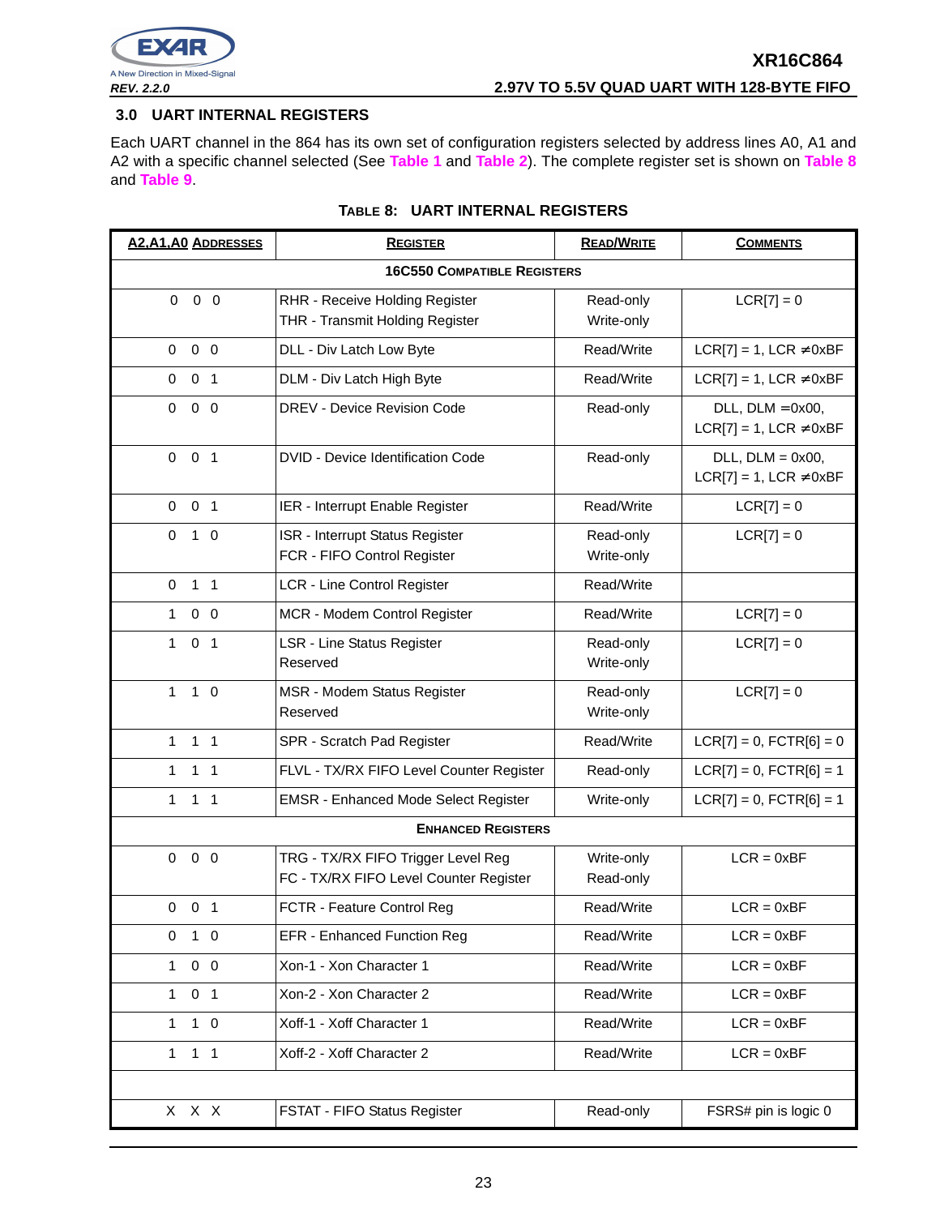

## **3.0 UART INTERNAL REGISTERS**

Each UART channel in the 864 has its own set of configuration registers selected by address lines A0, A1 and A2 with a specific channel selected (See **Table 1** and **Table 2**). The complete register set is shown on **Table 8** and **Table 9**.

| <b>A2, A1, A0 ADDRESSES</b>    | <b>REGISTER</b>                                                              | <b>READ/WRITE</b>       | <b>COMMENTS</b>                                          |
|--------------------------------|------------------------------------------------------------------------------|-------------------------|----------------------------------------------------------|
|                                | <b>16C550 COMPATIBLE REGISTERS</b>                                           |                         |                                                          |
| $\mathbf 0$<br>$0\quad 0$      | RHR - Receive Holding Register<br>THR - Transmit Holding Register            | Read-only<br>Write-only | $LCR[7] = 0$                                             |
| $0\quad 0$<br>$\overline{0}$   | DLL - Div Latch Low Byte                                                     | Read/Write              | $LCR[7] = 1$ , $LCR \neq 0xBF$                           |
| 0 <sub>1</sub><br>$\mathbf 0$  | DLM - Div Latch High Byte                                                    | Read/Write              | $LCR[7] = 1$ , LCR $\neq$ 0xBF                           |
| $0\quad 0$<br>$\mathbf 0$      | DREV - Device Revision Code                                                  | Read-only               | $DLL$ , $DLM = 0x00$ ,<br>$LCR[7] = 1$ , LCR $\neq$ 0xBF |
| 0 <sub>1</sub><br>0            | <b>DVID - Device Identification Code</b>                                     | Read-only               | $DLL$ , $DLM = 0x00$ ,<br>$LCR[7] = 1$ , LCR $\neq$ 0xBF |
| 0 <sub>1</sub><br>$\mathbf 0$  | IER - Interrupt Enable Register                                              | Read/Write              | $LCR[7] = 0$                                             |
| 0<br>$1\quad0$                 | ISR - Interrupt Status Register<br>FCR - FIFO Control Register               | Read-only<br>Write-only | $LCR[7] = 0$                                             |
| 1 <sub>1</sub><br>0            | LCR - Line Control Register                                                  | Read/Write              |                                                          |
| $\mathbf{1}$<br>$0\quad 0$     | MCR - Modem Control Register                                                 | Read/Write              | $LCR[7] = 0$                                             |
| 0 <sub>1</sub><br>$\mathbf 1$  | <b>LSR - Line Status Register</b><br>Reserved                                | Read-only<br>Write-only | $LCR[7] = 0$                                             |
| $\mathbf{1}$<br>$1\quad$ 0     | MSR - Modem Status Register<br>Reserved                                      | Read-only<br>Write-only | $LCR[7] = 0$                                             |
| 1 <sub>1</sub><br>1.           | SPR - Scratch Pad Register                                                   | Read/Write              | $LCR[7] = 0$ , $FCTR[6] = 0$                             |
| 1<br>1 <sub>1</sub>            | FLVL - TX/RX FIFO Level Counter Register                                     | Read-only               | $LCR[7] = 0$ , $FCTR[6] = 1$                             |
| $\mathbf{1}$<br>1 <sub>1</sub> | <b>EMSR - Enhanced Mode Select Register</b>                                  | Write-only              | $LCR[7] = 0$ , $FCTR[6] = 1$                             |
|                                | <b>ENHANCED REGISTERS</b>                                                    |                         |                                                          |
| $0\quad 0$<br>$\mathbf 0$      | TRG - TX/RX FIFO Trigger Level Reg<br>FC - TX/RX FIFO Level Counter Register | Write-only<br>Read-only | $LCR = 0xBF$                                             |
| $0$ 0 1                        | FCTR - Feature Control Reg                                                   | Read/Write              | $LCR = 0xBF$                                             |
| $1\quad0$<br>$\mathbf 0$       | <b>EFR</b> - Enhanced Function Reg                                           | Read/Write              | $LCR = 0xBF$                                             |
| $0\quad 0$<br>$\mathbf{1}$     | Xon-1 - Xon Character 1                                                      | Read/Write              | $LCR = 0xBF$                                             |
| 0 <sub>1</sub><br>$\mathbf{1}$ | Xon-2 - Xon Character 2                                                      | Read/Write              | $LCR = 0xBF$                                             |
| $1\quad 0$<br>1                | Xoff-1 - Xoff Character 1                                                    | Read/Write              | $LCR = 0xBF$                                             |
| $1 \quad 1$<br>1               | Xoff-2 - Xoff Character 2                                                    | Read/Write              | $LCR = 0xBF$                                             |
|                                |                                                                              |                         |                                                          |
| X X X                          | FSTAT - FIFO Status Register                                                 | Read-only               | FSRS# pin is logic 0                                     |

## **TABLE 8: UART INTERNAL REGISTERS**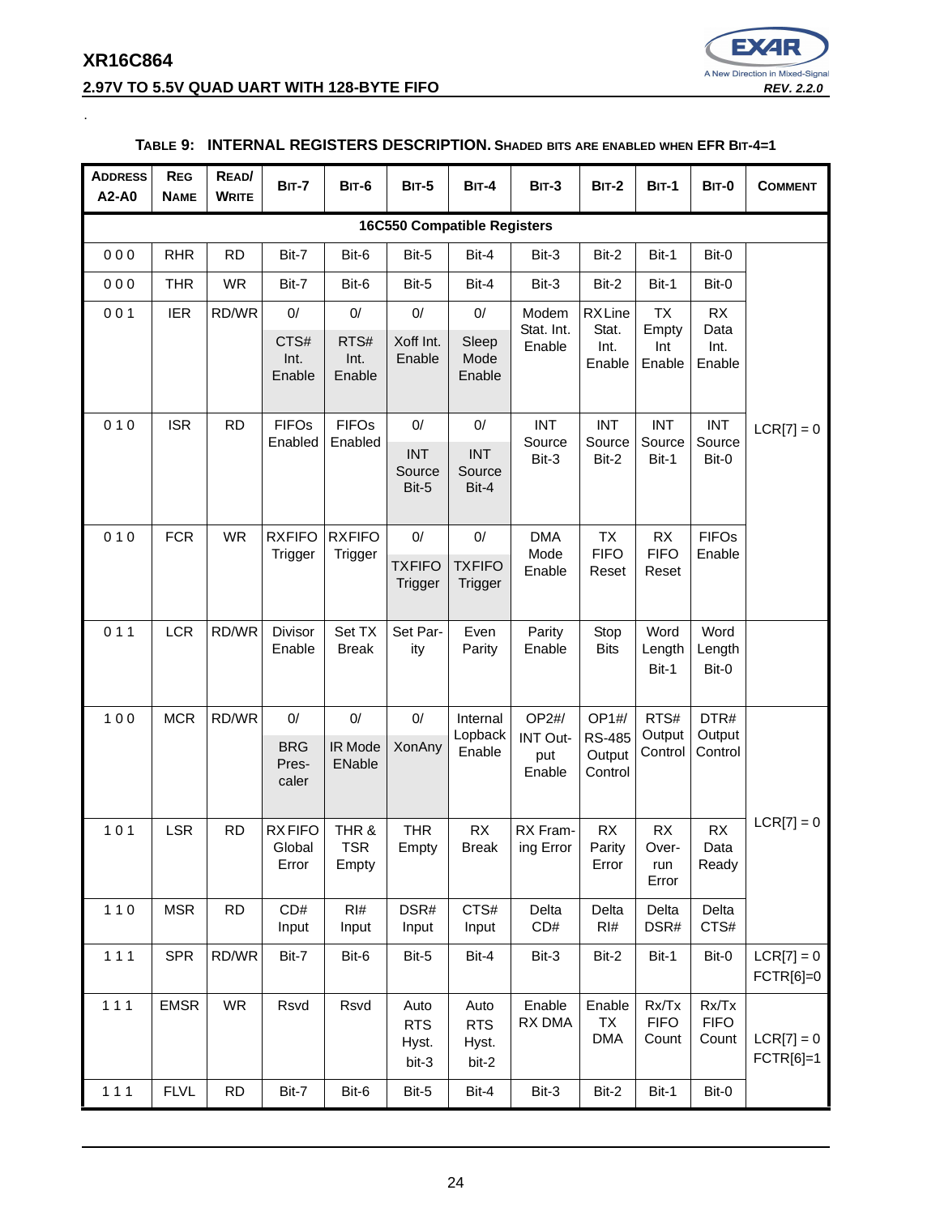# **XR16C864 2.97V TO 5.5V QUAD UART WITH 128-BYTE FIFO REV. 2.2.0**

.



#### **ADDRESS A2-A0 REG NAME READ/ WRITE BIT-7 BIT-6 BIT-5 BIT-4 BIT-3 BIT-2 BIT-1 BIT-0 COMMENT 16C550 Compatible Registers** 0 0 0 | RHR | RD | Bit-7 | Bit-6 | Bit-5 | Bit-4 | Bit-3 | Bit-2 | Bit-1 | Bit-0  $LCR[7] = 0$ 0 0 0 | THR | WR | Bit-7 | Bit-6 | Bit-5 | Bit-4 | Bit-3 | Bit-2 | Bit-1 | Bit-0 0 0 1 | IER | RD/WR | 0 | 0 | 0 | 0 | 0 | 0 | Modem Stat. Int. Enable RX Line Stat. Int. Enable TX Empty Int Enable RX Data Int. Enable CTS# Int. Enable RTS# Int. Enable Xoff Int. Enable Sleep Mode Enable  $010$  SR RD FIFOS Enabled FIFOs Enabled 0/ 0/ INT Source Bit-3 INT Source Bit-2 INT Source Bit-1 INT Source INT | INT | Bit-3 | Bit-2 | Bit-1 | Bit-0 Source Bit-5 INT Source Bit-4 0 10 FCR WR RXFIFO **Trigger RXFIFO Trigger** 0/ 0/ DMA Mode Enable TX **FIFO** Reset RX **FIFO** Reset FIFOs Enable **TXFIFO Trigger TXFIFO Trigger** 0 1 1 LCR RD/WR Divisor Enable Set TX Break Set Parity Even Parity Parity Enable Stop **Bits** Word Length Bit-1 Word Length Bit-0 100 | MCR  $|RD/WR|$  0/ | 0/ | 0/ | Internal Lopback Enable OP2#/ INT Output Enable OP1#/ RS-485 **Output Control** RTS# **Output** Control DTR# **Output Control**  $LCR[7] = 0$ **BRG** Prescaler IR Mode ENable XonAny  $101$  LSR RD RX FIFO **Global** Error THR & TSR Empty THR Empty RX Break RX Framing Error RX Parity Error RX Overrun Error RX Data Ready 1 1 0 | MSR | RD | CD# Input RI# Input DSR# Input CTS# Input Delta CD# Delta RI# Delta DSR# Delta CTS# 1 1 1 | SPR | RD/WR | Bit-7 | Bit-6 | Bit-5 | Bit-4 | Bit-3 | Bit-2 | Bit-1 | Bit-0 | LCR[7] = 0 FCTR[6]=0 111 | EMSR | WR | Rsvd | Rsvd | Auto RTS Hyst. bit-3 Auto RTS Hyst. bit-2 Enable RX DMA Enable TX DMA Rx/Tx FIFO Count Rx/Tx FIFO Count  $LCR[7] = 0$ FCTR[6]=1

## **TABLE 9: INTERNAL REGISTERS DESCRIPTION. SHADED BITS ARE ENABLED WHEN EFR BIT-4=1**

1 1 1 | FLVL | RD | Bit-7 | Bit-6 | Bit-5 | Bit-4 | Bit-3 | Bit-2 | Bit-1 | Bit-0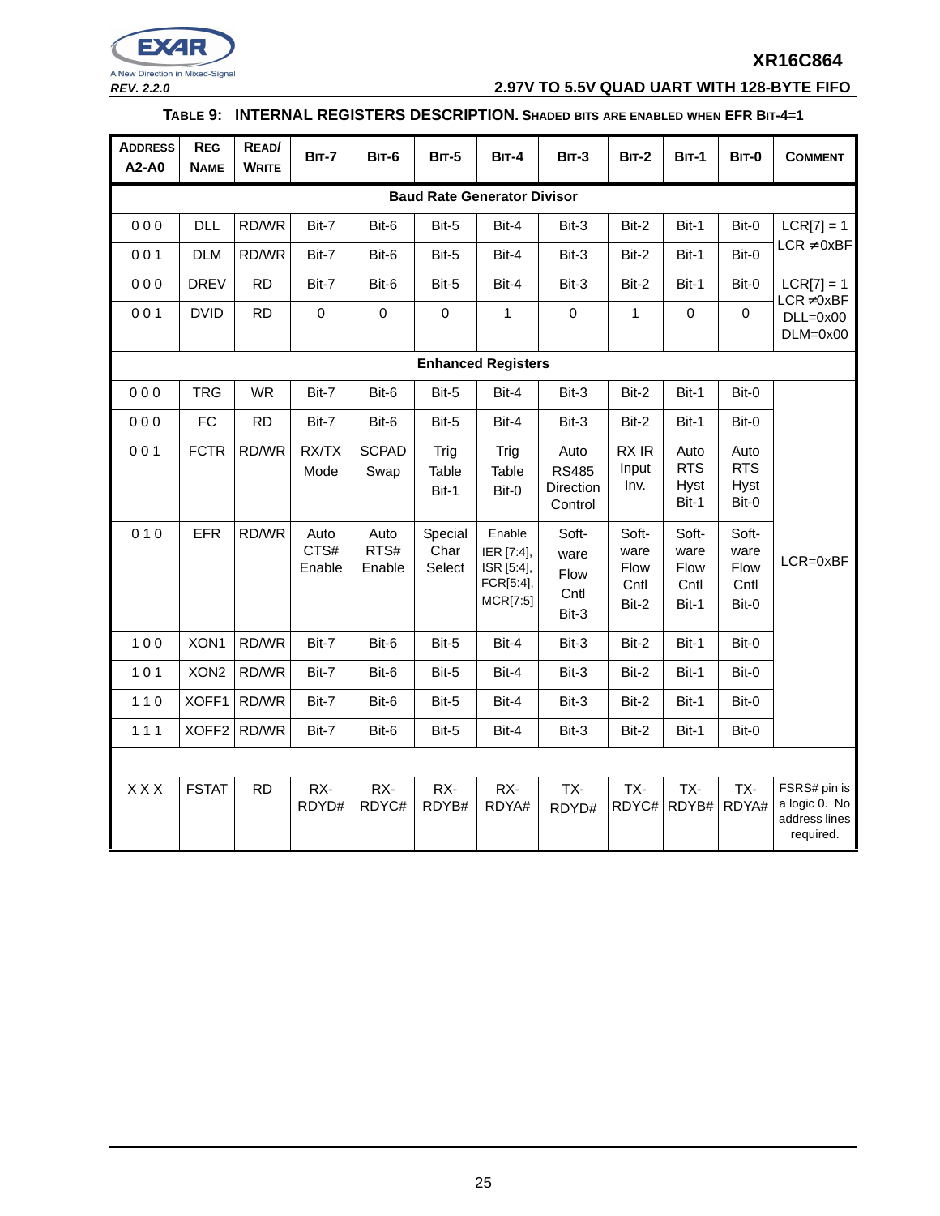

**REV. 2.2.0 2.97V TO 5.5V QUAD UART WITH 128-BYTE FIFO**

## **TABLE 9: INTERNAL REGISTERS DESCRIPTION. SHADED BITS ARE ENABLED WHEN EFR BIT-4=1**

| <b>ADDRESS</b><br>A2-A0 | <b>REG</b><br><b>NAME</b>          | READ/<br><b>WRITE</b> | <b>BIT-7</b>           | BIT-6                  | <b>BIT-5</b>              | <b>BIT-4</b>                                                | $BIT-3$                                      | <b>BIT-2</b>                           | <b>BIT-1</b>                               | <b>BIT-0</b>                               | <b>COMMENT</b>                                              |
|-------------------------|------------------------------------|-----------------------|------------------------|------------------------|---------------------------|-------------------------------------------------------------|----------------------------------------------|----------------------------------------|--------------------------------------------|--------------------------------------------|-------------------------------------------------------------|
|                         | <b>Baud Rate Generator Divisor</b> |                       |                        |                        |                           |                                                             |                                              |                                        |                                            |                                            |                                                             |
| 000                     | <b>DLL</b>                         | RD/WR                 | Bit-7                  | Bit-6                  | Bit-5                     | Bit-4                                                       | Bit-3                                        | Bit-2                                  | Bit-1                                      | Bit-0                                      | $LCR[7] = 1$                                                |
| 001                     | <b>DLM</b>                         | RD/WR                 | Bit-7                  | Bit-6                  | Bit-5                     | Bit-4                                                       | Bit-3                                        | Bit-2                                  | Bit-1                                      | Bit-0                                      | $LCR \neq 0xBF$                                             |
| 000                     | <b>DREV</b>                        | <b>RD</b>             | Bit-7                  | Bit-6                  | Bit-5                     | Bit-4                                                       | Bit-3                                        | Bit-2                                  | Bit-1                                      | Bit-0                                      | $LCR[7] = 1$                                                |
| 001                     | <b>DVID</b>                        | <b>RD</b>             | $\mathbf 0$            | $\mathbf 0$            | $\mathbf 0$               | $\mathbf{1}$                                                | $\mathbf 0$                                  | $\mathbf{1}$                           | $\mathsf 0$                                | $\mathbf 0$                                | $LCR \neq 0xBF$<br>$DLL=0x00$<br>$DLM=0x00$                 |
|                         |                                    |                       |                        |                        |                           | <b>Enhanced Registers</b>                                   |                                              |                                        |                                            |                                            |                                                             |
| 000                     | <b>TRG</b>                         | <b>WR</b>             | Bit-7                  | Bit-6                  | Bit-5                     | Bit-4                                                       | Bit-3                                        | Bit-2                                  | Bit-1                                      | Bit-0                                      |                                                             |
| 000                     | <b>FC</b>                          | <b>RD</b>             | Bit-7                  | Bit-6                  | Bit-5                     | Bit-4                                                       | Bit-3                                        | Bit-2                                  | Bit-1                                      | Bit-0                                      |                                                             |
| 001                     | <b>FCTR</b>                        | RD/WR                 | RX/TX<br>Mode          | <b>SCPAD</b><br>Swap   | Trig<br>Table<br>Bit-1    | Trig<br>Table<br>Bit-0                                      | Auto<br><b>RS485</b><br>Direction<br>Control | RX IR<br>Input<br>Inv.                 | Auto<br><b>RTS</b><br><b>Hyst</b><br>Bit-1 | Auto<br><b>RTS</b><br><b>Hyst</b><br>Bit-0 |                                                             |
| 010                     | <b>EFR</b>                         | RD/WR                 | Auto<br>CTS#<br>Enable | Auto<br>RTS#<br>Enable | Special<br>Char<br>Select | Enable<br>IER [7:4],<br>ISR [5:4],<br>FCR[5:4],<br>MCR[7:5] | Soft-<br>ware<br>Flow<br>Cntl<br>Bit-3       | Soft-<br>ware<br>Flow<br>Cntl<br>Bit-2 | Soft-<br>ware<br>Flow<br>Cntl<br>Bit-1     | Soft-<br>ware<br>Flow<br>Cntl<br>Bit-0     | LCR=0xBF                                                    |
| 100                     | XON1                               | RD/WR                 | Bit-7                  | Bit-6                  | Bit-5                     | Bit-4                                                       | Bit-3                                        | Bit-2                                  | Bit-1                                      | Bit-0                                      |                                                             |
| 101                     | XON <sub>2</sub>                   | RD/WR                 | Bit-7                  | Bit-6                  | Bit-5                     | Bit-4                                                       | Bit-3                                        | Bit-2                                  | Bit-1                                      | Bit-0                                      |                                                             |
| $110$                   | XOFF1                              | RD/WR                 | Bit-7                  | Bit-6                  | Bit-5                     | Bit-4                                                       | Bit-3                                        | Bit-2                                  | Bit-1                                      | Bit-0                                      |                                                             |
| $111$                   | XOFF <sub>2</sub>                  | RD/WR                 | Bit-7                  | Bit-6                  | Bit-5                     | Bit-4                                                       | Bit-3                                        | Bit-2                                  | Bit-1                                      | Bit-0                                      |                                                             |
|                         |                                    |                       |                        |                        |                           |                                                             |                                              |                                        |                                            |                                            |                                                             |
| <b>XXX</b>              | <b>FSTAT</b>                       | <b>RD</b>             | RX-<br>RDYD#           | RX-<br>RDYC#           | RX-<br>RDYB#              | RX-<br>RDYA#                                                | TX-<br>RDYD#                                 | TX-<br>RDYC#                           | TX-<br>RDYB#                               | TX-<br>RDYA#                               | FSRS# pin is<br>a logic 0. No<br>address lines<br>required. |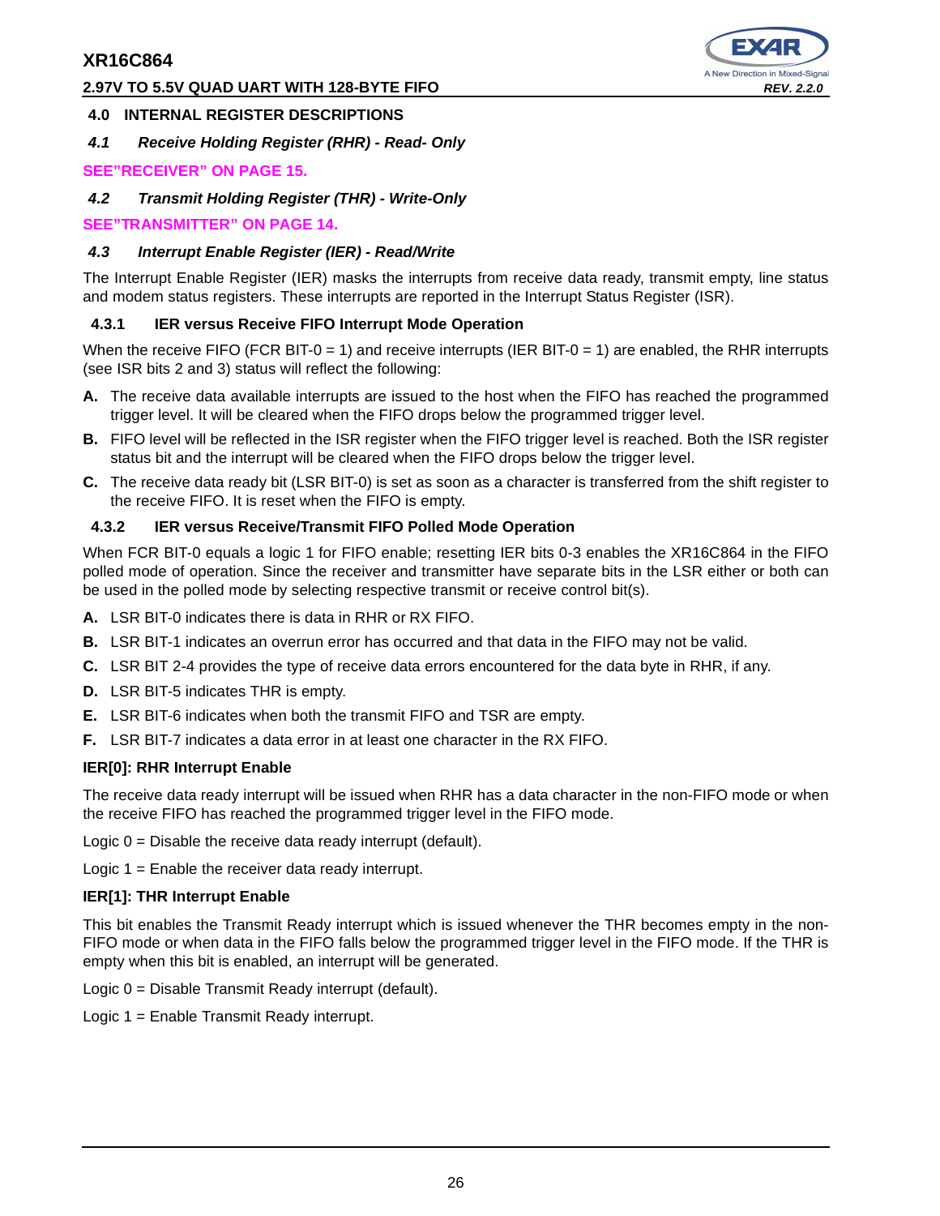## **2.97V TO 5.5V QUAD UART WITH 128-BYTE FIFO REV. 2.2.0**



## **4.0 INTERNAL REGISTER DESCRIPTIONS**

**4.1 Receive Holding Register (RHR) - Read- Only**

## **SEE"RECEIVER" ON PAGE 15.**

**4.2 Transmit Holding Register (THR) - Write-Only**

**SEE"TRANSMITTER" ON PAGE 14.**

## **4.3 Interrupt Enable Register (IER) - Read/Write**

The Interrupt Enable Register (IER) masks the interrupts from receive data ready, transmit empty, line status and modem status registers. These interrupts are reported in the Interrupt Status Register (ISR).

## **4.3.1 IER versus Receive FIFO Interrupt Mode Operation**

When the receive FIFO (FCR BIT-0 = 1) and receive interrupts (IER BIT-0 = 1) are enabled, the RHR interrupts (see ISR bits 2 and 3) status will reflect the following:

- **A.** The receive data available interrupts are issued to the host when the FIFO has reached the programmed trigger level. It will be cleared when the FIFO drops below the programmed trigger level.
- **B.** FIFO level will be reflected in the ISR register when the FIFO trigger level is reached. Both the ISR register status bit and the interrupt will be cleared when the FIFO drops below the trigger level.
- **C.** The receive data ready bit (LSR BIT-0) is set as soon as a character is transferred from the shift register to the receive FIFO. It is reset when the FIFO is empty.

## **4.3.2 IER versus Receive/Transmit FIFO Polled Mode Operation**

When FCR BIT-0 equals a logic 1 for FIFO enable; resetting IER bits 0-3 enables the XR16C864 in the FIFO polled mode of operation. Since the receiver and transmitter have separate bits in the LSR either or both can be used in the polled mode by selecting respective transmit or receive control bit(s).

- **A.** LSR BIT-0 indicates there is data in RHR or RX FIFO.
- **B.** LSR BIT-1 indicates an overrun error has occurred and that data in the FIFO may not be valid.
- **C.** LSR BIT 2-4 provides the type of receive data errors encountered for the data byte in RHR, if any.
- **D.** LSR BIT-5 indicates THR is empty.
- **E.** LSR BIT-6 indicates when both the transmit FIFO and TSR are empty.
- **F.** LSR BIT-7 indicates a data error in at least one character in the RX FIFO.

## **IER[0]: RHR Interrupt Enable**

The receive data ready interrupt will be issued when RHR has a data character in the non-FIFO mode or when the receive FIFO has reached the programmed trigger level in the FIFO mode.

Logic 0 = Disable the receive data ready interrupt (default).

Logic 1 = Enable the receiver data ready interrupt.

## **IER[1]: THR Interrupt Enable**

This bit enables the Transmit Ready interrupt which is issued whenever the THR becomes empty in the non-FIFO mode or when data in the FIFO falls below the programmed trigger level in the FIFO mode. If the THR is empty when this bit is enabled, an interrupt will be generated.

Logic 0 = Disable Transmit Ready interrupt (default).

Logic 1 = Enable Transmit Ready interrupt.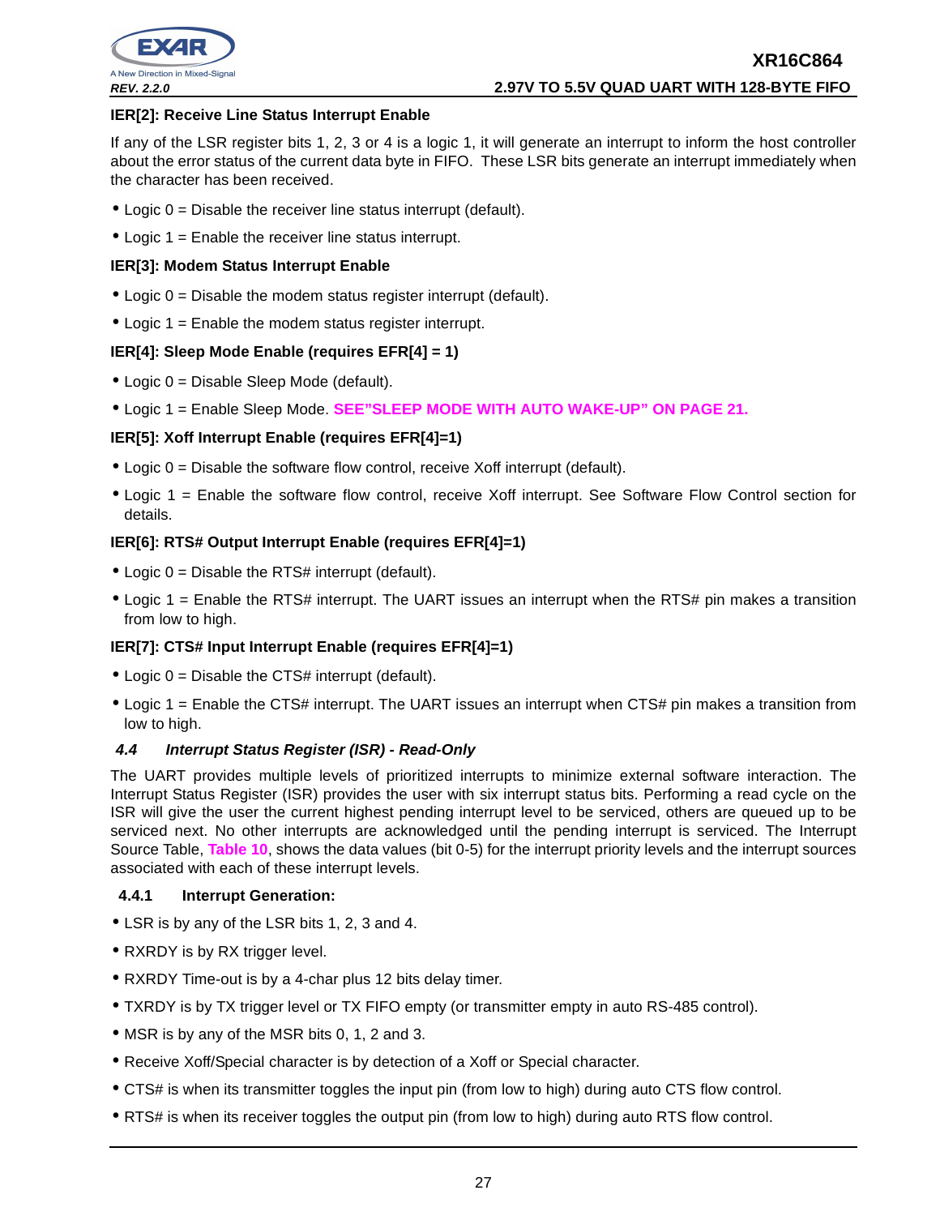

## **IER[2]: Receive Line Status Interrupt Enable**

If any of the LSR register bits 1, 2, 3 or 4 is a logic 1, it will generate an interrupt to inform the host controller about the error status of the current data byte in FIFO. These LSR bits generate an interrupt immediately when the character has been received.

- $\bullet$  Logic  $0 =$  Disable the receiver line status interrupt (default).
- Logic  $1 =$  Enable the receiver line status interrupt.

## **IER[3]: Modem Status Interrupt Enable**

- $\bullet$  Logic  $0 =$  Disable the modem status register interrupt (default).
- Logic 1 = Enable the modem status register interrupt.

## **IER[4]: Sleep Mode Enable (requires EFR[4] = 1)**

- Logic 0 = Disable Sleep Mode (default).
- Logic 1 = Enable Sleep Mode. **SEE"SLEEP MODE WITH AUTO WAKE-UP" ON PAGE 21.**

## **IER[5]: Xoff Interrupt Enable (requires EFR[4]=1)**

- $\bullet$  Logic 0 = Disable the software flow control, receive Xoff interrupt (default).
- Logic 1 = Enable the software flow control, receive Xoff interrupt. See Software Flow Control section for details.

## **IER[6]: RTS# Output Interrupt Enable (requires EFR[4]=1)**

- Logic  $0 =$  Disable the RTS# interrupt (default).
- Logic 1 = Enable the RTS# interrupt. The UART issues an interrupt when the RTS# pin makes a transition from low to high.

## **IER[7]: CTS# Input Interrupt Enable (requires EFR[4]=1)**

- Logic  $0 =$  Disable the CTS# interrupt (default).
- Logic 1 = Enable the CTS# interrupt. The UART issues an interrupt when CTS# pin makes a transition from low to high.

## **4.4 Interrupt Status Register (ISR) - Read-Only**

The UART provides multiple levels of prioritized interrupts to minimize external software interaction. The Interrupt Status Register (ISR) provides the user with six interrupt status bits. Performing a read cycle on the ISR will give the user the current highest pending interrupt level to be serviced, others are queued up to be serviced next. No other interrupts are acknowledged until the pending interrupt is serviced. The Interrupt Source Table, **Table 10**, shows the data values (bit 0-5) for the interrupt priority levels and the interrupt sources associated with each of these interrupt levels.

## **4.4.1 Interrupt Generation:**

- LSR is by any of the LSR bits 1, 2, 3 and 4.
- RXRDY is by RX trigger level.
- RXRDY Time-out is by a 4-char plus 12 bits delay timer.
- TXRDY is by TX trigger level or TX FIFO empty (or transmitter empty in auto RS-485 control).
- MSR is by any of the MSR bits 0, 1, 2 and 3.
- Receive Xoff/Special character is by detection of a Xoff or Special character.
- CTS# is when its transmitter toggles the input pin (from low to high) during auto CTS flow control.
- RTS# is when its receiver toggles the output pin (from low to high) during auto RTS flow control.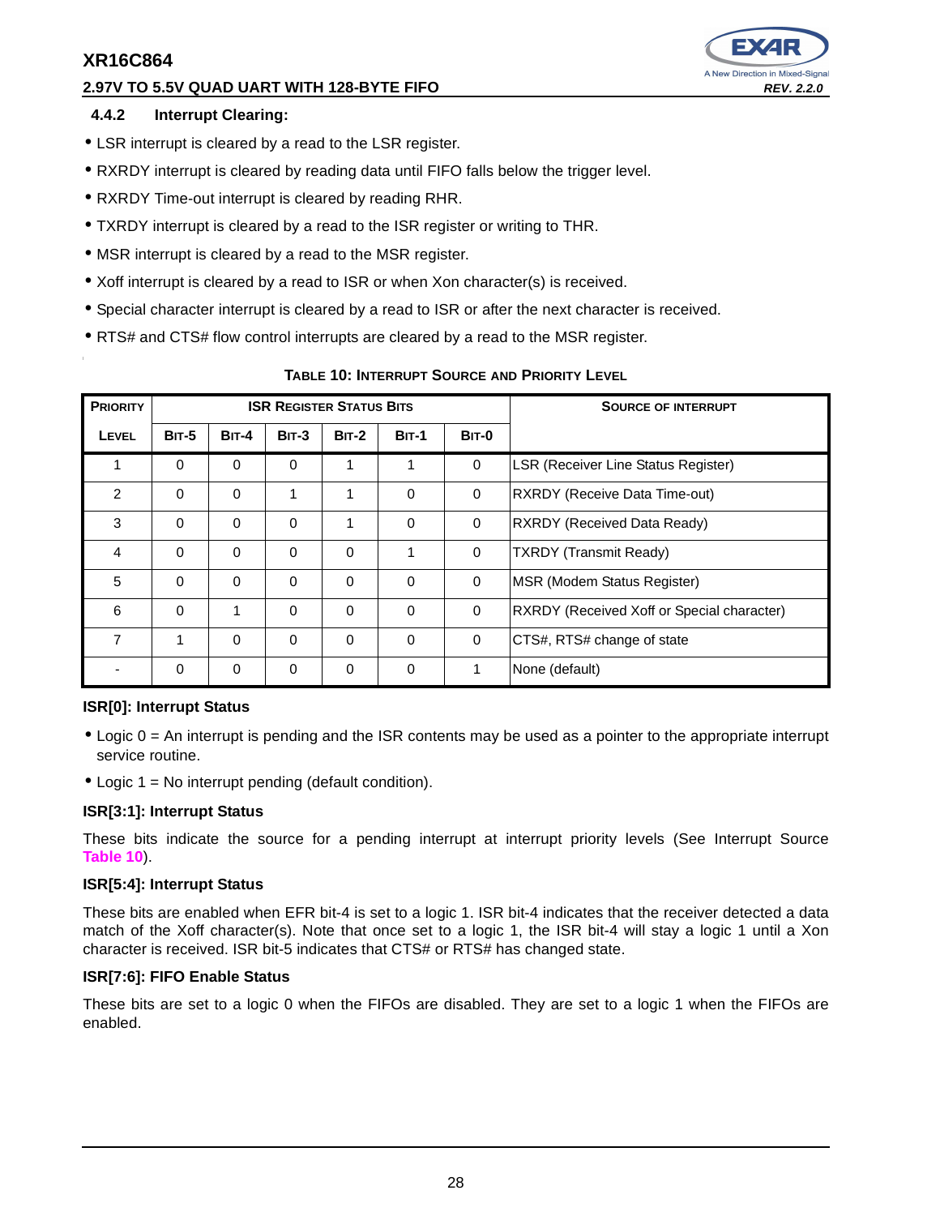# **2.97V TO 5.5V QUAD UART WITH 128-BYTE FIFO REV. 2.2.0**



## **4.4.2 Interrupt Clearing:**

- LSR interrupt is cleared by a read to the LSR register.
- RXRDY interrupt is cleared by reading data until FIFO falls below the trigger level.
- RXRDY Time-out interrupt is cleared by reading RHR.
- TXRDY interrupt is cleared by a read to the ISR register or writing to THR.
- MSR interrupt is cleared by a read to the MSR register.
- Xoff interrupt is cleared by a read to ISR or when Xon character(s) is received.
- Special character interrupt is cleared by a read to ISR or after the next character is received.
- RTS# and CTS# flow control interrupts are cleared by a read to the MSR register.

| <b>PRIORITY</b> |              |              | <b>ISR REGISTER STATUS BITS</b> |              |              | <b>SOURCE OF INTERRUPT</b> |                                                   |
|-----------------|--------------|--------------|---------------------------------|--------------|--------------|----------------------------|---------------------------------------------------|
| <b>LEVEL</b>    | <b>BIT-5</b> | <b>BIT-4</b> | $BIT-3$                         | <b>BIT-2</b> | <b>BIT-1</b> | <b>BIT-0</b>               |                                                   |
| 1               | $\Omega$     | 0            | 0                               | 1            |              | $\mathbf 0$                | <b>LSR (Receiver Line Status Register)</b>        |
| 2               | $\Omega$     | $\Omega$     | 1                               | 1            | $\Omega$     | 0                          | <b>RXRDY (Receive Data Time-out)</b>              |
| 3               | $\Omega$     | 0            | $\Omega$                        | 1            | $\Omega$     | $\mathbf 0$                | <b>RXRDY (Received Data Ready)</b>                |
| $\overline{4}$  | $\Omega$     | $\Omega$     | $\Omega$                        | $\Omega$     |              | $\mathbf 0$                | <b>TXRDY (Transmit Ready)</b>                     |
| 5               | $\Omega$     | $\Omega$     | 0                               | $\Omega$     | $\Omega$     | $\mathbf 0$                | MSR (Modem Status Register)                       |
| 6               | $\Omega$     |              | 0                               | $\Omega$     | $\Omega$     | $\mathbf 0$                | <b>RXRDY</b> (Received Xoff or Special character) |
| $\overline{7}$  | 1            | $\Omega$     | $\Omega$                        | $\Omega$     | $\Omega$     | 0                          | CTS#, RTS# change of state                        |
|                 | 0            | 0            | 0                               | 0            | $\mathbf 0$  |                            | None (default)                                    |

## **TABLE 10: INTERRUPT SOURCE AND PRIORITY LEVEL**

## **ISR[0]: Interrupt Status**

- Logic 0 = An interrupt is pending and the ISR contents may be used as a pointer to the appropriate interrupt service routine.
- Logic  $1 = No$  interrupt pending (default condition).

## **ISR[3:1]: Interrupt Status**

These bits indicate the source for a pending interrupt at interrupt priority levels (See Interrupt Source **Table 10**).

## **ISR[5:4]: Interrupt Status**

These bits are enabled when EFR bit-4 is set to a logic 1. ISR bit-4 indicates that the receiver detected a data match of the Xoff character(s). Note that once set to a logic 1, the ISR bit-4 will stay a logic 1 until a Xon character is received. ISR bit-5 indicates that CTS# or RTS# has changed state.

## **ISR[7:6]: FIFO Enable Status**

These bits are set to a logic 0 when the FIFOs are disabled. They are set to a logic 1 when the FIFOs are enabled.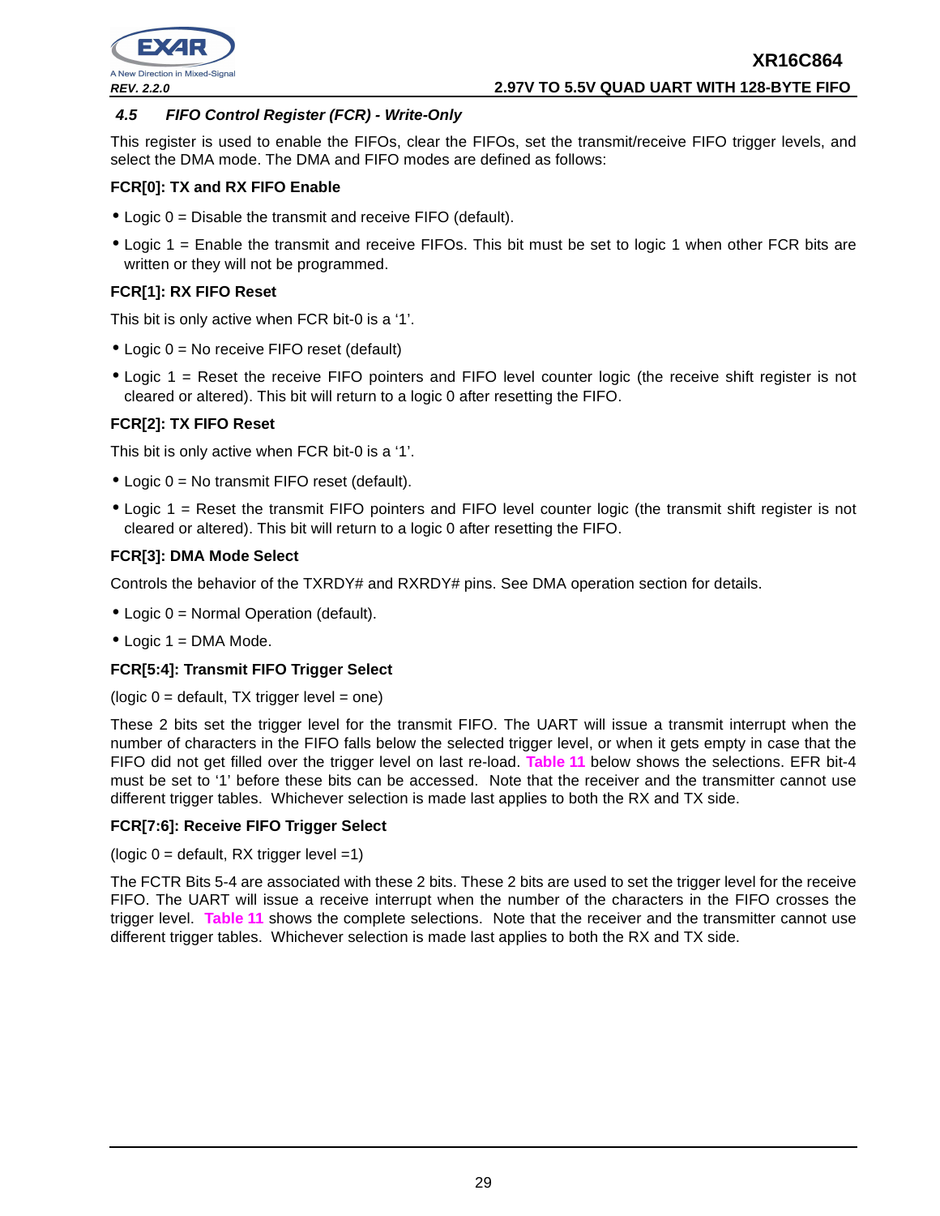

## **4.5 FIFO Control Register (FCR) - Write-Only**

This register is used to enable the FIFOs, clear the FIFOs, set the transmit/receive FIFO trigger levels, and select the DMA mode. The DMA and FIFO modes are defined as follows:

## **FCR[0]: TX and RX FIFO Enable**

- Logic 0 = Disable the transmit and receive FIFO (default).
- Logic 1 = Enable the transmit and receive FIFOs. This bit must be set to logic 1 when other FCR bits are written or they will not be programmed.

## **FCR[1]: RX FIFO Reset**

This bit is only active when FCR bit-0 is a '1'.

- Logic 0 = No receive FIFO reset (default)
- Logic 1 = Reset the receive FIFO pointers and FIFO level counter logic (the receive shift register is not cleared or altered). This bit will return to a logic 0 after resetting the FIFO.

## **FCR[2]: TX FIFO Reset**

This bit is only active when FCR bit-0 is a '1'.

- Logic 0 = No transmit FIFO reset (default).
- Logic 1 = Reset the transmit FIFO pointers and FIFO level counter logic (the transmit shift register is not cleared or altered). This bit will return to a logic 0 after resetting the FIFO.

## **FCR[3]: DMA Mode Select**

Controls the behavior of the TXRDY# and RXRDY# pins. See DMA operation section for details.

- Logic 0 = Normal Operation (default).
- $\bullet$  Logic 1 = DMA Mode.

## **FCR[5:4]: Transmit FIFO Trigger Select**

 $(logic 0 = default, TX trigger level = one)$ 

These 2 bits set the trigger level for the transmit FIFO. The UART will issue a transmit interrupt when the number of characters in the FIFO falls below the selected trigger level, or when it gets empty in case that the FIFO did not get filled over the trigger level on last re-load. **Table 11** below shows the selections. EFR bit-4 must be set to '1' before these bits can be accessed. Note that the receiver and the transmitter cannot use different trigger tables. Whichever selection is made last applies to both the RX and TX side.

## **FCR[7:6]: Receive FIFO Trigger Select**

(logic  $0 =$  default, RX trigger level =1)

The FCTR Bits 5-4 are associated with these 2 bits. These 2 bits are used to set the trigger level for the receive FIFO. The UART will issue a receive interrupt when the number of the characters in the FIFO crosses the trigger level. **Table 11** shows the complete selections. Note that the receiver and the transmitter cannot use different trigger tables. Whichever selection is made last applies to both the RX and TX side.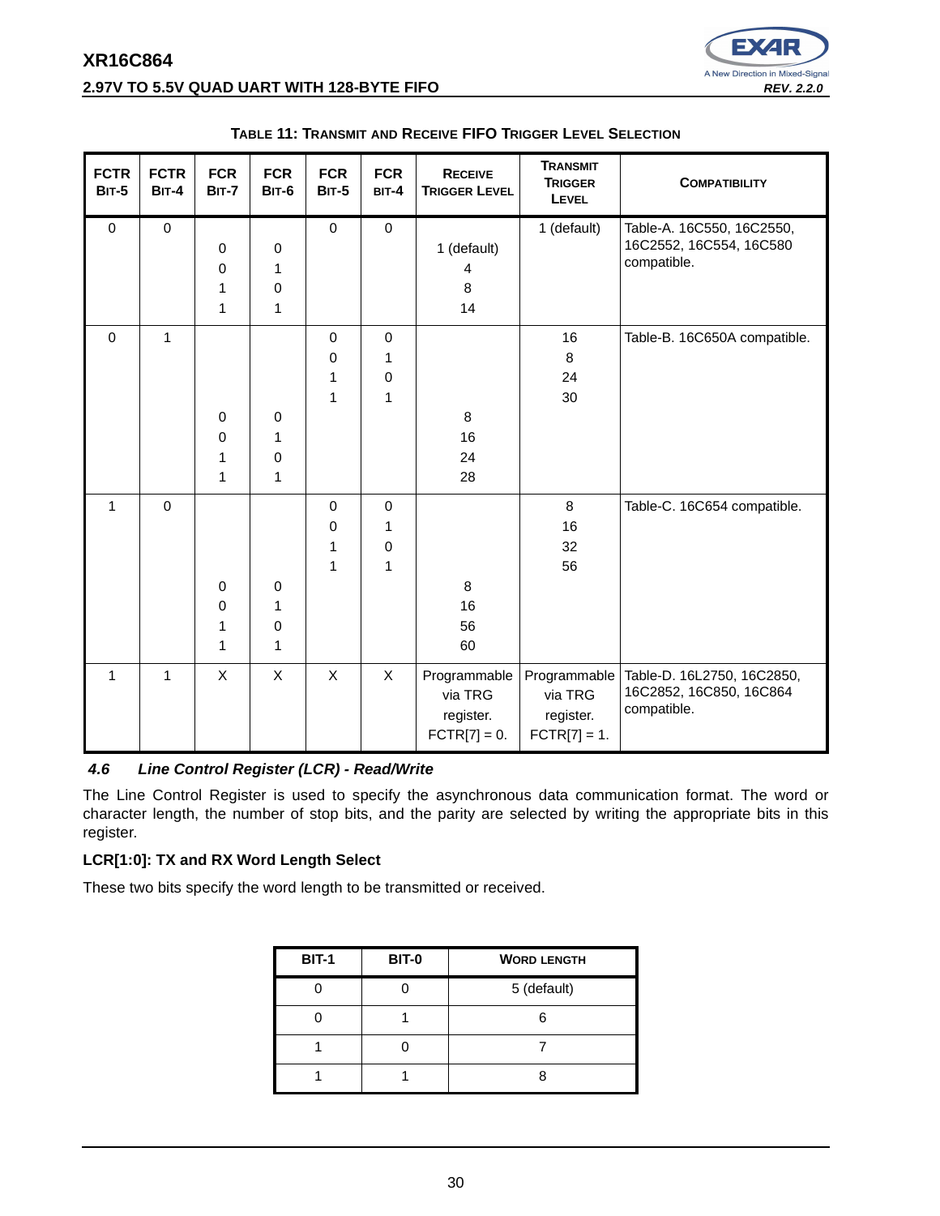# **XR16C864 2.97V TO 5.5V QUAD UART WITH 128-BYTE FIFO REV. 2.2.0 REV. 2.2.0**



| <b>FCTR</b><br><b>BIT-5</b> | <b>FCTR</b><br><b>BIT-4</b> | <b>FCR</b><br><b>BIT-7</b> | <b>FCR</b><br><b>BIT-6</b> | <b>FCR</b><br><b>BIT-5</b> | <b>FCR</b><br>BIT-4 | <b>RECEIVE</b><br><b>TRIGGER LEVEL</b> | <b>TRANSMIT</b><br><b>TRIGGER</b><br>LEVEL | <b>COMPATIBILITY</b>                      |
|-----------------------------|-----------------------------|----------------------------|----------------------------|----------------------------|---------------------|----------------------------------------|--------------------------------------------|-------------------------------------------|
| $\mathbf 0$                 | $\pmb{0}$                   |                            |                            | $\pmb{0}$                  | $\pmb{0}$           |                                        | 1 (default)                                | Table-A. 16C550, 16C2550,                 |
|                             |                             | $\mathbf 0$                | $\pmb{0}$                  |                            |                     | 1 (default)                            |                                            | 16C2552, 16C554, 16C580<br>compatible.    |
|                             |                             | $\mathbf 0$                | 1                          |                            |                     | 4                                      |                                            |                                           |
|                             |                             | 1                          | 0                          |                            |                     | 8                                      |                                            |                                           |
|                             |                             | 1                          | 1                          |                            |                     | 14                                     |                                            |                                           |
| $\mathbf 0$                 | $\mathbf{1}$                |                            |                            | $\mathbf 0$                | $\mathbf 0$         |                                        | 16                                         | Table-B. 16C650A compatible.              |
|                             |                             |                            |                            | $\mathbf 0$                | 1                   |                                        | 8                                          |                                           |
|                             |                             |                            |                            | 1                          | 0                   |                                        | 24                                         |                                           |
|                             |                             |                            |                            | 1                          | 1                   |                                        | 30                                         |                                           |
|                             |                             | $\pmb{0}$                  | $\mathbf 0$                |                            |                     | 8                                      |                                            |                                           |
|                             |                             | $\mathbf 0$                | 1                          |                            |                     | 16                                     |                                            |                                           |
|                             |                             | 1                          | 0                          |                            |                     | 24                                     |                                            |                                           |
|                             |                             | 1                          | 1                          |                            |                     | 28                                     |                                            |                                           |
| $\mathbf{1}$                | $\pmb{0}$                   |                            |                            | $\mathbf 0$                | $\mathbf 0$         |                                        | 8                                          | Table-C. 16C654 compatible.               |
|                             |                             |                            |                            | 0                          | 1                   |                                        | 16                                         |                                           |
|                             |                             |                            |                            | 1                          | 0                   |                                        | 32                                         |                                           |
|                             |                             |                            |                            | 1                          | 1                   |                                        | 56                                         |                                           |
|                             |                             | $\pmb{0}$                  | 0                          |                            |                     | 8                                      |                                            |                                           |
|                             |                             | $\pmb{0}$                  | 1                          |                            |                     | 16                                     |                                            |                                           |
|                             |                             | 1                          | 0                          |                            |                     | 56                                     |                                            |                                           |
|                             |                             | 1                          | $\mathbf{1}$               |                            |                     | 60                                     |                                            |                                           |
| $\mathbf{1}$                | $\mathbf{1}$                | X                          | $\mathsf{X}$               | X                          | $\mathsf{X}$        | Programmable                           |                                            | Programmable   Table-D. 16L2750, 16C2850, |
|                             |                             |                            |                            |                            |                     | via TRG                                | via TRG                                    | 16C2852, 16C850, 16C864                   |
|                             |                             |                            |                            |                            |                     | register.                              | register.                                  | compatible.                               |
|                             |                             |                            |                            |                            |                     | $\text{FCTR}[7] = 0.$                  | $FCTR[7] = 1.$                             |                                           |

#### **TABLE 11: TRANSMIT AND RECEIVE FIFO TRIGGER LEVEL SELECTION**

## **4.6 Line Control Register (LCR) - Read/Write**

The Line Control Register is used to specify the asynchronous data communication format. The word or character length, the number of stop bits, and the parity are selected by writing the appropriate bits in this register.

## **LCR[1:0]: TX and RX Word Length Select**

These two bits specify the word length to be transmitted or received.

| <b>BIT-1</b> | <b>BIT-0</b> | <b>WORD LENGTH</b> |
|--------------|--------------|--------------------|
|              |              | 5 (default)        |
|              |              |                    |
|              |              |                    |
|              |              |                    |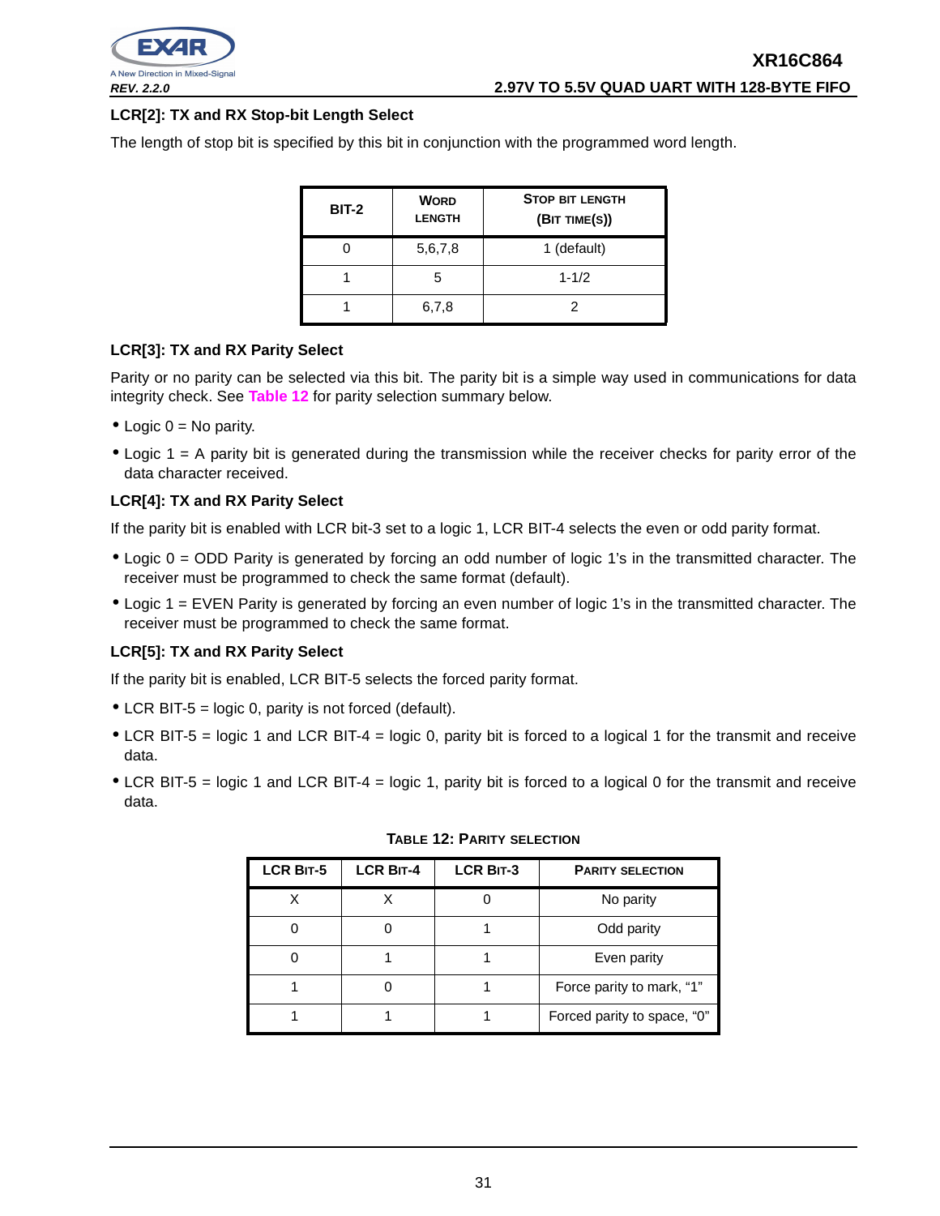

## **LCR[2]: TX and RX Stop-bit Length Select**

The length of stop bit is specified by this bit in conjunction with the programmed word length.

| <b>BIT-2</b> | <b>WORD</b><br><b>LENGTH</b> | <b>STOP BIT LENGTH</b><br>(BIT TIME(S)) |
|--------------|------------------------------|-----------------------------------------|
|              | 5,6,7,8                      | 1 (default)                             |
|              | 5                            | $1 - 1/2$                               |
|              | 6,7,8                        |                                         |

## **LCR[3]: TX and RX Parity Select**

Parity or no parity can be selected via this bit. The parity bit is a simple way used in communications for data integrity check. See **Table 12** for parity selection summary below.

- Logic  $0 = No$  parity.
- Logic 1 = A parity bit is generated during the transmission while the receiver checks for parity error of the data character received.

## **LCR[4]: TX and RX Parity Select**

If the parity bit is enabled with LCR bit-3 set to a logic 1, LCR BIT-4 selects the even or odd parity format.

- Logic 0 = ODD Parity is generated by forcing an odd number of logic 1's in the transmitted character. The receiver must be programmed to check the same format (default).
- Logic 1 = EVEN Parity is generated by forcing an even number of logic 1's in the transmitted character. The receiver must be programmed to check the same format.

## **LCR[5]: TX and RX Parity Select**

If the parity bit is enabled, LCR BIT-5 selects the forced parity format.

- LCR BIT-5 = logic 0, parity is not forced (default).
- LCR BIT-5 = logic 1 and LCR BIT-4 = logic 0, parity bit is forced to a logical 1 for the transmit and receive data.
- LCR BIT-5 = logic 1 and LCR BIT-4 = logic 1, parity bit is forced to a logical 0 for the transmit and receive data.

| <b>LCR BIT-5</b> | <b>LCR BIT-4</b> | <b>LCR BIT-3</b> | <b>PARITY SELECTION</b>     |
|------------------|------------------|------------------|-----------------------------|
|                  |                  |                  | No parity                   |
|                  |                  |                  | Odd parity                  |
|                  |                  |                  | Even parity                 |
|                  |                  |                  | Force parity to mark, "1"   |
|                  |                  |                  | Forced parity to space, "0" |

|  |  |  |  | Table 12: Parity selection |
|--|--|--|--|----------------------------|
|--|--|--|--|----------------------------|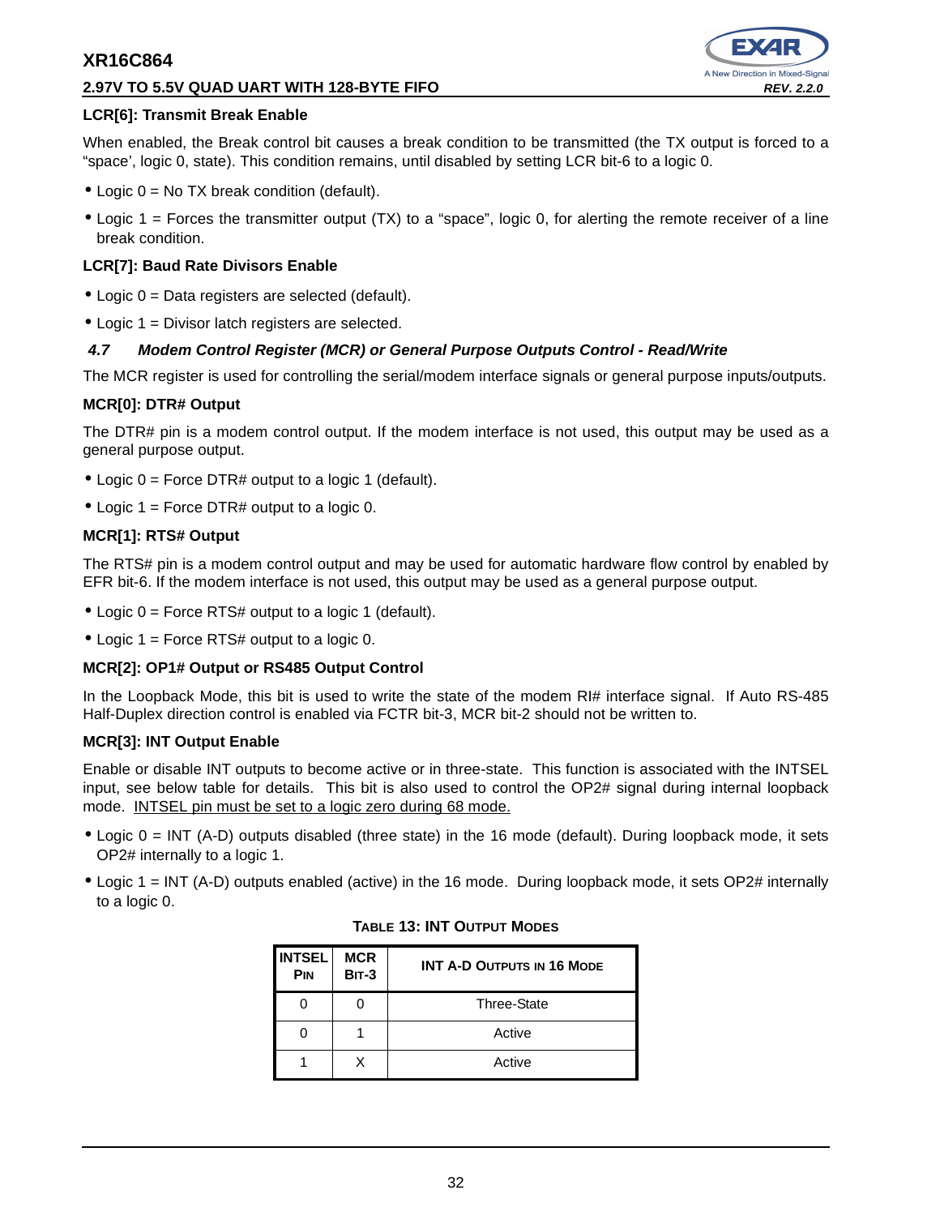## **2.97V TO 5.5V QUAD UART WITH 128-BYTE FIFO REV. 2.2.0**



## **LCR[6]: Transmit Break Enable**

When enabled, the Break control bit causes a break condition to be transmitted (the TX output is forced to a "space', logic 0, state). This condition remains, until disabled by setting LCR bit-6 to a logic 0.

- Logic 0 = No TX break condition (default).
- Logic 1 = Forces the transmitter output (TX) to a "space", logic 0, for alerting the remote receiver of a line break condition.

## **LCR[7]: Baud Rate Divisors Enable**

- Logic 0 = Data registers are selected (default).
- Logic 1 = Divisor latch registers are selected.

## **4.7 Modem Control Register (MCR) or General Purpose Outputs Control - Read/Write**

The MCR register is used for controlling the serial/modem interface signals or general purpose inputs/outputs.

## **MCR[0]: DTR# Output**

The DTR# pin is a modem control output. If the modem interface is not used, this output may be used as a general purpose output.

- Logic 0 = Force DTR# output to a logic 1 (default).
- Logic 1 = Force DTR# output to a logic 0.

## **MCR[1]: RTS# Output**

The RTS# pin is a modem control output and may be used for automatic hardware flow control by enabled by EFR bit-6. If the modem interface is not used, this output may be used as a general purpose output.

- Logic  $0 =$  Force RTS# output to a logic 1 (default).
- Logic 1 = Force RTS# output to a logic 0.

## **MCR[2]: OP1# Output or RS485 Output Control**

In the Loopback Mode, this bit is used to write the state of the modem RI# interface signal. If Auto RS-485 Half-Duplex direction control is enabled via FCTR bit-3, MCR bit-2 should not be written to.

## **MCR[3]: INT Output Enable**

Enable or disable INT outputs to become active or in three-state. This function is associated with the INTSEL input, see below table for details. This bit is also used to control the OP2# signal during internal loopback mode. INTSEL pin must be set to a logic zero during 68 mode.

- Logic 0 = INT (A-D) outputs disabled (three state) in the 16 mode (default). During loopback mode, it sets OP2# internally to a logic 1.
- Logic 1 = INT (A-D) outputs enabled (active) in the 16 mode. During loopback mode, it sets OP2# internally to a logic 0.

| <b>INTSEL</b><br>PIN | <b>MCR</b><br><b>BIT-3</b> | <b>INT A-D OUTPUTS IN 16 MODE</b> |
|----------------------|----------------------------|-----------------------------------|
|                      |                            | <b>Three-State</b>                |
|                      |                            | Active                            |
|                      |                            | Active                            |

## **TABLE 13: INT OUTPUT MODES**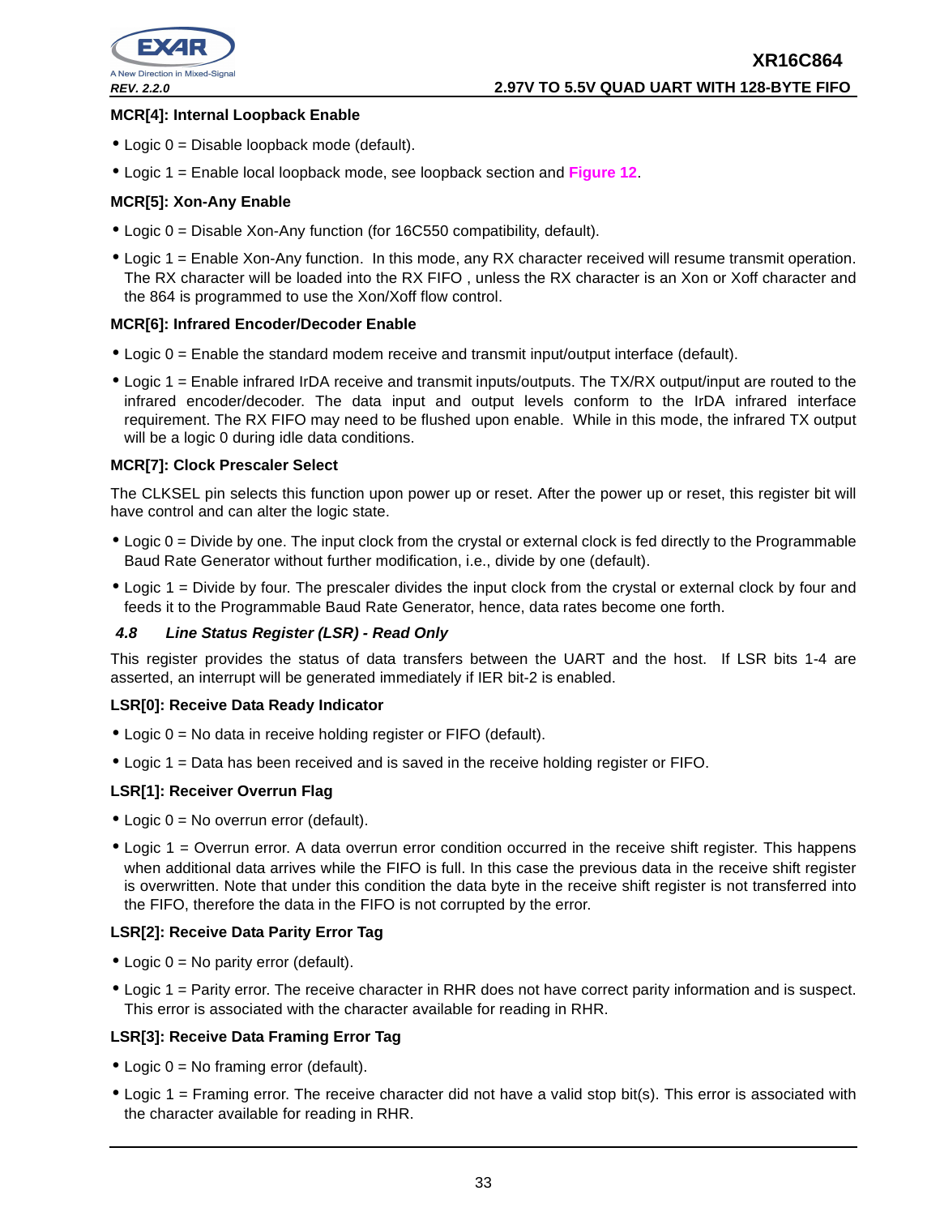

## **MCR[4]: Internal Loopback Enable**

- Logic 0 = Disable loopback mode (default).
- Logic 1 = Enable local loopback mode, see loopback section and **Figure 12**.

## **MCR[5]: Xon-Any Enable**

- Logic 0 = Disable Xon-Any function (for 16C550 compatibility, default).
- Logic 1 = Enable Xon-Any function. In this mode, any RX character received will resume transmit operation. The RX character will be loaded into the RX FIFO , unless the RX character is an Xon or Xoff character and the 864 is programmed to use the Xon/Xoff flow control.

## **MCR[6]: Infrared Encoder/Decoder Enable**

- Logic 0 = Enable the standard modem receive and transmit input/output interface (default).
- Logic 1 = Enable infrared IrDA receive and transmit inputs/outputs. The TX/RX output/input are routed to the infrared encoder/decoder. The data input and output levels conform to the IrDA infrared interface requirement. The RX FIFO may need to be flushed upon enable. While in this mode, the infrared TX output will be a logic 0 during idle data conditions.

## **MCR[7]: Clock Prescaler Select**

The CLKSEL pin selects this function upon power up or reset. After the power up or reset, this register bit will have control and can alter the logic state.

- Logic 0 = Divide by one. The input clock from the crystal or external clock is fed directly to the Programmable Baud Rate Generator without further modification, i.e., divide by one (default).
- Logic 1 = Divide by four. The prescaler divides the input clock from the crystal or external clock by four and feeds it to the Programmable Baud Rate Generator, hence, data rates become one forth.

## **4.8 Line Status Register (LSR) - Read Only**

This register provides the status of data transfers between the UART and the host. If LSR bits 1-4 are asserted, an interrupt will be generated immediately if IER bit-2 is enabled.

## **LSR[0]: Receive Data Ready Indicator**

- Logic 0 = No data in receive holding register or FIFO (default).
- Logic 1 = Data has been received and is saved in the receive holding register or FIFO.

## **LSR[1]: Receiver Overrun Flag**

- Logic 0 = No overrun error (default).
- Logic 1 = Overrun error. A data overrun error condition occurred in the receive shift register. This happens when additional data arrives while the FIFO is full. In this case the previous data in the receive shift register is overwritten. Note that under this condition the data byte in the receive shift register is not transferred into the FIFO, therefore the data in the FIFO is not corrupted by the error.

## **LSR[2]: Receive Data Parity Error Tag**

- Logic 0 = No parity error (default).
- Logic 1 = Parity error. The receive character in RHR does not have correct parity information and is suspect. This error is associated with the character available for reading in RHR.

## **LSR[3]: Receive Data Framing Error Tag**

- Logic  $0 = No$  framing error (default).
- Logic 1 = Framing error. The receive character did not have a valid stop bit(s). This error is associated with the character available for reading in RHR.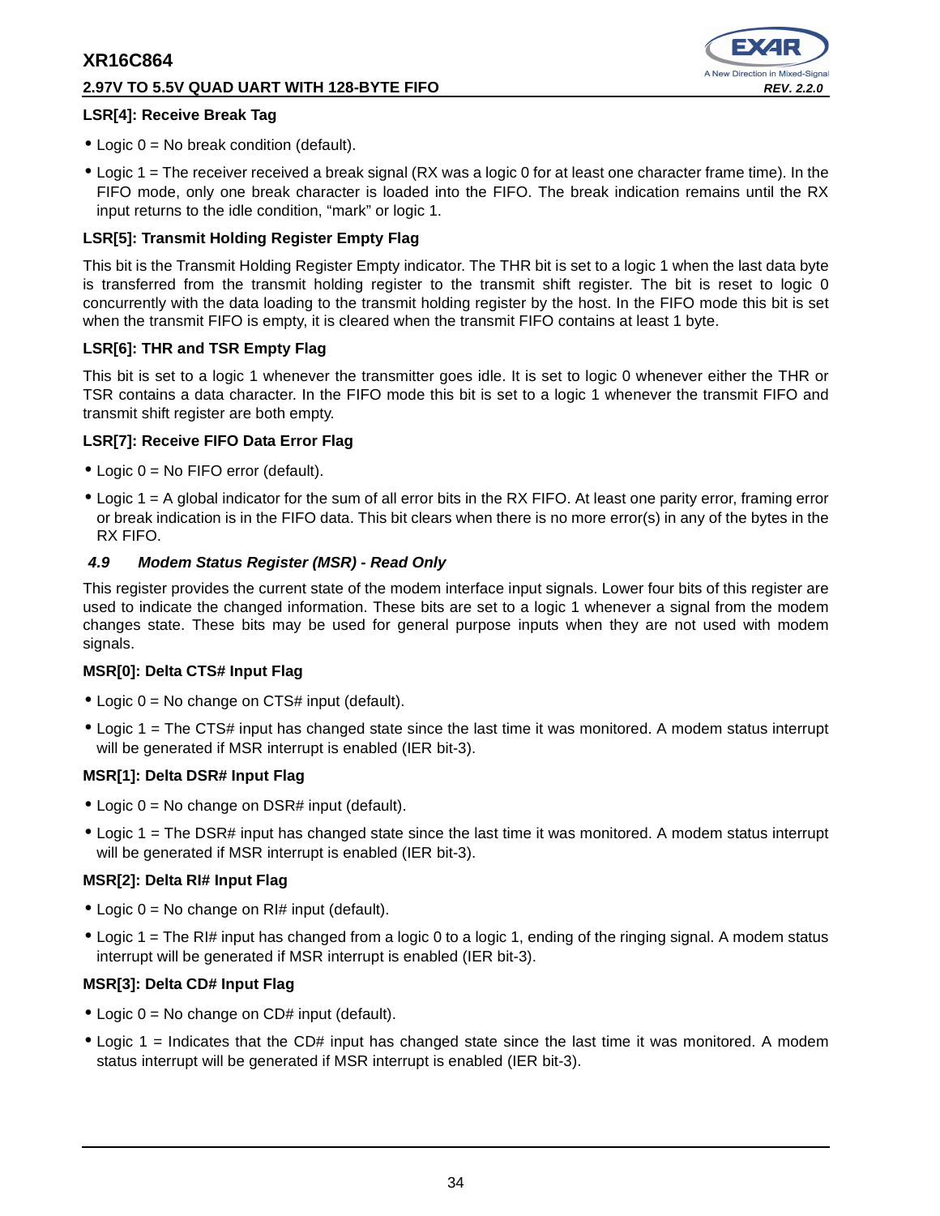# **2.97V TO 5.5V QUAD UART WITH 128-BYTE FIFO REV. 2.2.0**



## **LSR[4]: Receive Break Tag**

- Logic  $0 = No$  break condition (default).
- Logic 1 = The receiver received a break signal (RX was a logic 0 for at least one character frame time). In the FIFO mode, only one break character is loaded into the FIFO. The break indication remains until the RX input returns to the idle condition, "mark" or logic 1.

## **LSR[5]: Transmit Holding Register Empty Flag**

This bit is the Transmit Holding Register Empty indicator. The THR bit is set to a logic 1 when the last data byte is transferred from the transmit holding register to the transmit shift register. The bit is reset to logic 0 concurrently with the data loading to the transmit holding register by the host. In the FIFO mode this bit is set when the transmit FIFO is empty, it is cleared when the transmit FIFO contains at least 1 byte.

## **LSR[6]: THR and TSR Empty Flag**

This bit is set to a logic 1 whenever the transmitter goes idle. It is set to logic 0 whenever either the THR or TSR contains a data character. In the FIFO mode this bit is set to a logic 1 whenever the transmit FIFO and transmit shift register are both empty.

## **LSR[7]: Receive FIFO Data Error Flag**

- Logic 0 = No FIFO error (default).
- Logic 1 = A global indicator for the sum of all error bits in the RX FIFO. At least one parity error, framing error or break indication is in the FIFO data. This bit clears when there is no more error(s) in any of the bytes in the RX FIFO.

## **4.9 Modem Status Register (MSR) - Read Only**

This register provides the current state of the modem interface input signals. Lower four bits of this register are used to indicate the changed information. These bits are set to a logic 1 whenever a signal from the modem changes state. These bits may be used for general purpose inputs when they are not used with modem signals.

## **MSR[0]: Delta CTS# Input Flag**

- Logic 0 = No change on CTS# input (default).
- Logic 1 = The CTS# input has changed state since the last time it was monitored. A modem status interrupt will be generated if MSR interrupt is enabled (IER bit-3).

## **MSR[1]: Delta DSR# Input Flag**

- Logic  $0 = No$  change on DSR# input (default).
- Logic 1 = The DSR# input has changed state since the last time it was monitored. A modem status interrupt will be generated if MSR interrupt is enabled (IER bit-3).

## **MSR[2]: Delta RI# Input Flag**

- Logic  $0 = No$  change on RI# input (default).
- Logic 1 = The RI# input has changed from a logic 0 to a logic 1, ending of the ringing signal. A modem status interrupt will be generated if MSR interrupt is enabled (IER bit-3).

## **MSR[3]: Delta CD# Input Flag**

- $\bullet$  Logic 0 = No change on CD# input (default).
- Logic 1 = Indicates that the CD# input has changed state since the last time it was monitored. A modem status interrupt will be generated if MSR interrupt is enabled (IER bit-3).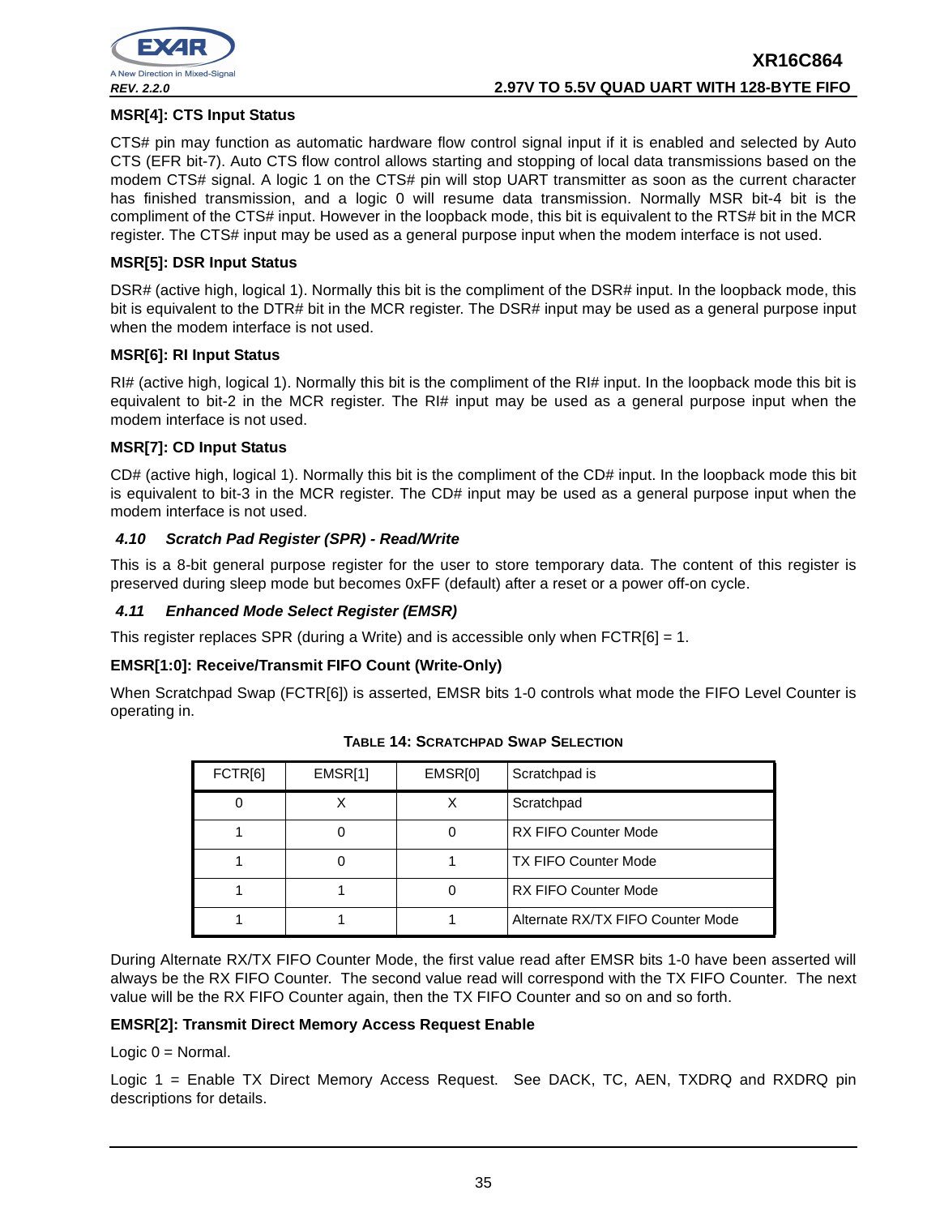

## **MSR[4]: CTS Input Status**

CTS# pin may function as automatic hardware flow control signal input if it is enabled and selected by Auto CTS (EFR bit-7). Auto CTS flow control allows starting and stopping of local data transmissions based on the modem CTS# signal. A logic 1 on the CTS# pin will stop UART transmitter as soon as the current character has finished transmission, and a logic 0 will resume data transmission. Normally MSR bit-4 bit is the compliment of the CTS# input. However in the loopback mode, this bit is equivalent to the RTS# bit in the MCR register. The CTS# input may be used as a general purpose input when the modem interface is not used.

## **MSR[5]: DSR Input Status**

DSR# (active high, logical 1). Normally this bit is the compliment of the DSR# input. In the loopback mode, this bit is equivalent to the DTR# bit in the MCR register. The DSR# input may be used as a general purpose input when the modem interface is not used.

## **MSR[6]: RI Input Status**

RI# (active high, logical 1). Normally this bit is the compliment of the RI# input. In the loopback mode this bit is equivalent to bit-2 in the MCR register. The RI# input may be used as a general purpose input when the modem interface is not used.

## **MSR[7]: CD Input Status**

CD# (active high, logical 1). Normally this bit is the compliment of the CD# input. In the loopback mode this bit is equivalent to bit-3 in the MCR register. The CD# input may be used as a general purpose input when the modem interface is not used.

## **4.10 Scratch Pad Register (SPR) - Read/Write**

This is a 8-bit general purpose register for the user to store temporary data. The content of this register is preserved during sleep mode but becomes 0xFF (default) after a reset or a power off-on cycle.

## **4.11 Enhanced Mode Select Register (EMSR)**

This register replaces SPR (during a Write) and is accessible only when  $FCTR[6] = 1$ .

## **EMSR[1:0]: Receive/Transmit FIFO Count (Write-Only)**

When Scratchpad Swap (FCTR[6]) is asserted, EMSR bits 1-0 controls what mode the FIFO Level Counter is operating in.

| FCTR[6] | EMSR[1] | EMSR[0] | Scratchpad is                     |
|---------|---------|---------|-----------------------------------|
|         |         |         | Scratchpad                        |
|         |         |         | <b>RX FIFO Counter Mode</b>       |
|         |         |         | <b>TX FIFO Counter Mode</b>       |
|         |         |         | <b>RX FIFO Counter Mode</b>       |
|         |         |         | Alternate RX/TX FIFO Counter Mode |

**TABLE 14: SCRATCHPAD SWAP SELECTION**

During Alternate RX/TX FIFO Counter Mode, the first value read after EMSR bits 1-0 have been asserted will always be the RX FIFO Counter. The second value read will correspond with the TX FIFO Counter. The next value will be the RX FIFO Counter again, then the TX FIFO Counter and so on and so forth.

## **EMSR[2]: Transmit Direct Memory Access Request Enable**

Logic  $0 =$  Normal.

Logic 1 = Enable TX Direct Memory Access Request. See DACK, TC, AEN, TXDRQ and RXDRQ pin descriptions for details.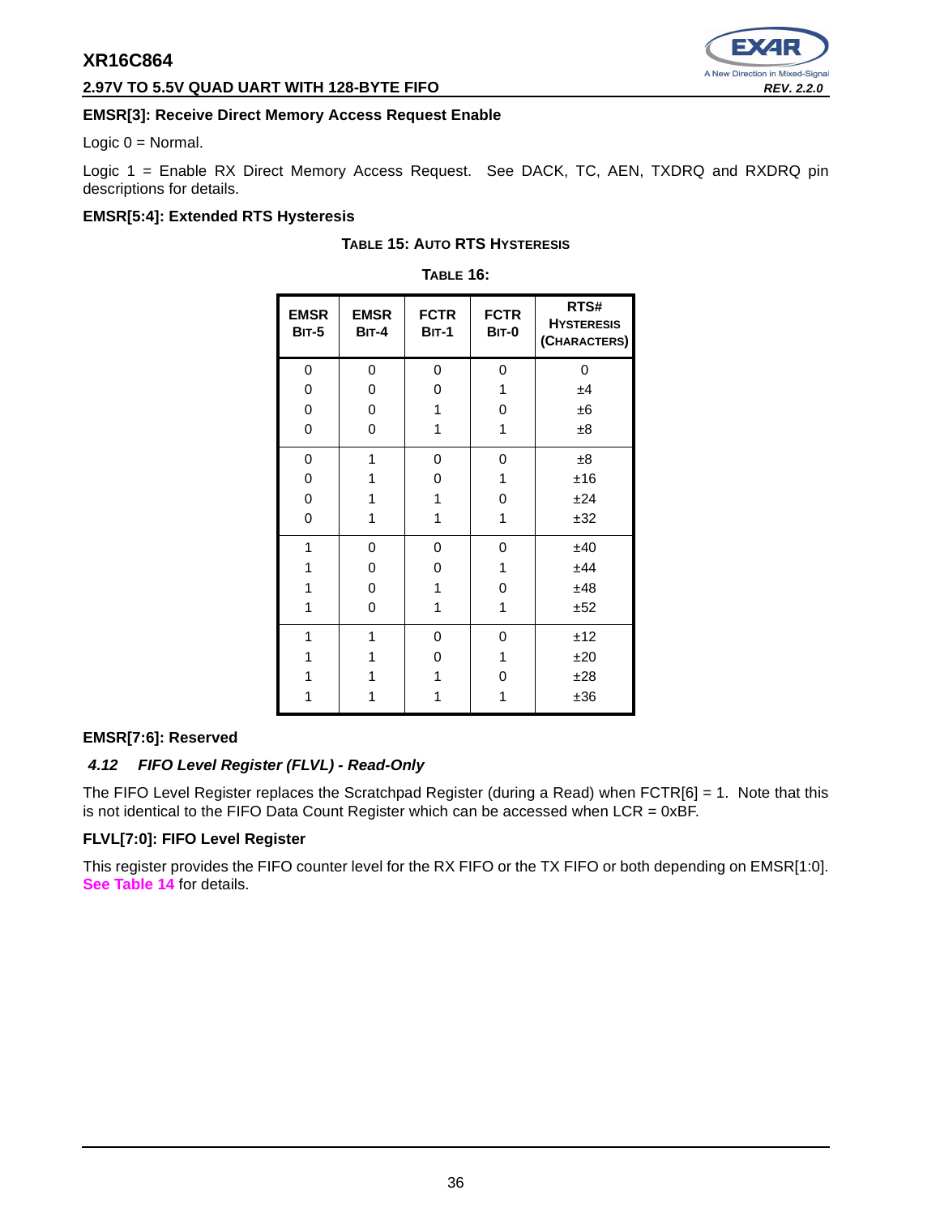## **2.97V TO 5.5V QUAD UART WITH 128-BYTE FIFO REV. 2.2.0 REV. 2.2.0**



## **EMSR[3]: Receive Direct Memory Access Request Enable**

Logic  $0 =$  Normal.

Logic 1 = Enable RX Direct Memory Access Request. See DACK, TC, AEN, TXDRQ and RXDRQ pin descriptions for details.

## **EMSR[5:4]: Extended RTS Hysteresis**

| <b>TABLE 16:</b>            |                        |                        |                             |                                           |  |  |
|-----------------------------|------------------------|------------------------|-----------------------------|-------------------------------------------|--|--|
| <b>EMSR</b><br><b>BIT-5</b> | <b>EMSR</b><br>$BIT-4$ | <b>FCTR</b><br>$BIT-1$ | <b>FCTR</b><br><b>BIT-0</b> | RTS#<br><b>HYSTERESIS</b><br>(CHARACTERS) |  |  |
| 0                           | 0                      | 0                      | 0                           | 0                                         |  |  |
| 0                           | 0                      | 0                      | 1                           | ±4                                        |  |  |
| 0                           | 0                      | 1                      | 0                           | ±6                                        |  |  |
| 0                           | 0                      | 1                      | 1                           | ±8                                        |  |  |
| 0                           | 1                      | 0                      | 0                           | ±8                                        |  |  |
| 0                           | 1                      | 0                      | 1                           | ±16                                       |  |  |
| 0                           | 1                      | 1                      | 0                           | ±24                                       |  |  |
| 0                           | 1                      | 1                      | 1                           | ±32                                       |  |  |
| 1                           | 0                      | 0                      | 0                           | ±40                                       |  |  |
| 1                           | 0                      | 0                      | 1                           | ±44                                       |  |  |
| 1                           | 0                      | 1                      | 0                           | ±48                                       |  |  |
| 1                           | 0                      | 1                      | 1                           | ±52                                       |  |  |
| 1                           | 1                      | 0                      | 0                           | ±12                                       |  |  |
| 1                           | 1                      | 0                      | 1                           | ±20                                       |  |  |
| 1                           | 1                      | 1                      | 0                           | ±28                                       |  |  |
| 1                           | 1                      | 1                      | 1                           | ±36                                       |  |  |

## **TABLE 15: AUTO RTS HYSTERESIS**

# **EMSR[7:6]: Reserved 4.12 FIFO Level Register (FLVL) - Read-Only**

The FIFO Level Register replaces the Scratchpad Register (during a Read) when  $FCTR[6] = 1$ . Note that this is not identical to the FIFO Data Count Register which can be accessed when  $LCR = 0xBF$ .

## **FLVL[7:0]: FIFO Level Register**

This register provides the FIFO counter level for the RX FIFO or the TX FIFO or both depending on EMSR[1:0]. **See Table 14** for details.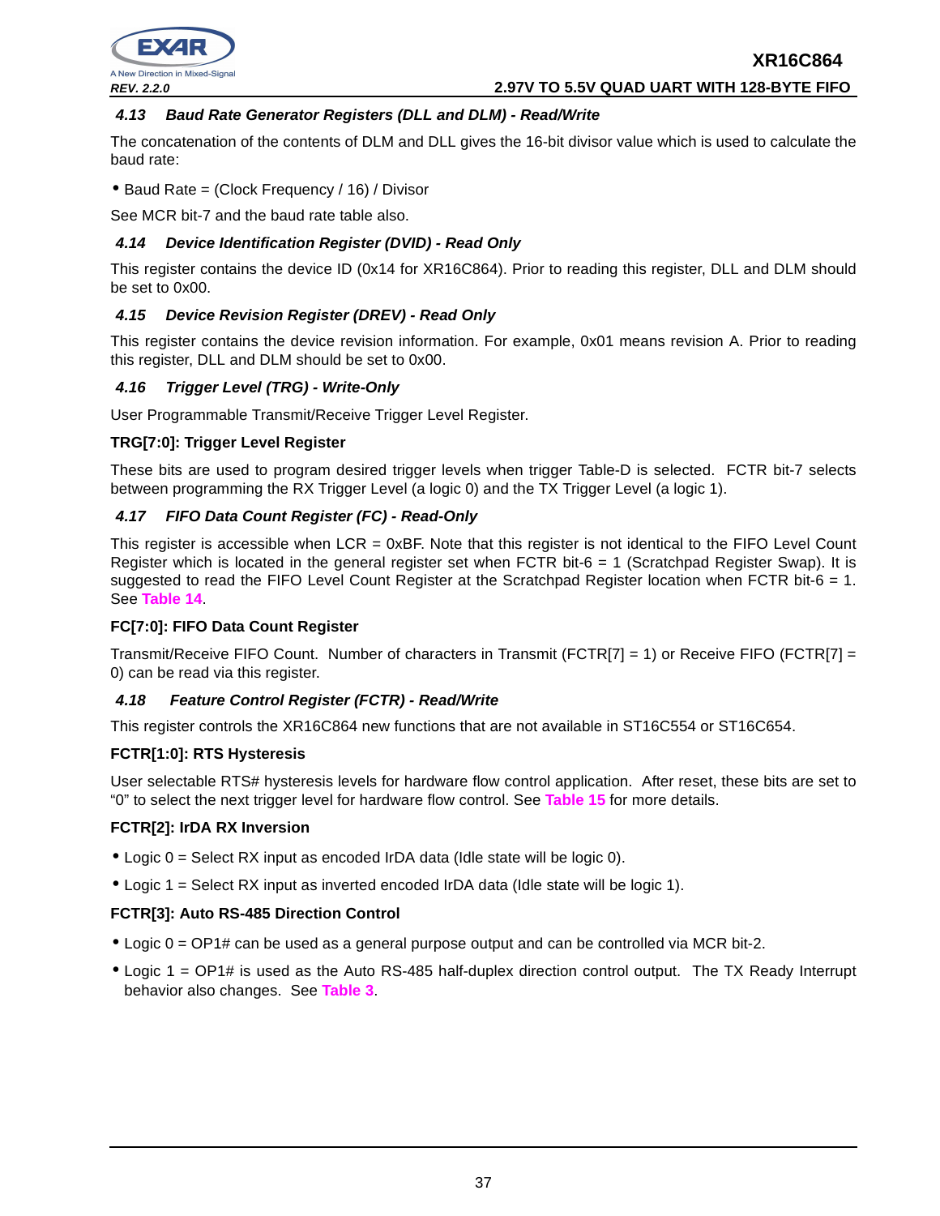

## **4.13 Baud Rate Generator Registers (DLL and DLM) - Read/Write**

The concatenation of the contents of DLM and DLL gives the 16-bit divisor value which is used to calculate the baud rate:

• Baud Rate = (Clock Frequency / 16) / Divisor

See MCR bit-7 and the baud rate table also.

## **4.14 Device Identification Register (DVID) - Read Only**

This register contains the device ID (0x14 for XR16C864). Prior to reading this register, DLL and DLM should be set to 0x00.

## **4.15 Device Revision Register (DREV) - Read Only**

This register contains the device revision information. For example, 0x01 means revision A. Prior to reading this register, DLL and DLM should be set to 0x00.

## **4.16 Trigger Level (TRG) - Write-Only**

User Programmable Transmit/Receive Trigger Level Register.

## **TRG[7:0]: Trigger Level Register**

These bits are used to program desired trigger levels when trigger Table-D is selected. FCTR bit-7 selects between programming the RX Trigger Level (a logic 0) and the TX Trigger Level (a logic 1).

## **4.17 FIFO Data Count Register (FC) - Read-Only**

This register is accessible when LCR = 0xBF. Note that this register is not identical to the FIFO Level Count Register which is located in the general register set when FCTR bit-6 = 1 (Scratchpad Register Swap). It is suggested to read the FIFO Level Count Register at the Scratchpad Register location when FCTR bit-6 = 1. See **Table 14**.

## **FC[7:0]: FIFO Data Count Register**

Transmit/Receive FIFO Count. Number of characters in Transmit (FCTR[7] = 1) or Receive FIFO (FCTR[7] = 0) can be read via this register.

## **4.18 Feature Control Register (FCTR) - Read/Write**

This register controls the XR16C864 new functions that are not available in ST16C554 or ST16C654.

## **FCTR[1:0]: RTS Hysteresis**

User selectable RTS# hysteresis levels for hardware flow control application. After reset, these bits are set to "0" to select the next trigger level for hardware flow control. See **Table 15** for more details.

## **FCTR[2]: IrDA RX Inversion**

- Logic  $0 =$  Select RX input as encoded IrDA data (Idle state will be logic 0).
- Logic 1 = Select RX input as inverted encoded IrDA data (Idle state will be logic 1).

## **FCTR[3]: Auto RS-485 Direction Control**

- Logic 0 = OP1# can be used as a general purpose output and can be controlled via MCR bit-2.
- Logic 1 = OP1# is used as the Auto RS-485 half-duplex direction control output. The TX Ready Interrupt behavior also changes. See **Table 3**.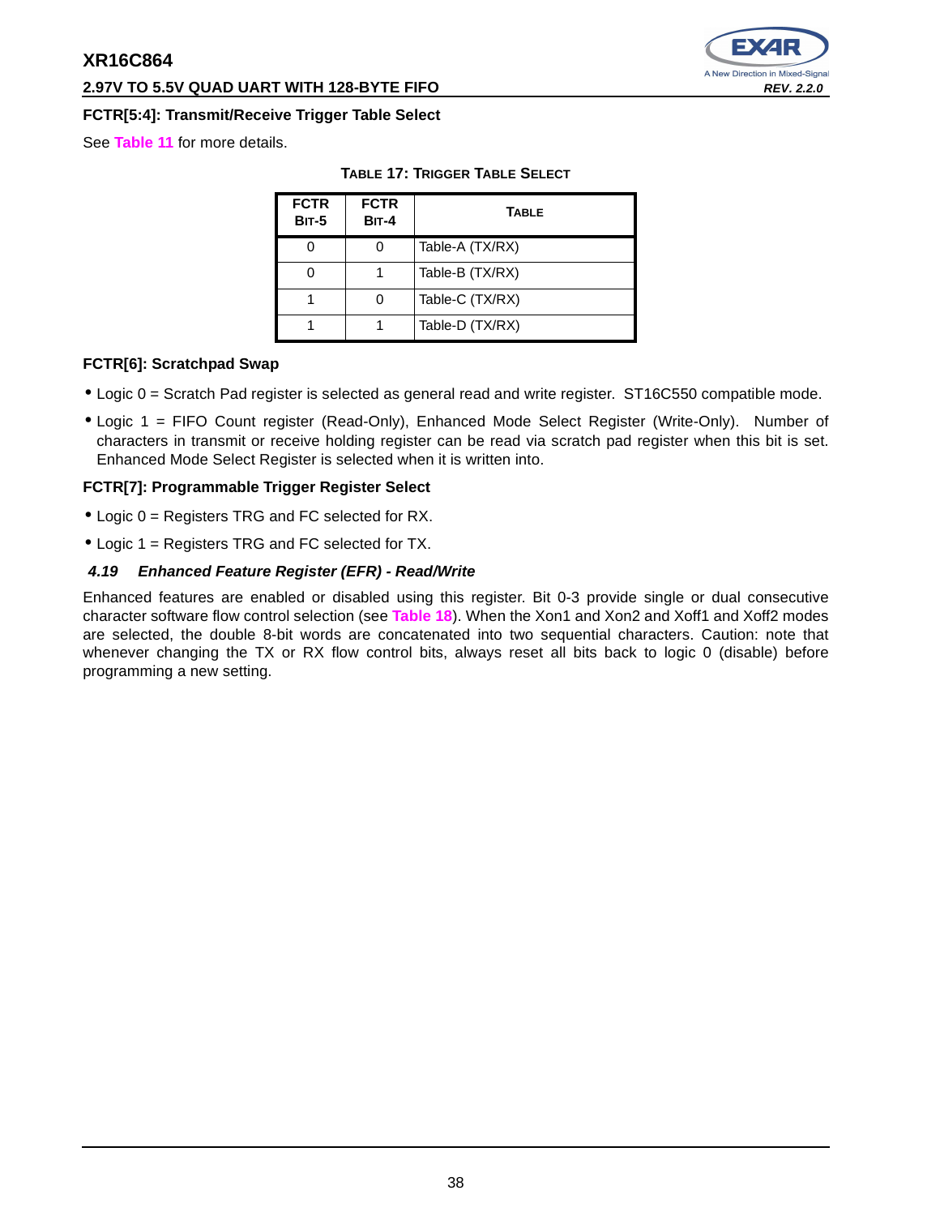## **2.97V TO 5.5V QUAD UART WITH 128-BYTE FIFO REV. 2.2.0**

## **FCTR[5:4]: Transmit/Receive Trigger Table Select**

See **Table 11** for more details.

| <b>TABLE 17: TRIGGER TABLE SELECT</b> |  |
|---------------------------------------|--|
|---------------------------------------|--|

| <b>FCTR</b><br><b>BIT-5</b> | <b>FCTR</b><br><b>BIT-4</b> | <b>TABLE</b>    |
|-----------------------------|-----------------------------|-----------------|
|                             |                             | Table-A (TX/RX) |
|                             |                             | Table-B (TX/RX) |
|                             |                             | Table-C (TX/RX) |
|                             |                             | Table-D (TX/RX) |

## **FCTR[6]: Scratchpad Swap**

- Logic 0 = Scratch Pad register is selected as general read and write register. ST16C550 compatible mode.
- Logic 1 = FIFO Count register (Read-Only), Enhanced Mode Select Register (Write-Only). Number of characters in transmit or receive holding register can be read via scratch pad register when this bit is set. Enhanced Mode Select Register is selected when it is written into.

## **FCTR[7]: Programmable Trigger Register Select**

- Logic 0 = Registers TRG and FC selected for RX.
- Logic 1 = Registers TRG and FC selected for TX.

## **4.19 Enhanced Feature Register (EFR) - Read/Write**

Enhanced features are enabled or disabled using this register. Bit 0-3 provide single or dual consecutive character software flow control selection (see **Table 18**). When the Xon1 and Xon2 and Xoff1 and Xoff2 modes are selected, the double 8-bit words are concatenated into two sequential characters. Caution: note that whenever changing the TX or RX flow control bits, always reset all bits back to logic 0 (disable) before programming a new setting.

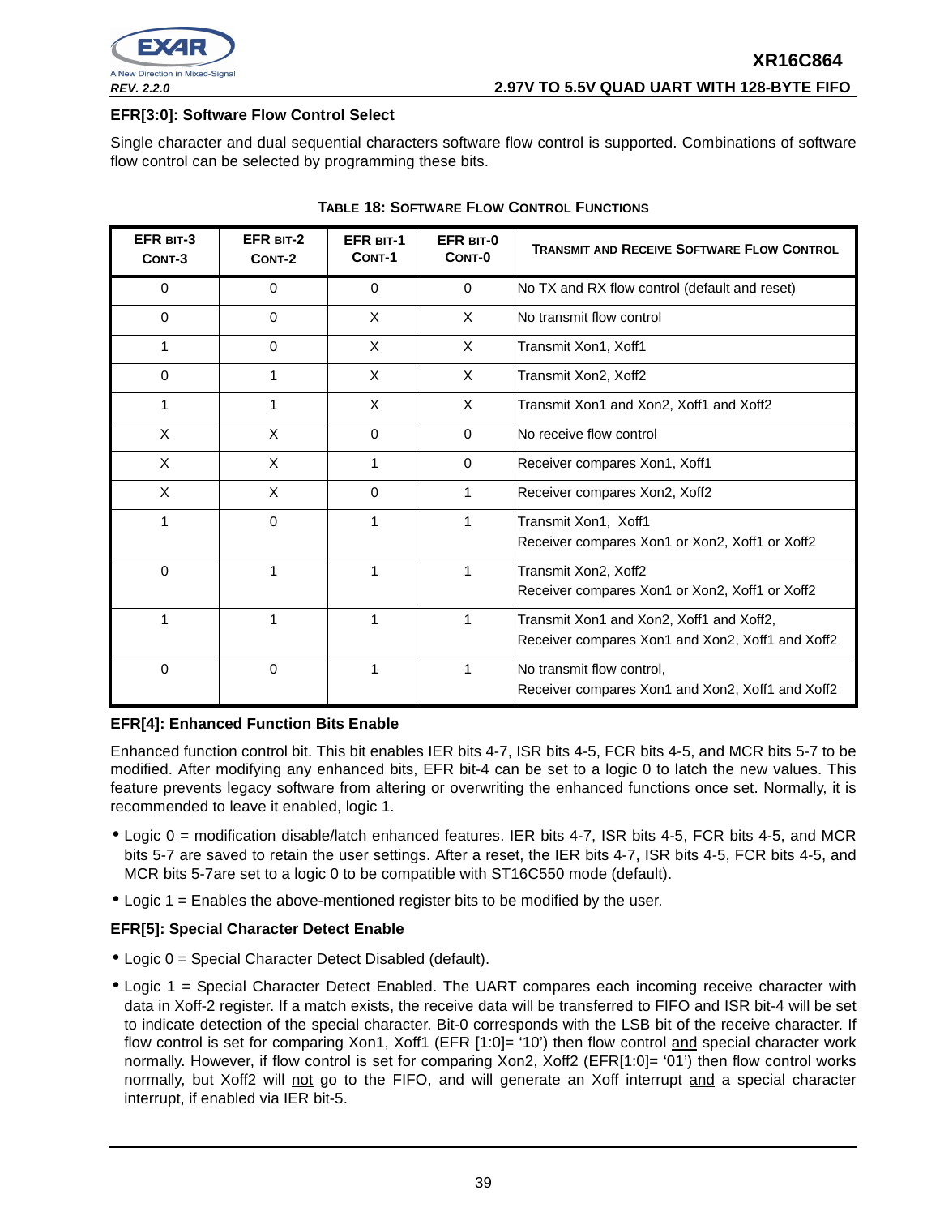

## **EFR[3:0]: Software Flow Control Select**

Single character and dual sequential characters software flow control is supported. Combinations of software flow control can be selected by programming these bits.

| EFR BIT-3<br>CONT-3 | <b>EFR BIT-2</b><br>CONT-2 | <b>EFR BIT-1</b><br>CONT-1 | EFR BIT-0<br>CONT-0 | <b>TRANSMIT AND RECEIVE SOFTWARE FLOW CONTROL</b>                                            |
|---------------------|----------------------------|----------------------------|---------------------|----------------------------------------------------------------------------------------------|
| 0                   | 0                          | 0                          | $\Omega$            | No TX and RX flow control (default and reset)                                                |
| $\Omega$            | $\Omega$                   | X                          | $\times$            | No transmit flow control                                                                     |
|                     | $\Omega$                   | X                          | $\mathsf{X}$        | Transmit Xon1, Xoff1                                                                         |
| 0                   | 1                          | X                          | $\times$            | Transmit Xon2, Xoff2                                                                         |
| 1                   | 1                          | X                          | X                   | Transmit Xon1 and Xon2, Xoff1 and Xoff2                                                      |
| X                   | X                          | $\Omega$                   | $\Omega$            | No receive flow control                                                                      |
| X                   | X                          | 1                          | $\Omega$            | Receiver compares Xon1, Xoff1                                                                |
| X                   | X                          | 0                          | 1                   | Receiver compares Xon2, Xoff2                                                                |
| 1                   | $\Omega$                   | 1                          | 1                   | Transmit Xon1, Xoff1<br>Receiver compares Xon1 or Xon2, Xoff1 or Xoff2                       |
| $\Omega$            | 1                          | 1                          |                     | Transmit Xon2, Xoff2<br>Receiver compares Xon1 or Xon2, Xoff1 or Xoff2                       |
| 1                   | 1                          | 1                          | 1                   | Transmit Xon1 and Xon2, Xoff1 and Xoff2,<br>Receiver compares Xon1 and Xon2, Xoff1 and Xoff2 |
| 0                   | 0                          |                            | 1                   | No transmit flow control,<br>Receiver compares Xon1 and Xon2, Xoff1 and Xoff2                |

## **TABLE 18: SOFTWARE FLOW CONTROL FUNCTIONS**

## **EFR[4]: Enhanced Function Bits Enable**

Enhanced function control bit. This bit enables IER bits 4-7, ISR bits 4-5, FCR bits 4-5, and MCR bits 5-7 to be modified. After modifying any enhanced bits, EFR bit-4 can be set to a logic 0 to latch the new values. This feature prevents legacy software from altering or overwriting the enhanced functions once set. Normally, it is recommended to leave it enabled, logic 1.

- Logic 0 = modification disable/latch enhanced features. IER bits 4-7, ISR bits 4-5, FCR bits 4-5, and MCR bits 5-7 are saved to retain the user settings. After a reset, the IER bits 4-7, ISR bits 4-5, FCR bits 4-5, and MCR bits 5-7are set to a logic 0 to be compatible with ST16C550 mode (default).
- Logic 1 = Enables the above-mentioned register bits to be modified by the user.

## **EFR[5]: Special Character Detect Enable**

- Logic 0 = Special Character Detect Disabled (default).
- Logic 1 = Special Character Detect Enabled. The UART compares each incoming receive character with data in Xoff-2 register. If a match exists, the receive data will be transferred to FIFO and ISR bit-4 will be set to indicate detection of the special character. Bit-0 corresponds with the LSB bit of the receive character. If flow control is set for comparing Xon1, Xoff1 (EFR [1:0]= '10') then flow control and special character work normally. However, if flow control is set for comparing Xon2, Xoff2 (EFR[1:0]= '01') then flow control works normally, but Xoff2 will not go to the FIFO, and will generate an Xoff interrupt and a special character interrupt, if enabled via IER bit-5.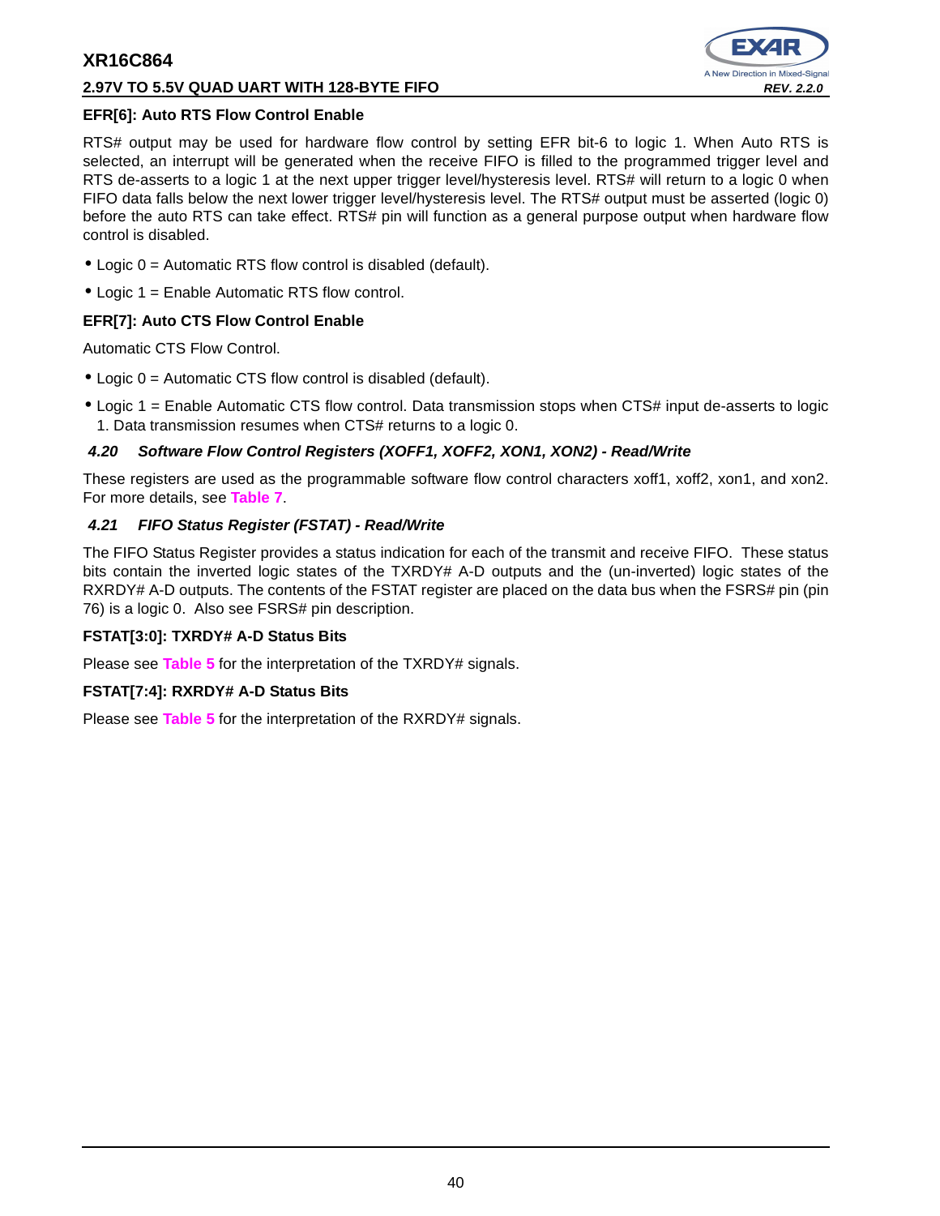## **2.97V TO 5.5V QUAD UART WITH 128-BYTE FIFO REV. 2.2.0**



## **EFR[6]: Auto RTS Flow Control Enable**

RTS# output may be used for hardware flow control by setting EFR bit-6 to logic 1. When Auto RTS is selected, an interrupt will be generated when the receive FIFO is filled to the programmed trigger level and RTS de-asserts to a logic 1 at the next upper trigger level/hysteresis level. RTS# will return to a logic 0 when FIFO data falls below the next lower trigger level/hysteresis level. The RTS# output must be asserted (logic 0) before the auto RTS can take effect. RTS# pin will function as a general purpose output when hardware flow control is disabled.

- Logic 0 = Automatic RTS flow control is disabled (default).
- Logic 1 = Enable Automatic RTS flow control.

## **EFR[7]: Auto CTS Flow Control Enable**

Automatic CTS Flow Control.

- Logic 0 = Automatic CTS flow control is disabled (default).
- Logic 1 = Enable Automatic CTS flow control. Data transmission stops when CTS# input de-asserts to logic 1. Data transmission resumes when CTS# returns to a logic 0.

## **4.20 Software Flow Control Registers (XOFF1, XOFF2, XON1, XON2) - Read/Write**

These registers are used as the programmable software flow control characters xoff1, xoff2, xon1, and xon2. For more details, see **Table 7**.

## **4.21 FIFO Status Register (FSTAT) - Read/Write**

The FIFO Status Register provides a status indication for each of the transmit and receive FIFO. These status bits contain the inverted logic states of the TXRDY# A-D outputs and the (un-inverted) logic states of the RXRDY# A-D outputs. The contents of the FSTAT register are placed on the data bus when the FSRS# pin (pin 76) is a logic 0. Also see FSRS# pin description.

## **FSTAT[3:0]: TXRDY# A-D Status Bits**

Please see **Table 5** for the interpretation of the TXRDY# signals.

## **FSTAT[7:4]: RXRDY# A-D Status Bits**

Please see **Table 5** for the interpretation of the RXRDY# signals.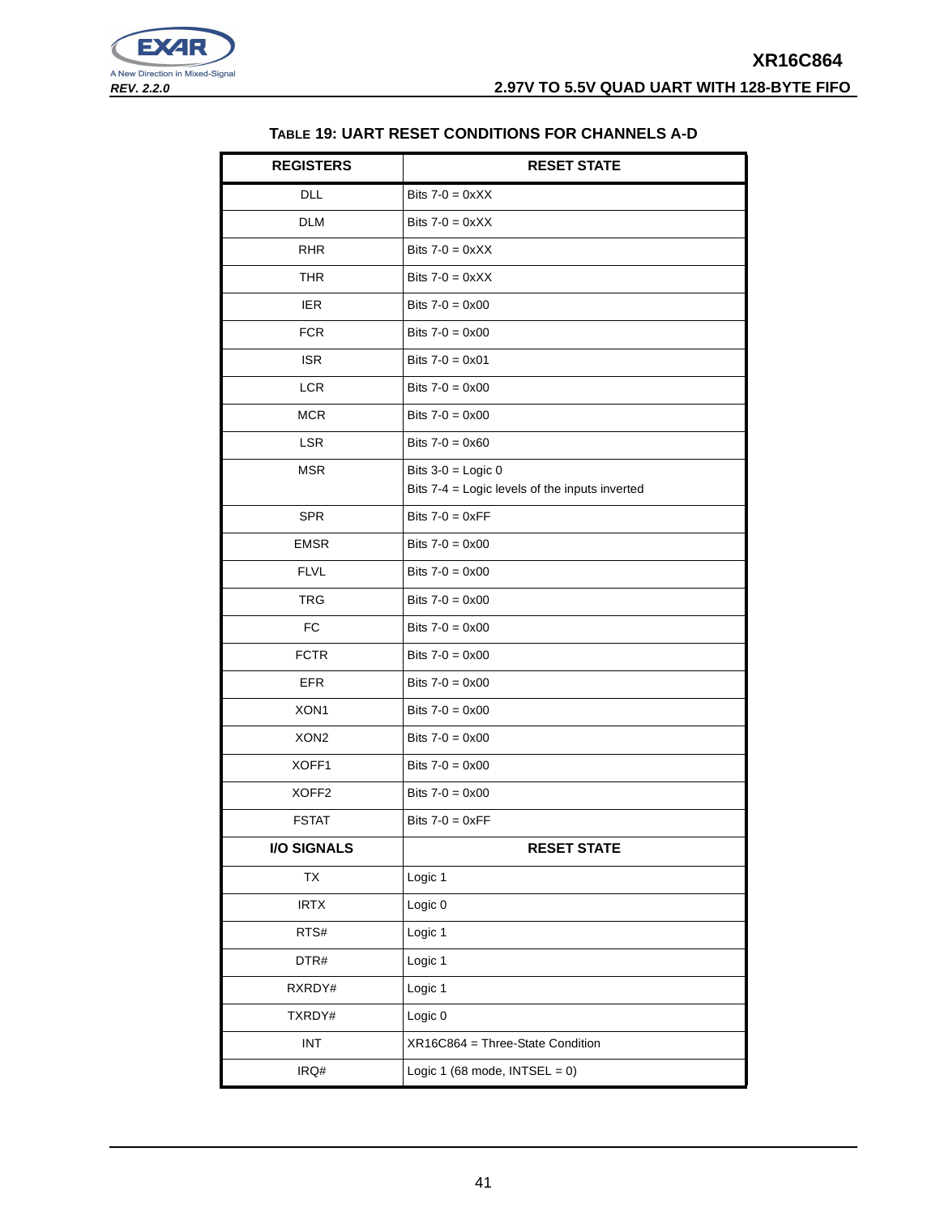



## **TABLE 19: UART RESET CONDITIONS FOR CHANNELS A-D**

| <b>REGISTERS</b>            | <b>RESET STATE</b>                                                     |
|-----------------------------|------------------------------------------------------------------------|
| <b>DLL</b>                  | Bits $7-0 = 0 \times XX$                                               |
| <b>DLM</b>                  | Bits $7-0 = 0 \times XX$                                               |
| <b>RHR</b>                  | Bits $7-0 = 0 \times XX$                                               |
| THR                         | Bits $7-0 = 0 \times XX$                                               |
| <b>IER</b>                  | Bits $7 - 0 = 0 \times 00$                                             |
| <b>FCR</b>                  | Bits $7 - 0 = 0 \times 00$                                             |
| <b>ISR</b>                  | Bits $7-0 = 0 \times 01$                                               |
| <b>LCR</b>                  | Bits $7 - 0 = 0 \times 00$                                             |
| <b>MCR</b>                  | Bits $7 - 0 = 0 \times 00$                                             |
| <b>LSR</b>                  | Bits $7 - 0 = 0 \times 60$                                             |
| <b>MSR</b>                  | Bits $3-0 =$ Logic 0<br>Bits 7-4 = Logic levels of the inputs inverted |
| <b>SPR</b>                  | Bits $7-0 = 0 \times FF$                                               |
| <b>EMSR</b>                 | Bits $7 - 0 = 0 \times 00$                                             |
| <b>FLVL</b>                 | Bits $7 - 0 = 0 \times 00$                                             |
| TRG                         | Bits $7 - 0 = 0 \times 00$                                             |
| FC                          | Bits $7 - 0 = 0 \times 00$                                             |
| <b>FCTR</b>                 | Bits $7 - 0 = 0 \times 00$                                             |
| <b>EFR</b>                  | Bits $7 - 0 = 0 \times 00$                                             |
| XON1                        | Bits $7 - 0 = 0 \times 00$                                             |
| XON <sub>2</sub>            | Bits $7 - 0 = 0 \times 00$                                             |
| XOFF1                       | Bits $7 - 0 = 0 \times 00$                                             |
| XOFF <sub>2</sub>           | Bits $7 - 0 = 0 \times 00$                                             |
| <b>FSTAT</b>                | Bits $7-0 = 0 \times FF$                                               |
| <b>I/O SIGNALS</b>          | <b>RESET STATE</b>                                                     |
| TX                          | Logic 1                                                                |
| <b>IRTX</b>                 | Logic 0                                                                |
| RTS#                        | Logic 1                                                                |
| DTR#                        | Logic 1                                                                |
| RXRDY#                      | Logic 1                                                                |
| TXRDY#                      | Logic 0                                                                |
| $\ensuremath{\mathsf{INT}}$ | XR16C864 = Three-State Condition                                       |
| IRQ#                        | Logic 1 (68 mode, $INTSEL = 0$ )                                       |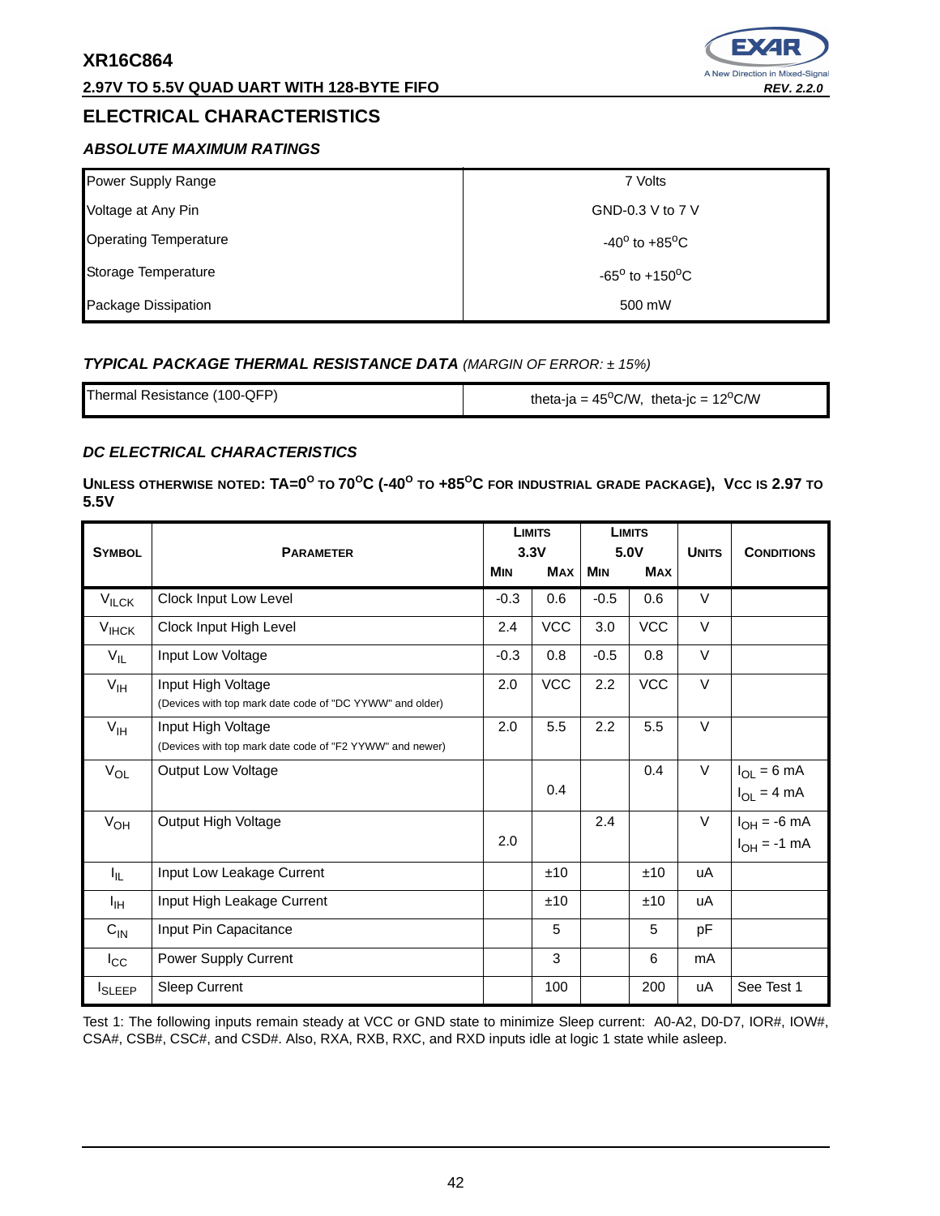## **2.97V TO 5.5V QUAD UART WITH 128-BYTE FIFO REV. 2.2.0 REV. 2.2.0**

# **ELECTRICAL CHARACTERISTICS**

# **ABSOLUTE MAXIMUM RATINGS**

| Power Supply Range           | 7 Volts                           |
|------------------------------|-----------------------------------|
| Voltage at Any Pin           | GND-0.3 V to 7 V                  |
| <b>Operating Temperature</b> | $-40^{\circ}$ to $+85^{\circ}$ C  |
| Storage Temperature          | $-65^{\circ}$ to $+150^{\circ}$ C |
| Package Dissipation          | 500 mW                            |

## **TYPICAL PACKAGE THERMAL RESISTANCE DATA** (MARGIN OF ERROR: ± 15%)

| Thermal Resistance (100-QFP) | theta-ja = $45^{\circ}$ C/W, theta-jc = $12^{\circ}$ C/W |
|------------------------------|----------------------------------------------------------|
|                              |                                                          |

## **DC ELECTRICAL CHARACTERISTICS**

UNLESS OTHERWISE NOTED:  $\mathsf{TA}\texttt{=}0^\mathsf{O}$  to  $70^\mathsf{O}\mathsf{C}$  (-40 $^\mathsf{O}$  to +85 $^\mathsf{O}\mathsf{C}$  for industrial grade package), Vcc is 2.97 to **5.5V** 

|                   |                                                                                |            | <b>LIMITS</b>      | 5.0V       | <b>LIMITS</b> | <b>UNITS</b> |                                            |
|-------------------|--------------------------------------------------------------------------------|------------|--------------------|------------|---------------|--------------|--------------------------------------------|
| <b>SYMBOL</b>     | <b>PARAMETER</b>                                                               | <b>MIN</b> | 3.3V<br><b>MAX</b> | <b>MIN</b> | <b>MAX</b>    |              | <b>CONDITIONS</b>                          |
| $V_{\text{ILCK}}$ | Clock Input Low Level                                                          | $-0.3$     | 0.6                | $-0.5$     | 0.6           | $\vee$       |                                            |
| $V_{HCK}$         | Clock Input High Level                                                         | 2.4        | <b>VCC</b>         | 3.0        | <b>VCC</b>    | V            |                                            |
| $V_{IL}$          | Input Low Voltage                                                              | $-0.3$     | 0.8                | $-0.5$     | 0.8           | V            |                                            |
| $V_{\text{IH}}$   | Input High Voltage<br>(Devices with top mark date code of "DC YYWW" and older) | 2.0        | <b>VCC</b>         | 2.2        | VCC           | V            |                                            |
| $V_{\text{IH}}$   | Input High Voltage<br>(Devices with top mark date code of "F2 YYWW" and newer) | 2.0        | 5.5                | 2.2        | 5.5           | $\vee$       |                                            |
| $V_{OL}$          | <b>Output Low Voltage</b>                                                      |            | 0.4                |            | 0.4           | V            | $I_{OL} = 6 \text{ mA}$<br>$I_{OL} = 4 mA$ |
| $V_{OH}$          | Output High Voltage                                                            | 2.0        |                    | 2.4        |               | V            | $I_{OH} = -6$ mA<br>$I_{OH} = -1$ mA       |
| Ι'n.              | Input Low Leakage Current                                                      |            | ±10                |            | ±10           | uA           |                                            |
| ŀщ                | Input High Leakage Current                                                     |            | ±10                |            | ±10           | uA           |                                            |
| $C_{\text{IN}}$   | Input Pin Capacitance                                                          |            | 5                  |            | 5             | pF           |                                            |
| $I_{\rm CC}$      | Power Supply Current                                                           |            | 3                  |            | 6             | mA           |                                            |
| <b>I</b> SLEEP    | <b>Sleep Current</b>                                                           |            | 100                |            | 200           | uA           | See Test 1                                 |

Test 1: The following inputs remain steady at VCC or GND state to minimize Sleep current: A0-A2, D0-D7, IOR#, IOW#, CSA#, CSB#, CSC#, and CSD#. Also, RXA, RXB, RXC, and RXD inputs idle at logic 1 state while asleep.

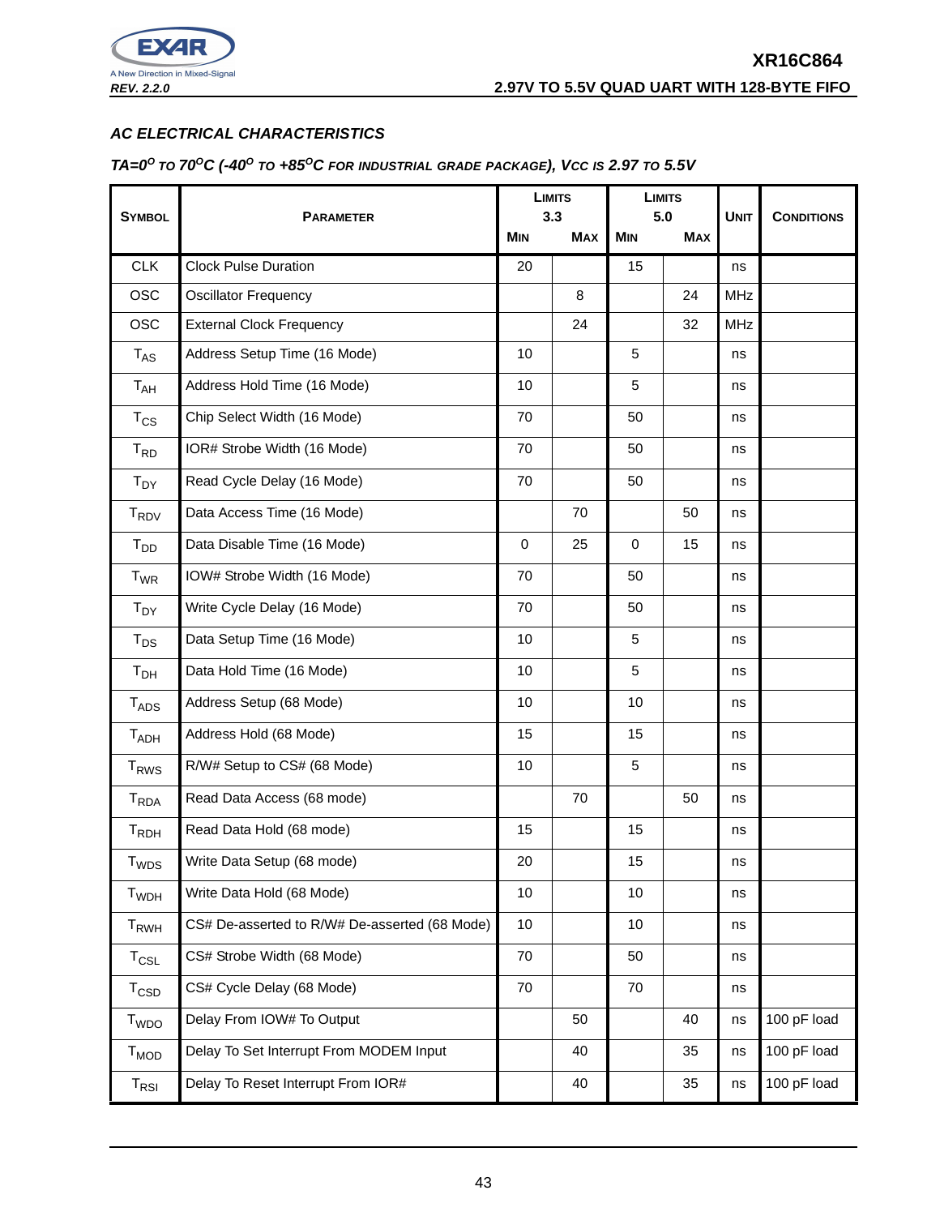

## **AC ELECTRICAL CHARACTERISTICS**

#### TA= $0^{\circ}$  to 70<sup>o</sup>C (-40<sup>o</sup> to +85<sup>o</sup>C for industrial grade package), Vcc is 2.97 to 5.5V

|                             | <b>PARAMETER</b>                              |             | <b>LIMITS</b><br>3.3 |            | <b>LIMITS</b><br>5.0 |             |                   |
|-----------------------------|-----------------------------------------------|-------------|----------------------|------------|----------------------|-------------|-------------------|
| <b>SYMBOL</b>               |                                               |             | <b>MAX</b>           | <b>MIN</b> | <b>MAX</b>           | <b>UNIT</b> | <b>CONDITIONS</b> |
| <b>CLK</b>                  | <b>Clock Pulse Duration</b>                   | 20          |                      | 15         |                      | ns          |                   |
| <b>OSC</b>                  | <b>Oscillator Frequency</b>                   |             | 8                    |            | 24                   | <b>MHz</b>  |                   |
| <b>OSC</b>                  | <b>External Clock Frequency</b>               |             | 24                   |            | 32                   | <b>MHz</b>  |                   |
| $T_{AS}$                    | Address Setup Time (16 Mode)                  | 10          |                      | 5          |                      | ns          |                   |
| $T_{AH}$                    | Address Hold Time (16 Mode)                   | 10          |                      | 5          |                      | ns          |                   |
| $T_{CS}$                    | Chip Select Width (16 Mode)                   | 70          |                      | 50         |                      | ns          |                   |
| $T_{RD}$                    | IOR# Strobe Width (16 Mode)                   | 70          |                      | 50         |                      | ns          |                   |
| T <sub>DY</sub>             | Read Cycle Delay (16 Mode)                    | 70          |                      | 50         |                      | ns          |                   |
| T <sub>RDV</sub>            | Data Access Time (16 Mode)                    |             | 70                   |            | 50                   | ns          |                   |
| T <sub>DD</sub>             | Data Disable Time (16 Mode)                   | $\mathbf 0$ | 25                   | $\Omega$   | 15                   | ns          |                   |
| $T_{WR}$                    | IOW# Strobe Width (16 Mode)                   | 70          |                      | 50         |                      | ns          |                   |
| $T_{DY}$                    | Write Cycle Delay (16 Mode)                   | 70          |                      | 50         |                      | ns          |                   |
| $T_{DS}$                    | Data Setup Time (16 Mode)                     | 10          |                      | 5          |                      | ns          |                   |
| $T_{DH}$                    | Data Hold Time (16 Mode)                      | 10          |                      | 5          |                      | ns          |                   |
| $T_{ADS}$                   | Address Setup (68 Mode)                       | 10          |                      | 10         |                      | ns          |                   |
| $T_{ADH}$                   | Address Hold (68 Mode)                        | 15          |                      | 15         |                      | ns          |                   |
| <b>T<sub>RWS</sub></b>      | R/W# Setup to CS# (68 Mode)                   | 10          |                      | 5          |                      | ns          |                   |
| T <sub>RDA</sub>            | Read Data Access (68 mode)                    |             | 70                   |            | 50                   | ns          |                   |
| $T_{RDH}$                   | Read Data Hold (68 mode)                      | 15          |                      | 15         |                      | ns          |                   |
| $T_{WDS}$                   | Write Data Setup (68 mode)                    | 20          |                      | 15         |                      | ns          |                   |
| $T_{WDH}$                   | Write Data Hold (68 Mode)                     | 10          |                      | 10         |                      | ns          |                   |
| $T_{RWH}$                   | CS# De-asserted to R/W# De-asserted (68 Mode) | 10          |                      | 10         |                      | ns          |                   |
| $T_{CSL}$                   | CS# Strobe Width (68 Mode)                    | 70          |                      | 50         |                      | ns          |                   |
| $T_{\texttt{CSD}}$          | CS# Cycle Delay (68 Mode)                     | 70          |                      | 70         |                      | ns          |                   |
| T <sub>WDO</sub>            | Delay From IOW# To Output                     |             | 50                   |            | 40                   | ns          | 100 pF load       |
| T <sub>MOD</sub>            | Delay To Set Interrupt From MODEM Input       |             | 40                   |            | 35                   | ns          | 100 pF load       |
| $\mathsf{T}_{\mathsf{RSI}}$ | Delay To Reset Interrupt From IOR#            |             | 40                   |            | 35                   | ns          | 100 pF load       |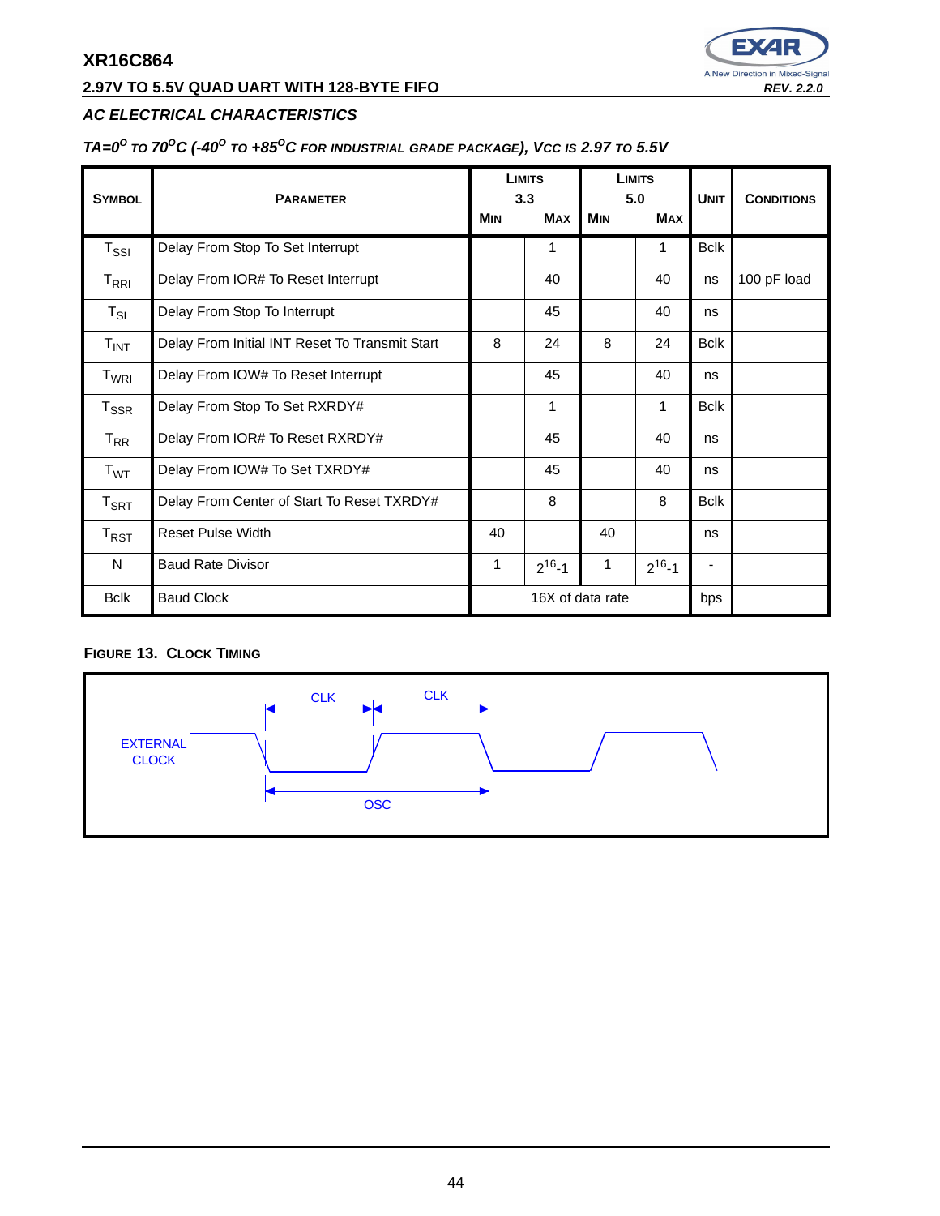# **2.97V TO 5.5V QUAD UART WITH 128-BYTE FIFO REV. 2.2.0**



## **AC ELECTRICAL CHARACTERISTICS**

#### TA= $0^{\circ}$  to 70<sup>o</sup>C (-40<sup>o</sup> to +85<sup>o</sup>C for industrial grade package), Vcc is 2.97 to 5.5V

| <b>SYMBOL</b>               | <b>PARAMETER</b>                               |                  | <b>LIMITS</b><br>3.3 |            | <b>LIMITS</b><br>5.0 | <b>UNIT</b> | <b>CONDITIONS</b> |
|-----------------------------|------------------------------------------------|------------------|----------------------|------------|----------------------|-------------|-------------------|
|                             |                                                | <b>MIN</b>       | <b>MAX</b>           | <b>MIN</b> | <b>MAX</b>           |             |                   |
| $T_{\rm SSI}$               | Delay From Stop To Set Interrupt               |                  | 1                    |            | 1                    | <b>Bclk</b> |                   |
| $T_{\sf RRI}$               | Delay From IOR# To Reset Interrupt             |                  | 40                   |            | 40                   | ns          | 100 pF load       |
| $T_{SI}$                    | Delay From Stop To Interrupt                   |                  | 45                   |            | 40                   | ns          |                   |
| $T_{INT}$                   | Delay From Initial INT Reset To Transmit Start | 8                | 24                   | 8          | 24                   | <b>Bclk</b> |                   |
| T <sub>WRI</sub>            | Delay From IOW# To Reset Interrupt             |                  | 45                   |            | 40                   | ns          |                   |
| $T_{\rm SSR}$               | Delay From Stop To Set RXRDY#                  |                  | 1                    |            | 1                    | <b>Bclk</b> |                   |
| $T_{\sf RR}$                | Delay From IOR# To Reset RXRDY#                |                  | 45                   |            | 40                   | ns          |                   |
| T <sub>WT</sub>             | Delay From IOW# To Set TXRDY#                  |                  | 45                   |            | 40                   | ns          |                   |
| $\mathsf{T}_{\mathsf{SRT}}$ | Delay From Center of Start To Reset TXRDY#     |                  | 8                    |            | 8                    | <b>Bclk</b> |                   |
| $\mathsf{T}_{\mathsf{RST}}$ | <b>Reset Pulse Width</b>                       | 40               |                      | 40         |                      | ns          |                   |
| N                           | <b>Baud Rate Divisor</b>                       | 1                | $2^{16} - 1$         | 1          | $2^{16} - 1$         |             |                   |
| <b>Bclk</b>                 | <b>Baud Clock</b>                              | 16X of data rate |                      | bps        |                      |             |                   |

## **FIGURE 13. CLOCK TIMING**

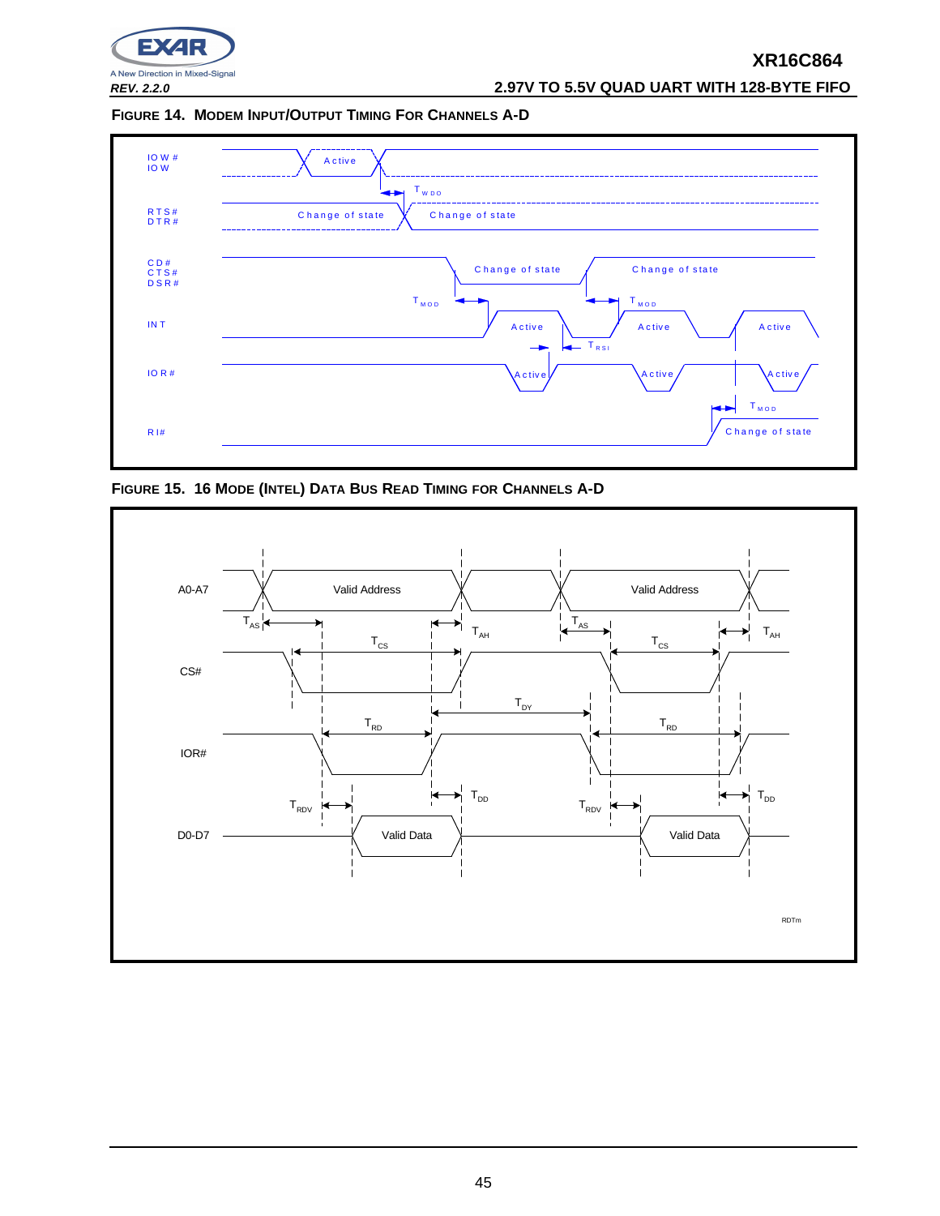

**REV. 2.2.0 2.97V TO 5.5V QUAD UART WITH 128-BYTE FIFO**

**FIGURE 14. MODEM INPUT/OUTPUT TIMING FOR CHANNELS A-D**



**FIGURE 15. 16 MODE (INTEL) DATA BUS READ TIMING FOR CHANNELS A-D**

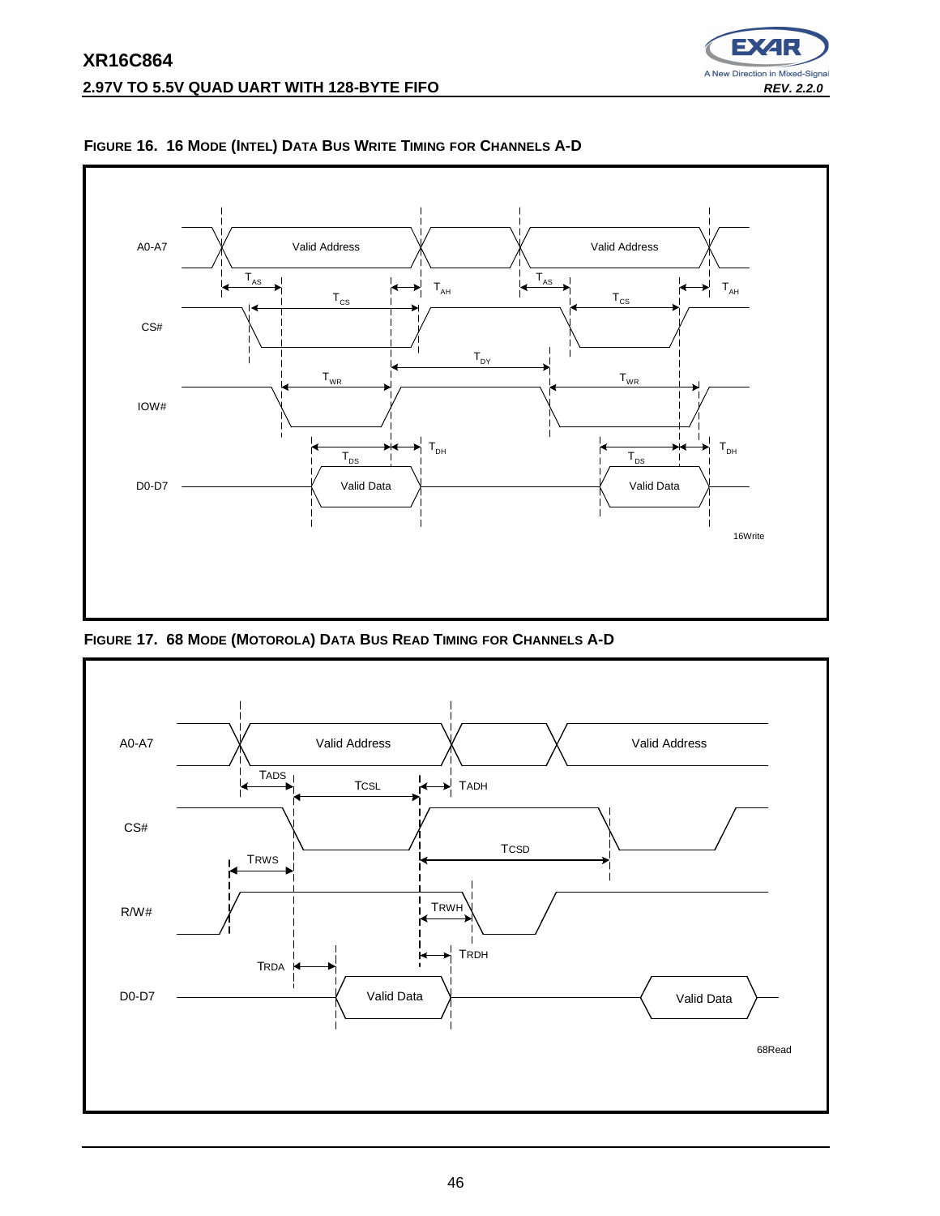



**FIGURE 16. 16 MODE (INTEL) DATA BUS WRITE TIMING FOR CHANNELS A-D**

**FIGURE 17. 68 MODE (MOTOROLA) DATA BUS READ TIMING FOR CHANNELS A-D**

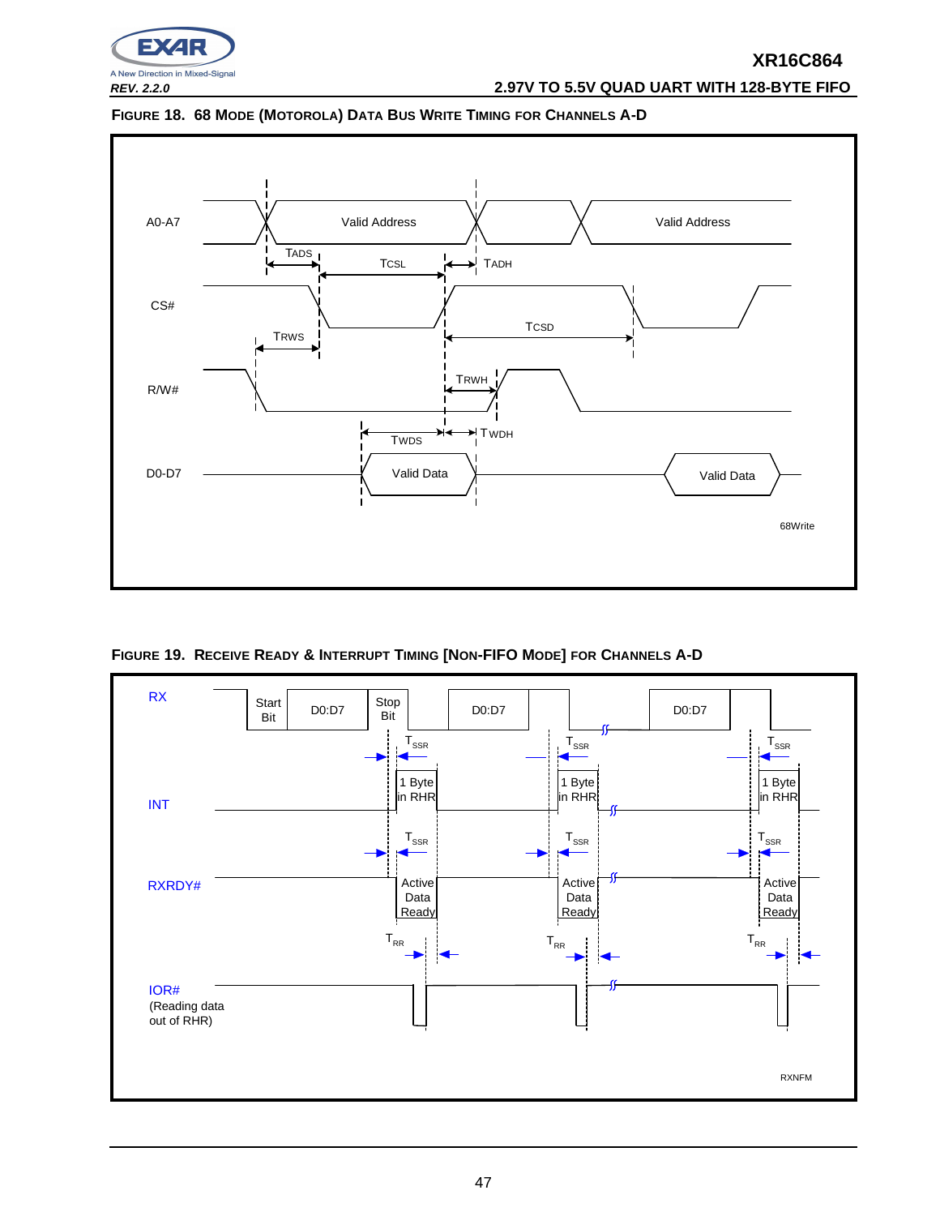

**REV. 2.2.0 2.97V TO 5.5V QUAD UART WITH 128-BYTE FIFO**





**FIGURE 19. RECEIVE READY & INTERRUPT TIMING [NON-FIFO MODE] FOR CHANNELS A-D**

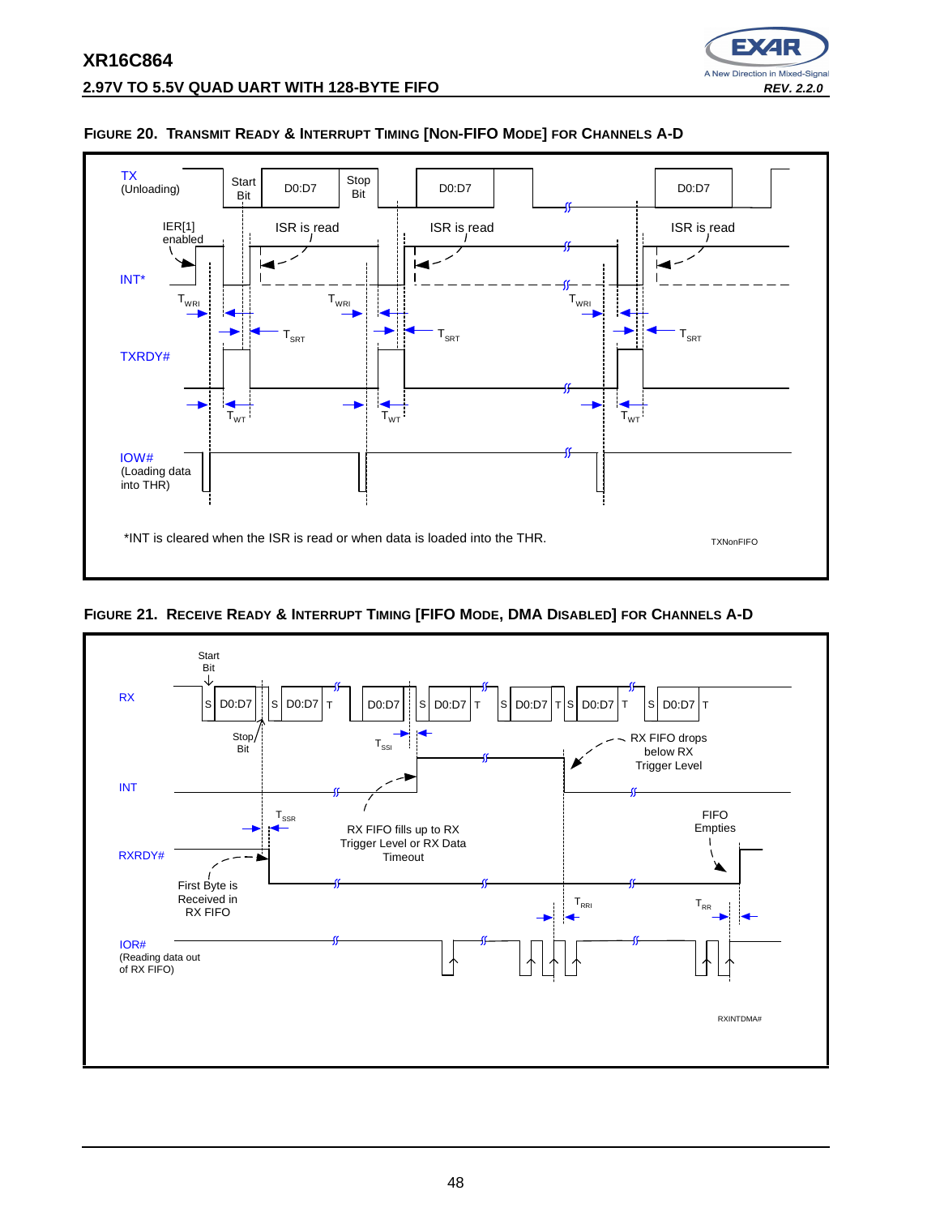

A New Direction in Mixed-Signal

## **FIGURE 20. TRANSMIT READY & INTERRUPT TIMING [NON-FIFO MODE] FOR CHANNELS A-D**

**FIGURE 21. RECEIVE READY & INTERRUPT TIMING [FIFO MODE, DMA DISABLED] FOR CHANNELS A-D**

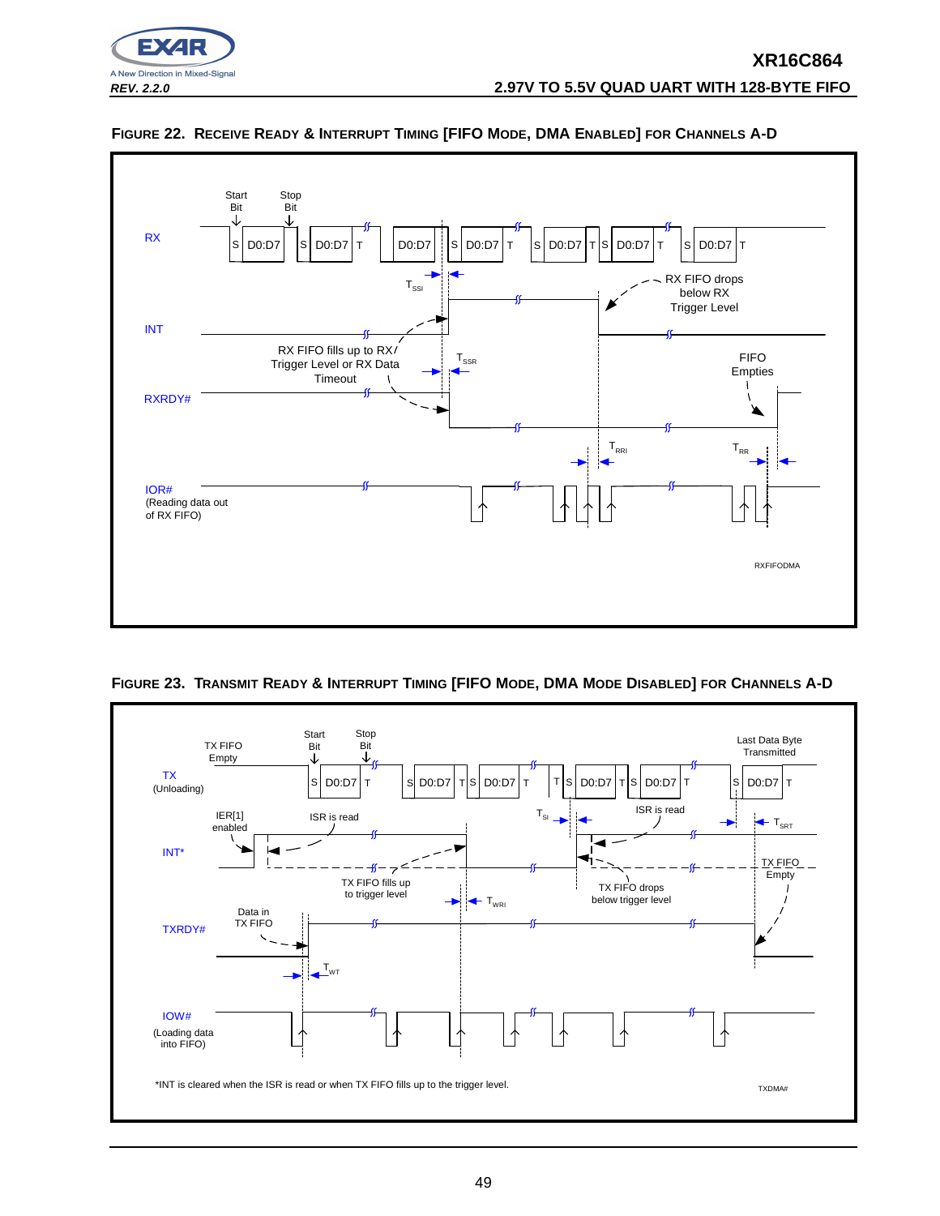



## **FIGURE 22. RECEIVE READY & INTERRUPT TIMING [FIFO MODE, DMA ENABLED] FOR CHANNELS A-D**



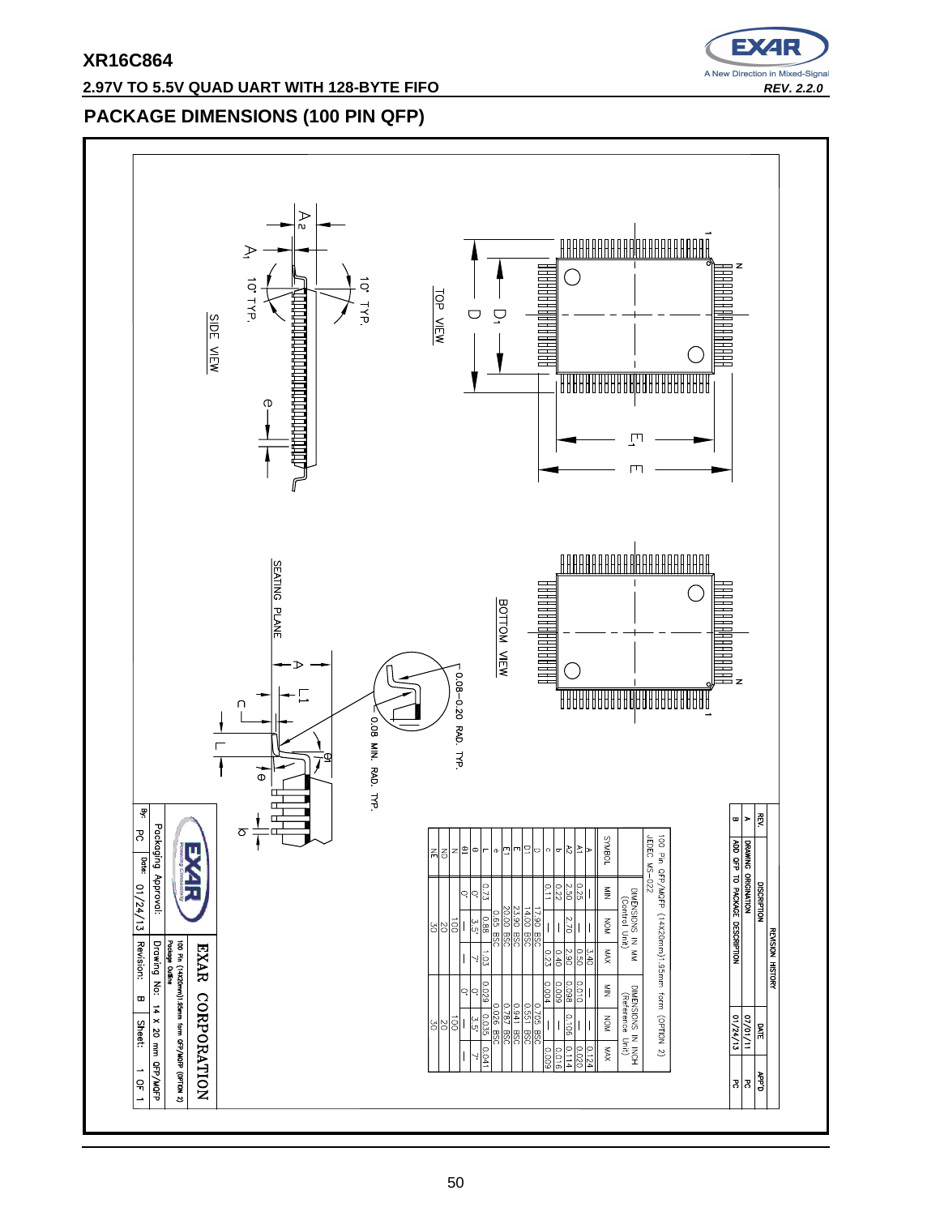## **2.97V TO 5.5V QUAD UART WITH 128-BYTE FIFO REV. 2.2.0 REV. 2.2.0**



# **PACKAGE DIMENSIONS (100 PIN QFP)**